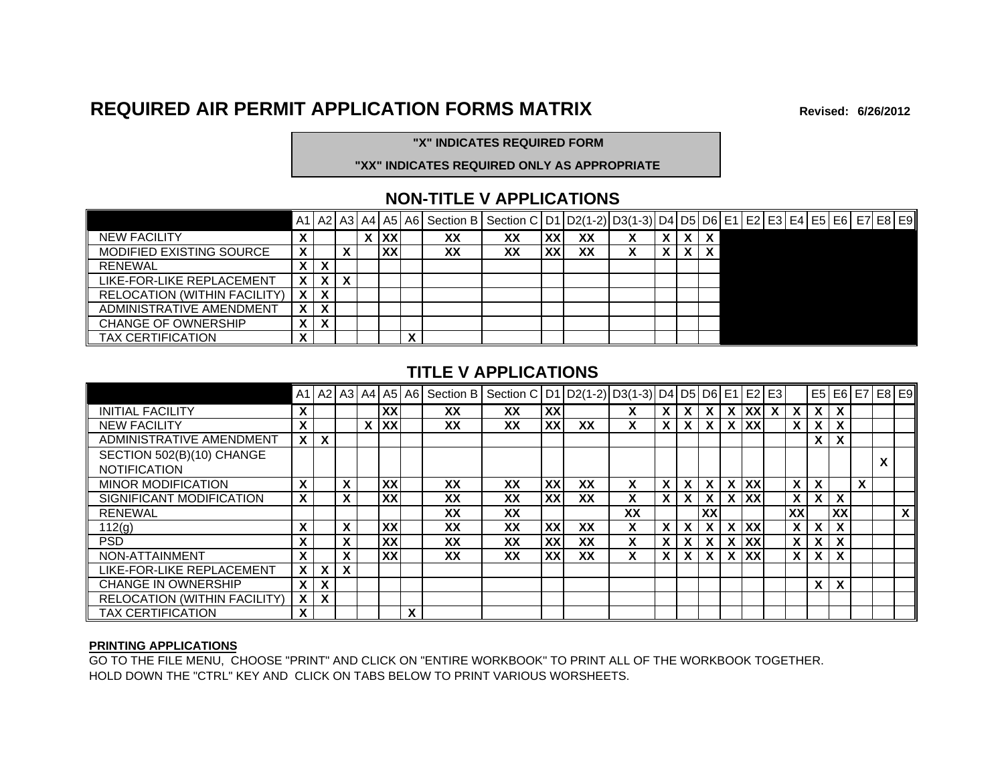## **REQUIRED AIR PERMIT APPLICATION FORMS MATRIX Revised:**

**6/26/2012**

#### **"X" INDICATES REQUIRED FORM**

#### **"XX" INDICATES REQUIRED ONLY AS APPROPRIATE**

#### **NON-TITLE V APPLICATIONS**

|                                     |                   |   |   |            |           | A1   A2   A3   A4   A5   A6   Section B   Section C   D1   D2(1-2)   D3(1-3)   D4   D5   D6   E1   E2   E3   E4   E5   E6   E7   E8   E9 |    |           |    |  |              |  |  |  |  |  |
|-------------------------------------|-------------------|---|---|------------|-----------|------------------------------------------------------------------------------------------------------------------------------------------|----|-----------|----|--|--------------|--|--|--|--|--|
| <b>NEW FACILITY</b>                 |                   |   |   | <b>IXX</b> |           | ХX                                                                                                                                       | xх | <b>XX</b> | XX |  |              |  |  |  |  |  |
| MODIFIED EXISTING SOURCE            | v                 |   |   | XX         |           | XX                                                                                                                                       | XX | XX        | XX |  | $\mathbf{v}$ |  |  |  |  |  |
| <b>RENEWAL</b>                      | $\mathbf{v}$<br>Λ | х |   |            |           |                                                                                                                                          |    |           |    |  |              |  |  |  |  |  |
| LIKE-FOR-LIKE REPLACEMENT           | X                 | X | X |            |           |                                                                                                                                          |    |           |    |  |              |  |  |  |  |  |
| <b>RELOCATION (WITHIN FACILITY)</b> | $\mathbf{X}$      | X |   |            |           |                                                                                                                                          |    |           |    |  |              |  |  |  |  |  |
| ADMINISTRATIVE AMENDMENT            | X                 | X |   |            |           |                                                                                                                                          |    |           |    |  |              |  |  |  |  |  |
| <b>CHANGE OF OWNERSHIP</b>          |                   | X |   |            |           |                                                                                                                                          |    |           |    |  |              |  |  |  |  |  |
| TAX CERTIFICATION                   | $\mathbf{v}$      |   |   |            | $\bullet$ |                                                                                                                                          |    |           |    |  |              |  |  |  |  |  |

#### **TITLE V APPLICATIONS**

|                                     |                           |                           |              |           |   | A1   A2   A3   A4   A5   A6   Section B | Section C   D1   D2(1-2)   D3(1-3)   D4   D5   D6   E1   E2   E3 |           |    |    |          |          |              |                     |              |              |              |              |   | E5 E6 E7 E8 E9 |
|-------------------------------------|---------------------------|---------------------------|--------------|-----------|---|-----------------------------------------|------------------------------------------------------------------|-----------|----|----|----------|----------|--------------|---------------------|--------------|--------------|--------------|--------------|---|----------------|
| <b>INITIAL FACILITY</b>             | X                         |                           |              | XX        |   | XX                                      | XX                                                               | XX        |    |    | X.       |          |              | $X$ $XX$            | $\mathsf{x}$ | $\mathsf{x}$ |              | $X$   $X$    |   |                |
| <b>NEW FACILITY</b>                 | X                         |                           |              | X XX      |   | XX                                      | XX                                                               | <b>XX</b> | XX | X  | X.       |          |              | X XX                |              | $\mathsf{x}$ | $\mathsf{X}$ |              |   |                |
| ADMINISTRATIVE AMENDMENT            |                           | $X$   $X$                 |              |           |   |                                         |                                                                  |           |    |    |          |          |              |                     |              |              |              | $X$   $X$    |   |                |
| SECTION 502(B)(10) CHANGE           |                           |                           |              |           |   |                                         |                                                                  |           |    |    |          |          |              |                     |              |              |              |              |   |                |
| <b>NOTIFICATION</b>                 |                           |                           |              |           |   |                                         |                                                                  |           |    |    |          |          |              |                     |              |              |              |              |   |                |
| <b>MINOR MODIFICATION</b>           | X                         |                           | X            | XX        |   | XX                                      | XX                                                               | <b>XX</b> | XX | X  | X        | X        | – X I        | $X$ $\overline{XX}$ |              | X.           | $\mathsf{x}$ |              | X |                |
| SIGNIFICANT MODIFICATION            | $\mathsf{x}$              |                           | X            | XXI       |   | XX                                      | XX                                                               | XX        | XX | X  | <b>X</b> | X        | $\mathsf{X}$ | X XX                |              | $\mathsf{x}$ |              | $X$   $X$    |   |                |
| <b>RENEWAL</b>                      |                           |                           |              |           |   | XX                                      | XX                                                               |           |    | XX |          |          | XX           |                     |              | <b>XX</b>    |              | XX           |   | $\mathsf{x}$   |
| 112(g)                              | X                         |                           | X            | XX        |   | XX                                      | XX                                                               | <b>XX</b> | XX | X  | X        | <b>X</b> | $\mathbf{x}$ | X XX                |              | $\mathsf{X}$ |              | $X$   $X$    |   |                |
| <b>PSD</b>                          | X                         |                           | X            | <b>XX</b> |   | XX                                      | XX                                                               | XX        | XX | X  | X.       |          |              | X XX                |              | $\mathsf{X}$ |              | $X$   $X$    |   |                |
| NON-ATTAINMENT                      | $\mathbf{x}$              |                           | X            | <b>XX</b> |   | XX                                      | XX                                                               | <b>XX</b> | XX | X  | X.       | X        | – X I        | X XXI               |              | $\mathsf{X}$ |              | $X \mid X$   |   |                |
| LIKE-FOR-LIKE REPLACEMENT           | $\mathbf{x}$              | $\mathbf{x}$              | $\mathbf{x}$ |           |   |                                         |                                                                  |           |    |    |          |          |              |                     |              |              |              |              |   |                |
| <b>CHANGE IN OWNERSHIP</b>          | $\mathsf{x}$              | $\mathbf{x}$              |              |           |   |                                         |                                                                  |           |    |    |          |          |              |                     |              |              | $\mathsf{X}$ | $\mathbf{x}$ |   |                |
| <b>RELOCATION (WITHIN FACILITY)</b> | $\mathbf{x}$              | $\boldsymbol{\mathsf{x}}$ |              |           |   |                                         |                                                                  |           |    |    |          |          |              |                     |              |              |              |              |   |                |
| <b>TAX CERTIFICATION</b>            | $\boldsymbol{\mathsf{x}}$ |                           |              |           | X |                                         |                                                                  |           |    |    |          |          |              |                     |              |              |              |              |   |                |

#### **PRINTING APPLICATIONS**

GO TO THE FILE MENU, CHOOSE "PRINT" AND CLICK ON "ENTIRE WORKBOOK" TO PRINT ALL OF THE WORKBOOK TOGETHER. HOLD DOWN THE "CTRL" KEY AND CLICK ON TABS BELOW TO PRINT VARIOUS WORSHEETS.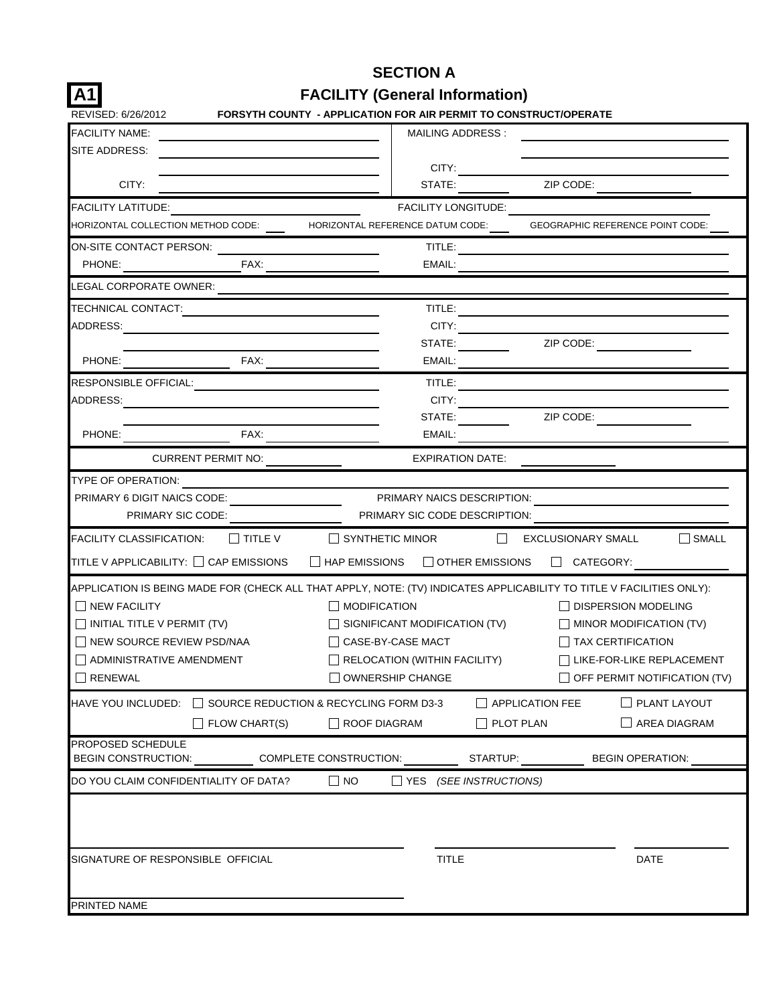| IA1                                                          | <b>FACILITY (General Information)</b>                                                                                |
|--------------------------------------------------------------|----------------------------------------------------------------------------------------------------------------------|
| REVISED: 6/26/2012                                           | FORSYTH COUNTY - APPLICATION FOR AIR PERMIT TO CONSTRUCT/OPERATE                                                     |
| <b>FACILITY NAME:</b>                                        | MAILING ADDRESS:                                                                                                     |
| SITE ADDRESS:                                                | CITY:                                                                                                                |
| CITY:                                                        | ZIP CODE:<br>STATE:                                                                                                  |
| <b>FACILITY LATITUDE:</b>                                    | FACILITY LONGITUDE:                                                                                                  |
| HORIZONTAL COLLECTION METHOD CODE:                           | HORIZONTAL REFERENCE DATUM CODE:<br><b>GEOGRAPHIC REFERENCE POINT CODE:</b>                                          |
| ON-SITE CONTACT PERSON:                                      | TITLE:                                                                                                               |
| PHONE:<br>FAX:                                               | EMAIL:                                                                                                               |
| LEGAL CORPORATE OWNER:                                       |                                                                                                                      |
| TECHNICAL CONTACT:                                           | TITLE:                                                                                                               |
| ADDRESS:                                                     | CITY:                                                                                                                |
|                                                              | ZIP CODE:<br>STATE:                                                                                                  |
| FAX:<br>PHONE:                                               | EMAIL:                                                                                                               |
| RESPONSIBLE OFFICIAL:                                        | TITLE:                                                                                                               |
| ADDRESS:                                                     | CITY:                                                                                                                |
|                                                              | ZIP CODE:<br>STATE:                                                                                                  |
| PHONE:<br>FAX:                                               | EMAIL:                                                                                                               |
| <b>CURRENT PERMIT NO:</b>                                    | <b>EXPIRATION DATE:</b>                                                                                              |
| TYPE OF OPERATION:                                           |                                                                                                                      |
| PRIMARY 6 DIGIT NAICS CODE:                                  | PRIMARY NAICS DESCRIPTION:                                                                                           |
| PRIMARY SIC CODE:                                            | PRIMARY SIC CODE DESCRIPTION:                                                                                        |
| <b>FACILITY CLASSIFICATION:</b><br>I I TITLE V               | $\Box$ SYNTHETIC MINOR<br>$\Box$ SMALL<br><b>EXCLUSIONARY SMALL</b>                                                  |
| TITLE V APPLICABILITY: CAP EMISSIONS                         | $\Box$ HAP EMISSIONS<br>$\Box$ OTHER EMISSIONS<br>$\Box$ CATEGORY:                                                   |
|                                                              | APPLICATION IS BEING MADE FOR (CHECK ALL THAT APPLY, NOTE: (TV) INDICATES APPLICABILITY TO TITLE V FACILITIES ONLY): |
| <b>I INEW FACILITY</b>                                       | <b>MODIFICATION</b><br><b>DISPERSION MODELING</b>                                                                    |
| $\Box$ INITIAL TITLE V PERMIT (TV)                           | $\Box$ SIGNIFICANT MODIFICATION (TV)<br>$\Box$ MINOR MODIFICATION (TV)                                               |
| NEW SOURCE REVIEW PSD/NAA                                    | │ │ CASE-BY-CASE MACT<br>    TAX CERTIFICATION                                                                       |
|                                                              | RELOCATION (WITHIN FACILITY)<br>LIKE-FOR-LIKE REPLACEMENT                                                            |
| <b>RENEWAL</b>                                               | <b>OWNERSHIP CHANGE</b><br>OFF PERMIT NOTIFICATION (TV)                                                              |
| SOURCE REDUCTION & RECYCLING FORM D3-3<br>HAVE YOU INCLUDED: | $\Box$ PLANT LAYOUT<br>$\vert\,\,\vert$ APPLICATION FEE                                                              |
| FLOW CHART(S)                                                | ROOF DIAGRAM<br>$\Box$ PLOT PLAN<br>AREA DIAGRAM                                                                     |
| PROPOSED SCHEDULE                                            |                                                                                                                      |
| BEGIN CONSTRUCTION:                                          | COMPLETE CONSTRUCTION:<br>STARTUP:<br><b>BEGIN OPERATION:</b>                                                        |
| DO YOU CLAIM CONFIDENTIALITY OF DATA?                        | $\Box$ NO<br>(SEE INSTRUCTIONS)<br>__ YES                                                                            |
|                                                              |                                                                                                                      |
|                                                              |                                                                                                                      |
|                                                              |                                                                                                                      |
| SIGNATURE OF RESPONSIBLE OFFICIAL                            | <b>TITLE</b><br><b>DATE</b>                                                                                          |
|                                                              |                                                                                                                      |
| PRINTED NAME                                                 |                                                                                                                      |

**SECTION A**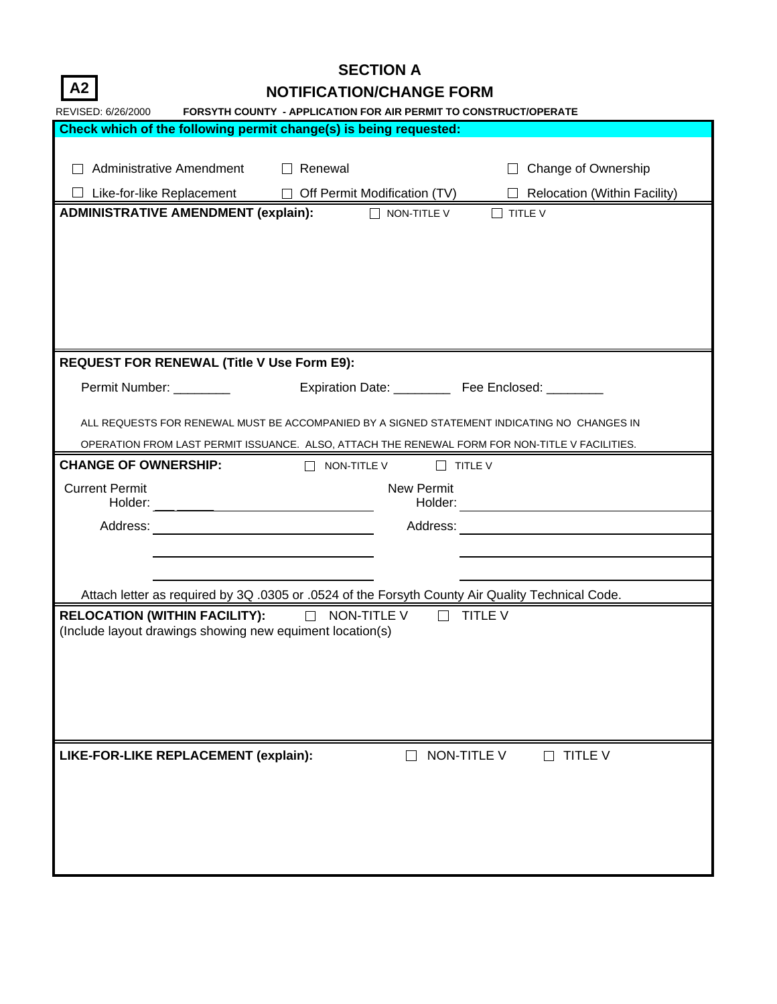**A2**

# **SECTION A**

| <b>NOTIFICATION/CHANGE FORM</b> |
|---------------------------------|
|---------------------------------|

| REVISED: 6/26/2000                                                                               | <b>FORSYTH COUNTY - APPLICATION FOR AIR PERMIT TO CONSTRUCT/OPERATE</b> |                                     |
|--------------------------------------------------------------------------------------------------|-------------------------------------------------------------------------|-------------------------------------|
| Check which of the following permit change(s) is being requested:                                |                                                                         |                                     |
|                                                                                                  |                                                                         |                                     |
| Administrative Amendment □ Renewal                                                               |                                                                         | □ Change of Ownership               |
|                                                                                                  | Like-for-like Replacement □ Off Permit Modification (TV)                | $\Box$ Relocation (Within Facility) |
| <b>ADMINISTRATIVE AMENDMENT (explain):</b>                                                       | $\Box$ NON-TITLE V                                                      | $\Box$ TITLE V                      |
|                                                                                                  |                                                                         |                                     |
|                                                                                                  |                                                                         |                                     |
|                                                                                                  |                                                                         |                                     |
|                                                                                                  |                                                                         |                                     |
|                                                                                                  |                                                                         |                                     |
|                                                                                                  |                                                                         |                                     |
|                                                                                                  |                                                                         |                                     |
| <b>REQUEST FOR RENEWAL (Title V Use Form E9):</b>                                                |                                                                         |                                     |
| Permit Number: _________                                                                         | Expiration Date: ____________ Fee Enclosed: _________                   |                                     |
|                                                                                                  |                                                                         |                                     |
| ALL REQUESTS FOR RENEWAL MUST BE ACCOMPANIED BY A SIGNED STATEMENT INDICATING NO CHANGES IN      |                                                                         |                                     |
| OPERATION FROM LAST PERMIT ISSUANCE. ALSO, ATTACH THE RENEWAL FORM FOR NON-TITLE V FACILITIES.   |                                                                         |                                     |
| <b>CHANGE OF OWNERSHIP:</b>                                                                      | $\Box$ NON-TITLE V                                                      | $\Box$ TITLE V                      |
| <b>Current Permit</b>                                                                            | New Permit                                                              |                                     |
|                                                                                                  |                                                                         |                                     |
|                                                                                                  |                                                                         |                                     |
|                                                                                                  |                                                                         |                                     |
|                                                                                                  |                                                                         |                                     |
|                                                                                                  |                                                                         |                                     |
| Attach letter as required by 3Q .0305 or .0524 of the Forsyth County Air Quality Technical Code. |                                                                         |                                     |
| RELOCATION (WITHIN FACILITY): and MON-TITLE V and TITLE V                                        |                                                                         |                                     |
| (Include layout drawings showing new equiment location(s)                                        |                                                                         |                                     |
|                                                                                                  |                                                                         |                                     |
|                                                                                                  |                                                                         |                                     |
|                                                                                                  |                                                                         |                                     |
|                                                                                                  |                                                                         |                                     |
|                                                                                                  |                                                                         |                                     |
|                                                                                                  |                                                                         |                                     |
| LIKE-FOR-LIKE REPLACEMENT (explain):                                                             |                                                                         | NON-TITLE V<br>$\Box$ TITLE V       |
|                                                                                                  |                                                                         |                                     |
|                                                                                                  |                                                                         |                                     |
|                                                                                                  |                                                                         |                                     |
|                                                                                                  |                                                                         |                                     |
|                                                                                                  |                                                                         |                                     |
|                                                                                                  |                                                                         |                                     |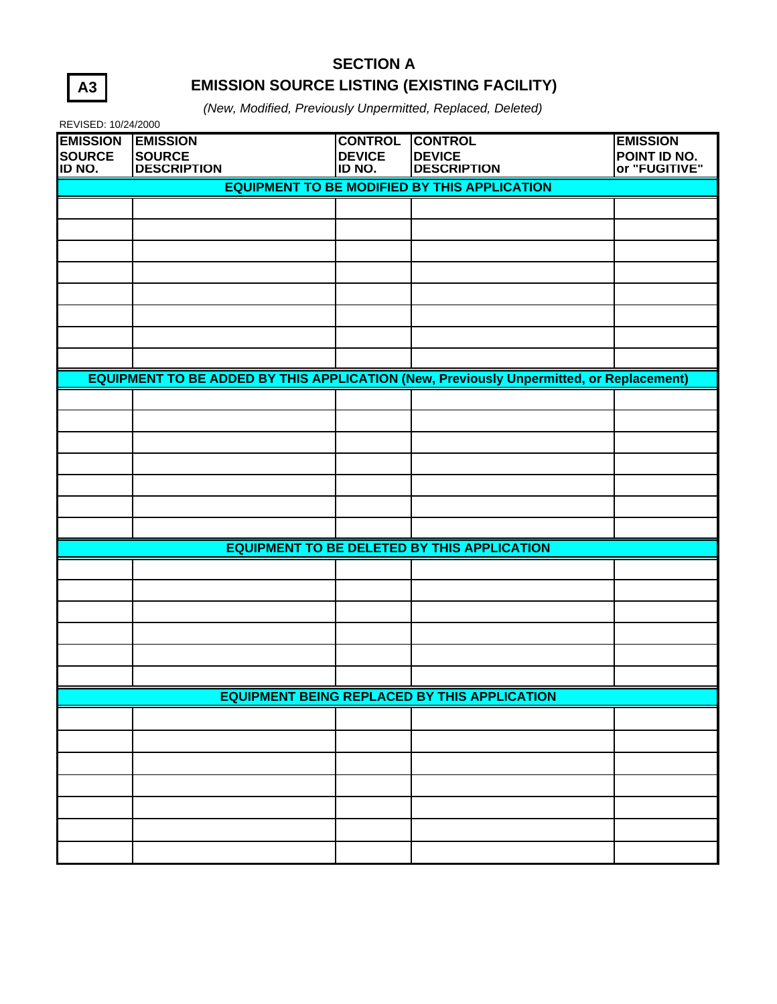| ۰, |
|----|
|----|

## **SECTION A EMISSION SOURCE LISTING (EXISTING FACILITY)**

*(New, Modified, Previously Unpermitted, Replaced, Deleted)*

| REVISED: 10/24/2000                                 |                                                        |                                           |                                                                                                |                                                  |  |  |  |  |  |
|-----------------------------------------------------|--------------------------------------------------------|-------------------------------------------|------------------------------------------------------------------------------------------------|--------------------------------------------------|--|--|--|--|--|
| <b>EMISSION</b><br><b>SOURCE</b><br>ID NO.          | <b>EMISSION</b><br><b>SOURCE</b><br><b>DESCRIPTION</b> | <b>CONTROL</b><br><b>DEVICE</b><br>ID NO. | <b>CONTROL</b><br><b>DEVICE</b><br><b>DESCRIPTION</b>                                          | <b>EMISSION</b><br>POINT ID NO.<br>or "FUGITIVE" |  |  |  |  |  |
| <b>EQUIPMENT TO BE MODIFIED BY THIS APPLICATION</b> |                                                        |                                           |                                                                                                |                                                  |  |  |  |  |  |
|                                                     |                                                        |                                           |                                                                                                |                                                  |  |  |  |  |  |
|                                                     |                                                        |                                           |                                                                                                |                                                  |  |  |  |  |  |
|                                                     |                                                        |                                           |                                                                                                |                                                  |  |  |  |  |  |
|                                                     |                                                        |                                           |                                                                                                |                                                  |  |  |  |  |  |
|                                                     |                                                        |                                           |                                                                                                |                                                  |  |  |  |  |  |
|                                                     |                                                        |                                           |                                                                                                |                                                  |  |  |  |  |  |
|                                                     |                                                        |                                           |                                                                                                |                                                  |  |  |  |  |  |
|                                                     |                                                        |                                           |                                                                                                |                                                  |  |  |  |  |  |
|                                                     |                                                        |                                           | <b>EQUIPMENT TO BE ADDED BY THIS APPLICATION (New, Previously Unpermitted, or Replacement)</b> |                                                  |  |  |  |  |  |
|                                                     |                                                        |                                           |                                                                                                |                                                  |  |  |  |  |  |
|                                                     |                                                        |                                           |                                                                                                |                                                  |  |  |  |  |  |
|                                                     |                                                        |                                           |                                                                                                |                                                  |  |  |  |  |  |
|                                                     |                                                        |                                           |                                                                                                |                                                  |  |  |  |  |  |
|                                                     |                                                        |                                           |                                                                                                |                                                  |  |  |  |  |  |
|                                                     |                                                        |                                           |                                                                                                |                                                  |  |  |  |  |  |
|                                                     |                                                        |                                           |                                                                                                |                                                  |  |  |  |  |  |
|                                                     |                                                        |                                           | <b>EQUIPMENT TO BE DELETED BY THIS APPLICATION</b>                                             |                                                  |  |  |  |  |  |
|                                                     |                                                        |                                           |                                                                                                |                                                  |  |  |  |  |  |
|                                                     |                                                        |                                           |                                                                                                |                                                  |  |  |  |  |  |
|                                                     |                                                        |                                           |                                                                                                |                                                  |  |  |  |  |  |
|                                                     |                                                        |                                           |                                                                                                |                                                  |  |  |  |  |  |
|                                                     |                                                        |                                           |                                                                                                |                                                  |  |  |  |  |  |
|                                                     |                                                        |                                           |                                                                                                |                                                  |  |  |  |  |  |
|                                                     | <b>EQUIPMENT BEING REPLACED BY THIS APPLICATION</b>    |                                           |                                                                                                |                                                  |  |  |  |  |  |
|                                                     |                                                        |                                           |                                                                                                |                                                  |  |  |  |  |  |
|                                                     |                                                        |                                           |                                                                                                |                                                  |  |  |  |  |  |
|                                                     |                                                        |                                           |                                                                                                |                                                  |  |  |  |  |  |
|                                                     |                                                        |                                           |                                                                                                |                                                  |  |  |  |  |  |
|                                                     |                                                        |                                           |                                                                                                |                                                  |  |  |  |  |  |
|                                                     |                                                        |                                           |                                                                                                |                                                  |  |  |  |  |  |
|                                                     |                                                        |                                           |                                                                                                |                                                  |  |  |  |  |  |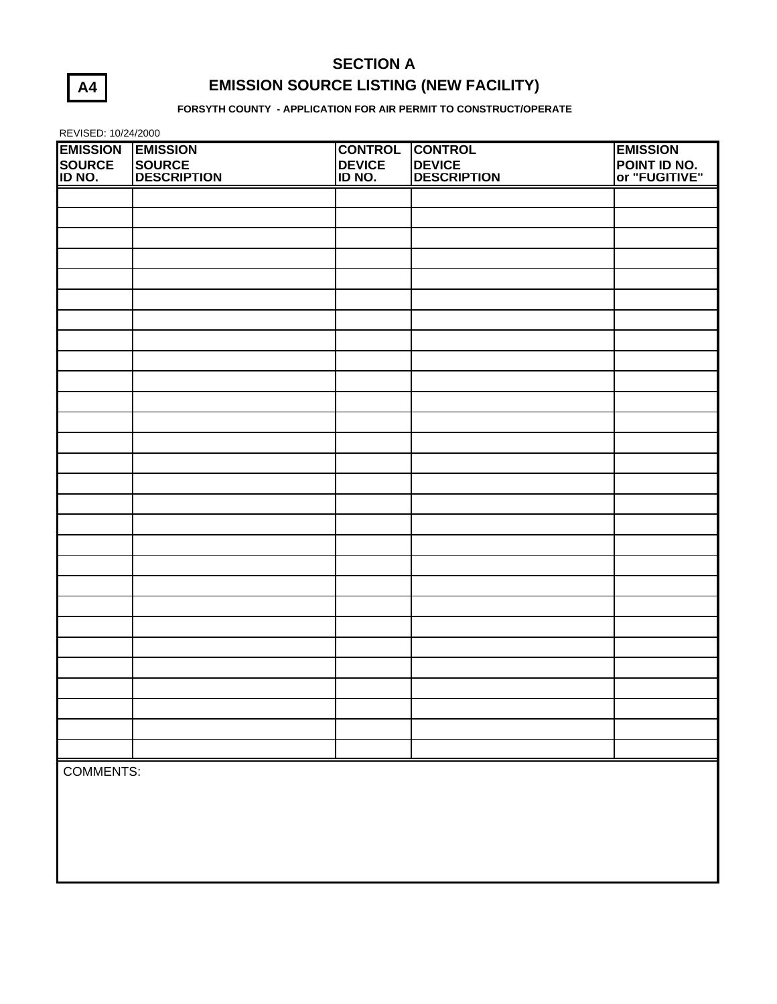# **A4**

## **SECTION A EMISSION SOURCE LISTING (NEW FACILITY)**

**FORSYTH COUNTY - APPLICATION FOR AIR PERMIT TO CONSTRUCT/OPERATE**

REVISED: 10/24/2000

| <b>EMISSION</b>  | <b>EMISSION</b>    | <b>CONTROL</b> | <b>CONTROL</b>     | <b>EMISSION</b>                      |
|------------------|--------------------|----------------|--------------------|--------------------------------------|
| SOURCE<br>ID NO. | SOURCE             | <b>DEVICE</b>  | <b>DEVICE</b>      | <b>POINT ID NO.</b><br>or "FUGITIVE" |
|                  | <b>DESCRIPTION</b> | ID NO.         | <b>DESCRIPTION</b> |                                      |
|                  |                    |                |                    |                                      |
|                  |                    |                |                    |                                      |
|                  |                    |                |                    |                                      |
|                  |                    |                |                    |                                      |
|                  |                    |                |                    |                                      |
|                  |                    |                |                    |                                      |
|                  |                    |                |                    |                                      |
|                  |                    |                |                    |                                      |
|                  |                    |                |                    |                                      |
|                  |                    |                |                    |                                      |
|                  |                    |                |                    |                                      |
|                  |                    |                |                    |                                      |
|                  |                    |                |                    |                                      |
|                  |                    |                |                    |                                      |
|                  |                    |                |                    |                                      |
|                  |                    |                |                    |                                      |
|                  |                    |                |                    |                                      |
|                  |                    |                |                    |                                      |
|                  |                    |                |                    |                                      |
|                  |                    |                |                    |                                      |
|                  |                    |                |                    |                                      |
|                  |                    |                |                    |                                      |
|                  |                    |                |                    |                                      |
|                  |                    |                |                    |                                      |
|                  |                    |                |                    |                                      |
|                  |                    |                |                    |                                      |
|                  |                    |                |                    |                                      |
|                  |                    |                |                    |                                      |
|                  |                    |                |                    |                                      |
| <b>COMMENTS:</b> |                    |                |                    |                                      |
|                  |                    |                |                    |                                      |
|                  |                    |                |                    |                                      |
|                  |                    |                |                    |                                      |
|                  |                    |                |                    |                                      |
|                  |                    |                |                    |                                      |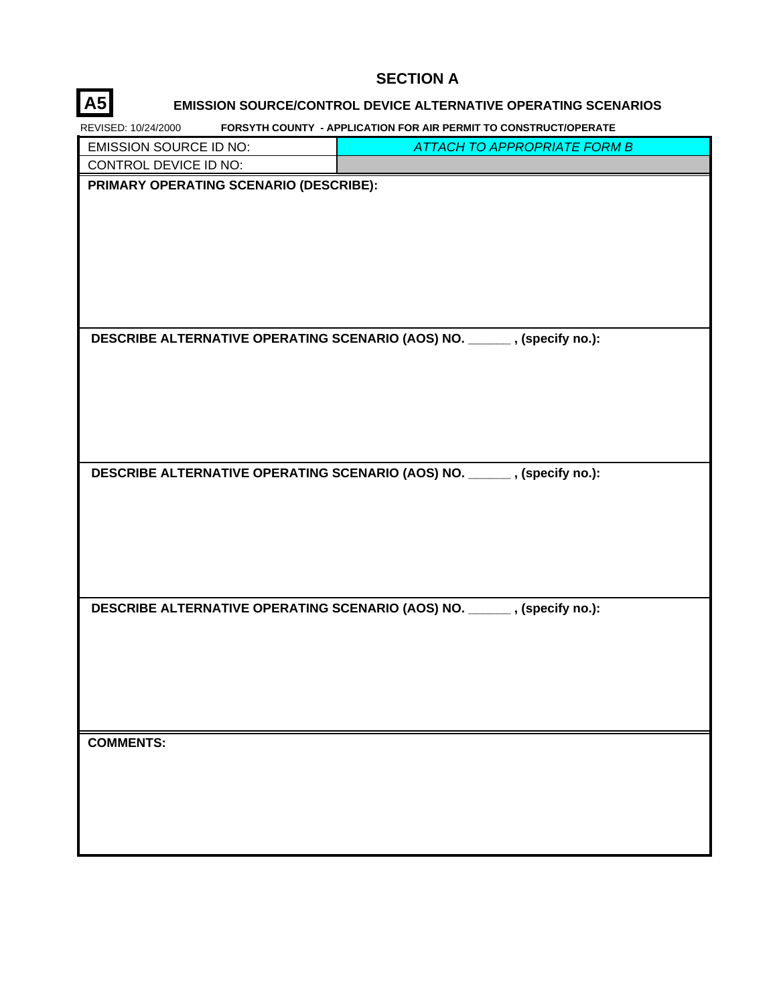#### **SECTION A**

## **A5 EMISSION SOURCE/CONTROL DEVICE ALTERNATIVE OPERATING SCENARIOS**

**FORSYTH COUNTY - APPLICATION FOR AIR PERMIT TO CONSTRUCT/OPERATE** REVISED: 10/24/2000

| <b>EMISSION SOURCE ID NO:</b>          | <b>ATTACH TO APPROPRIATE FORM B</b>                                     |
|----------------------------------------|-------------------------------------------------------------------------|
| CONTROL DEVICE ID NO:                  |                                                                         |
| PRIMARY OPERATING SCENARIO (DESCRIBE): |                                                                         |
|                                        | DESCRIBE ALTERNATIVE OPERATING SCENARIO (AOS) NO. _____, (specify no.): |
|                                        | DESCRIBE ALTERNATIVE OPERATING SCENARIO (AOS) NO. _____, (specify no.): |
|                                        | DESCRIBE ALTERNATIVE OPERATING SCENARIO (AOS) NO. _____, (specify no.): |
| <b>COMMENTS:</b>                       |                                                                         |

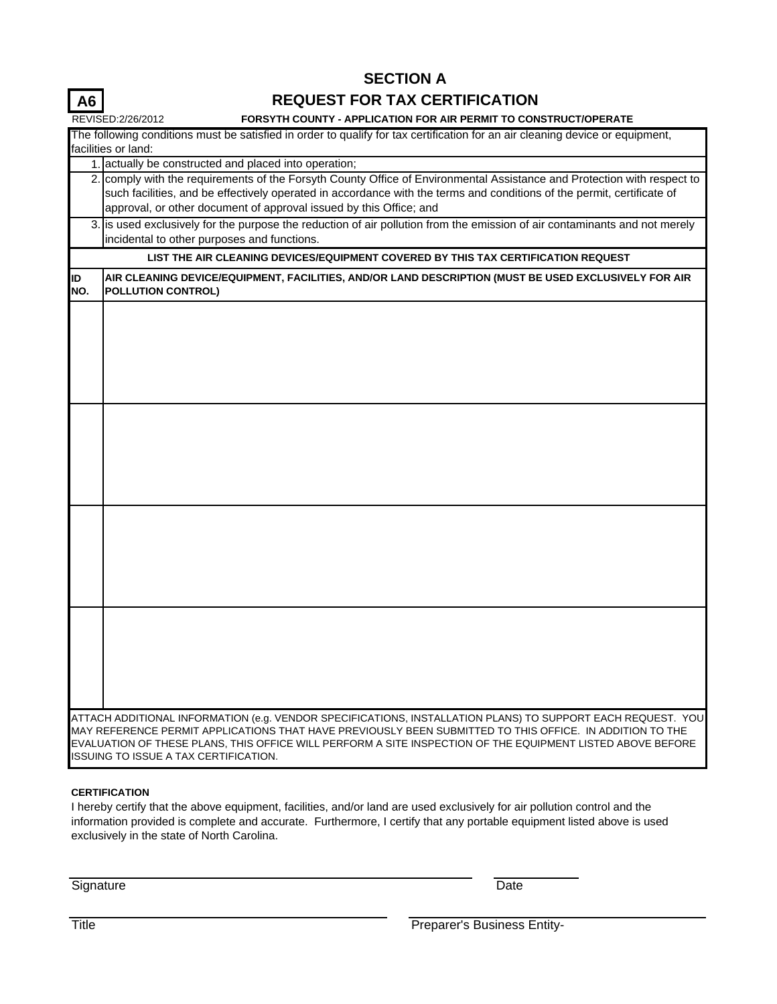### **REQUEST FOR TAX CERTIFICATION**

|           | REVISED:2/26/2012<br>FORSYTH COUNTY - APPLICATION FOR AIR PERMIT TO CONSTRUCT/OPERATE                                                                                                                                                                                                                                                                                           |
|-----------|---------------------------------------------------------------------------------------------------------------------------------------------------------------------------------------------------------------------------------------------------------------------------------------------------------------------------------------------------------------------------------|
|           | The following conditions must be satisfied in order to qualify for tax certification for an air cleaning device or equipment,                                                                                                                                                                                                                                                   |
|           | facilities or land:                                                                                                                                                                                                                                                                                                                                                             |
|           | 1. actually be constructed and placed into operation;                                                                                                                                                                                                                                                                                                                           |
|           | 2. comply with the requirements of the Forsyth County Office of Environmental Assistance and Protection with respect to<br>such facilities, and be effectively operated in accordance with the terms and conditions of the permit, certificate of<br>approval, or other document of approval issued by this Office; and                                                         |
|           | 3. is used exclusively for the purpose the reduction of air pollution from the emission of air contaminants and not merely<br>incidental to other purposes and functions.                                                                                                                                                                                                       |
|           | LIST THE AIR CLEANING DEVICES/EQUIPMENT COVERED BY THIS TAX CERTIFICATION REQUEST                                                                                                                                                                                                                                                                                               |
| ID<br>NO. | AIR CLEANING DEVICE/EQUIPMENT, FACILITIES, AND/OR LAND DESCRIPTION (MUST BE USED EXCLUSIVELY FOR AIR<br><b>POLLUTION CONTROL)</b>                                                                                                                                                                                                                                               |
|           |                                                                                                                                                                                                                                                                                                                                                                                 |
|           |                                                                                                                                                                                                                                                                                                                                                                                 |
|           |                                                                                                                                                                                                                                                                                                                                                                                 |
|           |                                                                                                                                                                                                                                                                                                                                                                                 |
|           |                                                                                                                                                                                                                                                                                                                                                                                 |
|           |                                                                                                                                                                                                                                                                                                                                                                                 |
|           |                                                                                                                                                                                                                                                                                                                                                                                 |
|           | ATTACH ADDITIONAL INFORMATION (e.g. VENDOR SPECIFICATIONS, INSTALLATION PLANS) TO SUPPORT EACH REQUEST.  YOU<br>MAY REFERENCE PERMIT APPLICATIONS THAT HAVE PREVIOUSLY BEEN SUBMITTED TO THIS OFFICE. IN ADDITION TO THE<br>EVALUATION OF THESE PLANS, THIS OFFICE WILL PERFORM A SITE INSPECTION OF THE EQUIPMENT LISTED ABOVE BEFORE<br>ISSUING TO ISSUE A TAX CERTIFICATION. |

#### **CERTIFICATION**

**A6**

I hereby certify that the above equipment, facilities, and/or land are used exclusively for air pollution control and the information provided is complete and accurate. Furthermore, I certify that any portable equipment listed above is used exclusively in the state of North Carolina.

Signature Date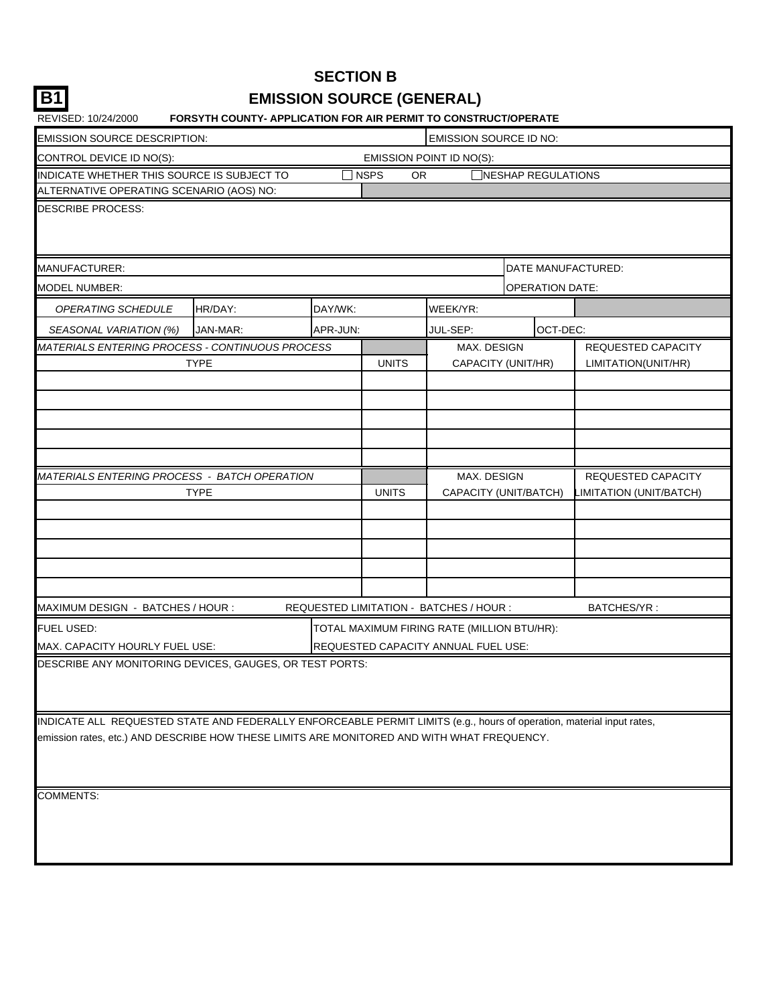|    | <b>SECTION B</b>                 |
|----|----------------------------------|
| B1 | <b>EMISSION SOURCE (GENERAL)</b> |

| REVISED: 10/24/2000                                                                                                   | <b>FORSYTH COUNTY- APPLICATION FOR AIR PERMIT TO CONSTRUCT/OPERATE</b> |          |              |                                             |                        |                           |  |  |  |
|-----------------------------------------------------------------------------------------------------------------------|------------------------------------------------------------------------|----------|--------------|---------------------------------------------|------------------------|---------------------------|--|--|--|
| <b>EMISSION SOURCE DESCRIPTION:</b>                                                                                   |                                                                        |          |              | <b>EMISSION SOURCE ID NO:</b>               |                        |                           |  |  |  |
| CONTROL DEVICE ID NO(S):                                                                                              |                                                                        |          |              | EMISSION POINT ID NO(S):                    |                        |                           |  |  |  |
| INDICATE WHETHER THIS SOURCE IS SUBJECT TO                                                                            |                                                                        |          | NSPS<br>OR.  |                                             | NESHAP REGULATIONS     |                           |  |  |  |
| ALTERNATIVE OPERATING SCENARIO (AOS) NO:                                                                              |                                                                        |          |              |                                             |                        |                           |  |  |  |
| DESCRIBE PROCESS:                                                                                                     |                                                                        |          |              |                                             |                        |                           |  |  |  |
|                                                                                                                       |                                                                        |          |              |                                             |                        |                           |  |  |  |
|                                                                                                                       |                                                                        |          |              |                                             |                        |                           |  |  |  |
| MANUFACTURER:                                                                                                         |                                                                        |          |              |                                             | DATE MANUFACTURED:     |                           |  |  |  |
| MODEL NUMBER:                                                                                                         |                                                                        |          |              |                                             | <b>OPERATION DATE:</b> |                           |  |  |  |
| OPERATING SCHEDULE                                                                                                    | HR/DAY:                                                                | DAY/WK:  |              | WEEK/YR:                                    |                        |                           |  |  |  |
| SEASONAL VARIATION (%)                                                                                                | JAN-MAR:                                                               | APR-JUN: |              | JUL-SEP:                                    | OCT-DEC:               |                           |  |  |  |
| MATERIALS ENTERING PROCESS - CONTINUOUS PROCESS                                                                       |                                                                        |          |              | MAX. DESIGN                                 |                        | <b>REQUESTED CAPACITY</b> |  |  |  |
|                                                                                                                       | <b>TYPE</b>                                                            |          | <b>UNITS</b> | CAPACITY (UNIT/HR)                          |                        | LIMITATION(UNIT/HR)       |  |  |  |
|                                                                                                                       |                                                                        |          |              |                                             |                        |                           |  |  |  |
|                                                                                                                       |                                                                        |          |              |                                             |                        |                           |  |  |  |
|                                                                                                                       |                                                                        |          |              |                                             |                        |                           |  |  |  |
|                                                                                                                       |                                                                        |          |              |                                             |                        |                           |  |  |  |
|                                                                                                                       |                                                                        |          |              |                                             |                        |                           |  |  |  |
| MATERIALS ENTERING PROCESS - BATCH OPERATION                                                                          |                                                                        |          |              | MAX. DESIGN                                 |                        | <b>REQUESTED CAPACITY</b> |  |  |  |
|                                                                                                                       | <b>TYPE</b>                                                            |          | <b>UNITS</b> | CAPACITY (UNIT/BATCH)                       |                        | IMITATION (UNIT/BATCH)    |  |  |  |
|                                                                                                                       |                                                                        |          |              |                                             |                        |                           |  |  |  |
|                                                                                                                       |                                                                        |          |              |                                             |                        |                           |  |  |  |
|                                                                                                                       |                                                                        |          |              |                                             |                        |                           |  |  |  |
|                                                                                                                       |                                                                        |          |              |                                             |                        |                           |  |  |  |
|                                                                                                                       |                                                                        |          |              |                                             |                        |                           |  |  |  |
| MAXIMUM DESIGN - BATCHES / HOUR :                                                                                     |                                                                        |          |              | REQUESTED LIMITATION - BATCHES / HOUR :     |                        | BATCHES/YR:               |  |  |  |
| FUEL USED:                                                                                                            |                                                                        |          |              | TOTAL MAXIMUM FIRING RATE (MILLION BTU/HR): |                        |                           |  |  |  |
| MAX. CAPACITY HOURLY FUEL USE:                                                                                        |                                                                        |          |              | REQUESTED CAPACITY ANNUAL FUEL USE:         |                        |                           |  |  |  |
| DESCRIBE ANY MONITORING DEVICES, GAUGES, OR TEST PORTS:                                                               |                                                                        |          |              |                                             |                        |                           |  |  |  |
|                                                                                                                       |                                                                        |          |              |                                             |                        |                           |  |  |  |
|                                                                                                                       |                                                                        |          |              |                                             |                        |                           |  |  |  |
| INDICATE ALL REQUESTED STATE AND FEDERALLY ENFORCEABLE PERMIT LIMITS (e.g., hours of operation, material input rates, |                                                                        |          |              |                                             |                        |                           |  |  |  |
| emission rates, etc.) AND DESCRIBE HOW THESE LIMITS ARE MONITORED AND WITH WHAT FREQUENCY.                            |                                                                        |          |              |                                             |                        |                           |  |  |  |
|                                                                                                                       |                                                                        |          |              |                                             |                        |                           |  |  |  |
|                                                                                                                       |                                                                        |          |              |                                             |                        |                           |  |  |  |
| COMMENTS:                                                                                                             |                                                                        |          |              |                                             |                        |                           |  |  |  |
|                                                                                                                       |                                                                        |          |              |                                             |                        |                           |  |  |  |
|                                                                                                                       |                                                                        |          |              |                                             |                        |                           |  |  |  |
|                                                                                                                       |                                                                        |          |              |                                             |                        |                           |  |  |  |
|                                                                                                                       |                                                                        |          |              |                                             |                        |                           |  |  |  |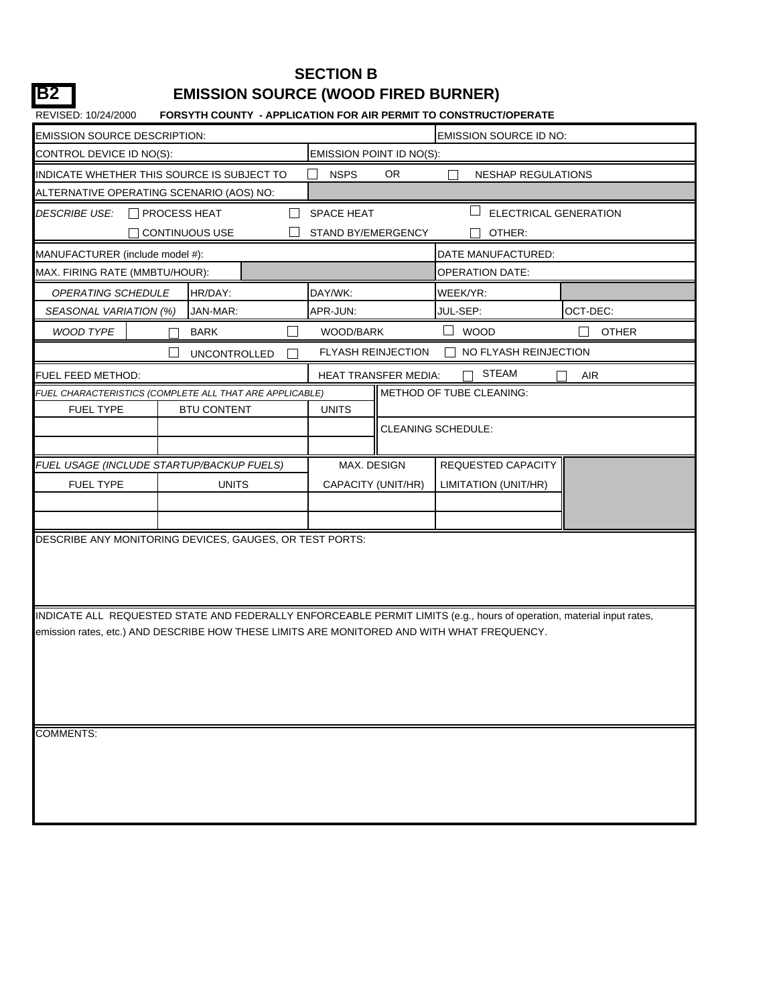## **SECTION B B2 EMISSION SOURCE (WOOD FIRED BURNER)**

| <b>EMISSION SOURCE DESCRIPTION:</b>      |                                                                                                                       |                          |                             | <b>EMISSION SOURCE ID NO:</b> |              |
|------------------------------------------|-----------------------------------------------------------------------------------------------------------------------|--------------------------|-----------------------------|-------------------------------|--------------|
| CONTROL DEVICE ID NO(S):                 |                                                                                                                       | EMISSION POINT ID NO(S): |                             |                               |              |
|                                          | INDICATE WHETHER THIS SOURCE IS SUBJECT TO                                                                            | <b>NSPS</b>              | OR.                         | <b>NESHAP REGULATIONS</b>     |              |
| ALTERNATIVE OPERATING SCENARIO (AOS) NO: |                                                                                                                       |                          |                             |                               |              |
| <b>DESCRIBE USE:</b>                     | $\Box$ PROCESS HEAT                                                                                                   | SPACE HEAT               |                             | ELECTRICAL GENERATION         |              |
|                                          | CONTINUOUS USE                                                                                                        | STAND BY/EMERGENCY       |                             | OTHER:                        |              |
| MANUFACTURER (include model #):          |                                                                                                                       |                          |                             | DATE MANUFACTURED:            |              |
| MAX. FIRING RATE (MMBTU/HOUR):           |                                                                                                                       |                          |                             | <b>OPERATION DATE:</b>        |              |
| OPERATING SCHEDULE                       | HR/DAY:                                                                                                               | DAY/WK:                  |                             | WEEK/YR:                      |              |
| SEASONAL VARIATION (%)                   | JAN-MAR:                                                                                                              | APR-JUN:                 |                             | JUL-SEP:                      | OCT-DEC:     |
| WOOD TYPE                                | <b>BARK</b>                                                                                                           | WOOD/BARK                |                             | <b>WOOD</b>                   | <b>OTHER</b> |
|                                          | <b>UNCONTROLLED</b>                                                                                                   |                          | <b>FLYASH REINJECTION</b>   | NO FLYASH REINJECTION         |              |
| FUEL FEED METHOD:                        |                                                                                                                       |                          | <b>HEAT TRANSFER MEDIA:</b> | <b>STEAM</b>                  | <b>AIR</b>   |
|                                          | FUEL CHARACTERISTICS (COMPLETE ALL THAT ARE APPLICABLE)                                                               |                          |                             | METHOD OF TUBE CLEANING:      |              |
| <b>FUEL TYPE</b>                         | <b>BTU CONTENT</b>                                                                                                    | <b>UNITS</b>             |                             |                               |              |
|                                          |                                                                                                                       |                          |                             | <b>CLEANING SCHEDULE:</b>     |              |
|                                          |                                                                                                                       |                          |                             |                               |              |
|                                          | FUEL USAGE (INCLUDE STARTUP/BACKUP FUELS)                                                                             | MAX. DESIGN              |                             | <b>REQUESTED CAPACITY</b>     |              |
| <b>FUEL TYPE</b>                         | <b>UNITS</b>                                                                                                          | CAPACITY (UNIT/HR)       |                             | <b>LIMITATION (UNIT/HR)</b>   |              |
|                                          |                                                                                                                       |                          |                             |                               |              |
|                                          |                                                                                                                       |                          |                             |                               |              |
|                                          | DESCRIBE ANY MONITORING DEVICES, GAUGES, OR TEST PORTS:                                                               |                          |                             |                               |              |
|                                          |                                                                                                                       |                          |                             |                               |              |
|                                          |                                                                                                                       |                          |                             |                               |              |
|                                          | INDICATE ALL REQUESTED STATE AND FEDERALLY ENFORCEABLE PERMIT LIMITS (e.g., hours of operation, material input rates, |                          |                             |                               |              |
|                                          | emission rates, etc.) AND DESCRIBE HOW THESE LIMITS ARE MONITORED AND WITH WHAT FREQUENCY.                            |                          |                             |                               |              |
|                                          |                                                                                                                       |                          |                             |                               |              |
|                                          |                                                                                                                       |                          |                             |                               |              |
|                                          |                                                                                                                       |                          |                             |                               |              |
|                                          |                                                                                                                       |                          |                             |                               |              |
|                                          |                                                                                                                       |                          |                             |                               |              |
| <b>COMMENTS:</b>                         |                                                                                                                       |                          |                             |                               |              |
|                                          |                                                                                                                       |                          |                             |                               |              |
|                                          |                                                                                                                       |                          |                             |                               |              |
|                                          |                                                                                                                       |                          |                             |                               |              |
|                                          |                                                                                                                       |                          |                             |                               |              |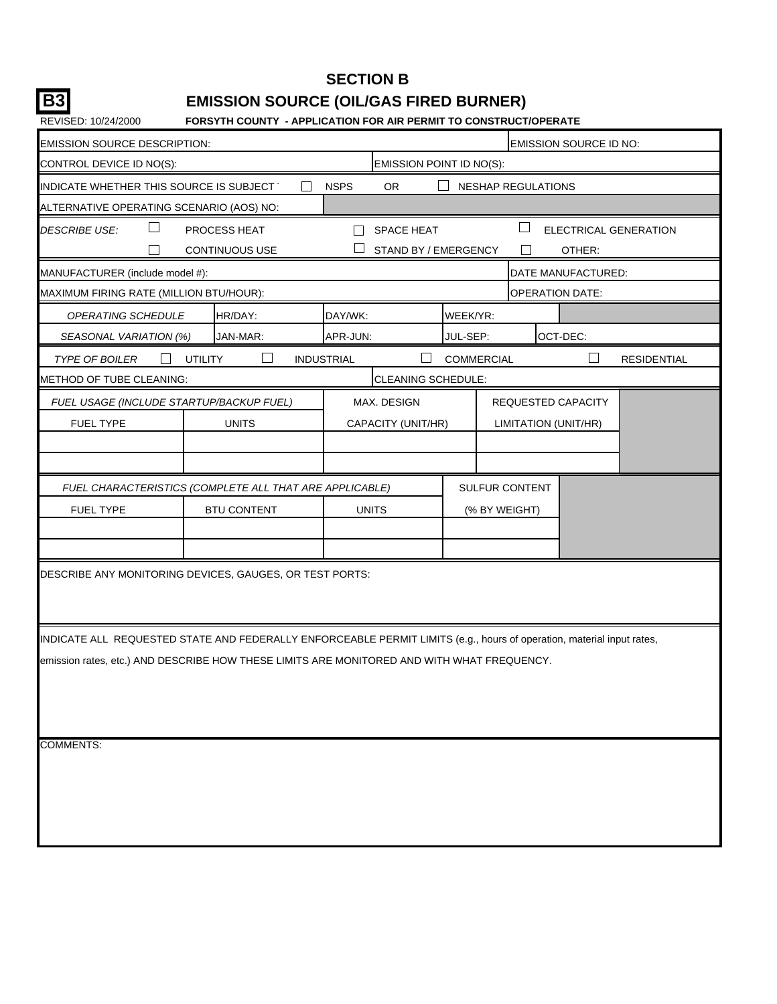**SECTION B**

# **B3 EMISSION SOURCE (OIL/GAS FIRED BURNER)**

| <b>EMISSION SOURCE DESCRIPTION:</b>                                                                                   |                |                       |                   |                      |          |                       |  | EMISSION SOURCE ID NO:    |                              |  |  |
|-----------------------------------------------------------------------------------------------------------------------|----------------|-----------------------|-------------------|----------------------|----------|-----------------------|--|---------------------------|------------------------------|--|--|
| CONTROL DEVICE ID NO(S):<br>EMISSION POINT ID NO(S):                                                                  |                |                       |                   |                      |          |                       |  |                           |                              |  |  |
| <b>OR</b><br>INDICATE WHETHER THIS SOURCE IS SUBJECT<br><b>NSPS</b><br><b>NESHAP REGULATIONS</b>                      |                |                       |                   |                      |          |                       |  |                           |                              |  |  |
| ALTERNATIVE OPERATING SCENARIO (AOS) NO:                                                                              |                |                       |                   |                      |          |                       |  |                           |                              |  |  |
| <b>DESCRIBE USE:</b>                                                                                                  |                | PROCESS HEAT          |                   | <b>SPACE HEAT</b>    |          | ш                     |  |                           | <b>ELECTRICAL GENERATION</b> |  |  |
|                                                                                                                       |                | <b>CONTINUOUS USE</b> |                   | STAND BY / EMERGENCY |          |                       |  | OTHER:                    |                              |  |  |
| MANUFACTURER (include model #):                                                                                       |                |                       |                   |                      |          |                       |  | DATE MANUFACTURED:        |                              |  |  |
| MAXIMUM FIRING RATE (MILLION BTU/HOUR):                                                                               |                |                       |                   |                      |          |                       |  | OPERATION DATE:           |                              |  |  |
| OPERATING SCHEDULE                                                                                                    |                | HR/DAY:               | DAY/WK:           |                      | WEEK/YR: |                       |  |                           |                              |  |  |
| SEASONAL VARIATION (%)                                                                                                |                | JAN-MAR:              | APR-JUN:          |                      | JUL-SEP: |                       |  | OCT-DEC:                  |                              |  |  |
| <b>TYPE OF BOILER</b>                                                                                                 | <b>UTILITY</b> |                       | <b>INDUSTRIAL</b> |                      |          | <b>COMMERCIAL</b>     |  |                           | <b>RESIDENTIAL</b>           |  |  |
| METHOD OF TUBE CLEANING:                                                                                              |                |                       |                   | CLEANING SCHEDULE:   |          |                       |  |                           |                              |  |  |
| FUEL USAGE (INCLUDE STARTUP/BACKUP FUEL)                                                                              |                |                       |                   | MAX. DESIGN          |          |                       |  | <b>REQUESTED CAPACITY</b> |                              |  |  |
| <b>FUEL TYPE</b>                                                                                                      |                | <b>UNITS</b>          |                   | CAPACITY (UNIT/HR)   |          |                       |  | LIMITATION (UNIT/HR)      |                              |  |  |
|                                                                                                                       |                |                       |                   |                      |          |                       |  |                           |                              |  |  |
|                                                                                                                       |                |                       |                   |                      |          |                       |  |                           |                              |  |  |
| FUEL CHARACTERISTICS (COMPLETE ALL THAT ARE APPLICABLE)                                                               |                |                       |                   |                      |          | <b>SULFUR CONTENT</b> |  |                           |                              |  |  |
| FUEL TYPE                                                                                                             |                | <b>BTU CONTENT</b>    |                   | <b>UNITS</b>         |          | (% BY WEIGHT)         |  |                           |                              |  |  |
|                                                                                                                       |                |                       |                   |                      |          |                       |  |                           |                              |  |  |
|                                                                                                                       |                |                       |                   |                      |          |                       |  |                           |                              |  |  |
| DESCRIBE ANY MONITORING DEVICES, GAUGES, OR TEST PORTS:                                                               |                |                       |                   |                      |          |                       |  |                           |                              |  |  |
|                                                                                                                       |                |                       |                   |                      |          |                       |  |                           |                              |  |  |
|                                                                                                                       |                |                       |                   |                      |          |                       |  |                           |                              |  |  |
| INDICATE ALL REQUESTED STATE AND FEDERALLY ENFORCEABLE PERMIT LIMITS (e.g., hours of operation, material input rates, |                |                       |                   |                      |          |                       |  |                           |                              |  |  |
| emission rates, etc.) AND DESCRIBE HOW THESE LIMITS ARE MONITORED AND WITH WHAT FREQUENCY.                            |                |                       |                   |                      |          |                       |  |                           |                              |  |  |
|                                                                                                                       |                |                       |                   |                      |          |                       |  |                           |                              |  |  |
|                                                                                                                       |                |                       |                   |                      |          |                       |  |                           |                              |  |  |
|                                                                                                                       |                |                       |                   |                      |          |                       |  |                           |                              |  |  |
| <b>COMMENTS:</b>                                                                                                      |                |                       |                   |                      |          |                       |  |                           |                              |  |  |
|                                                                                                                       |                |                       |                   |                      |          |                       |  |                           |                              |  |  |
|                                                                                                                       |                |                       |                   |                      |          |                       |  |                           |                              |  |  |
|                                                                                                                       |                |                       |                   |                      |          |                       |  |                           |                              |  |  |
|                                                                                                                       |                |                       |                   |                      |          |                       |  |                           |                              |  |  |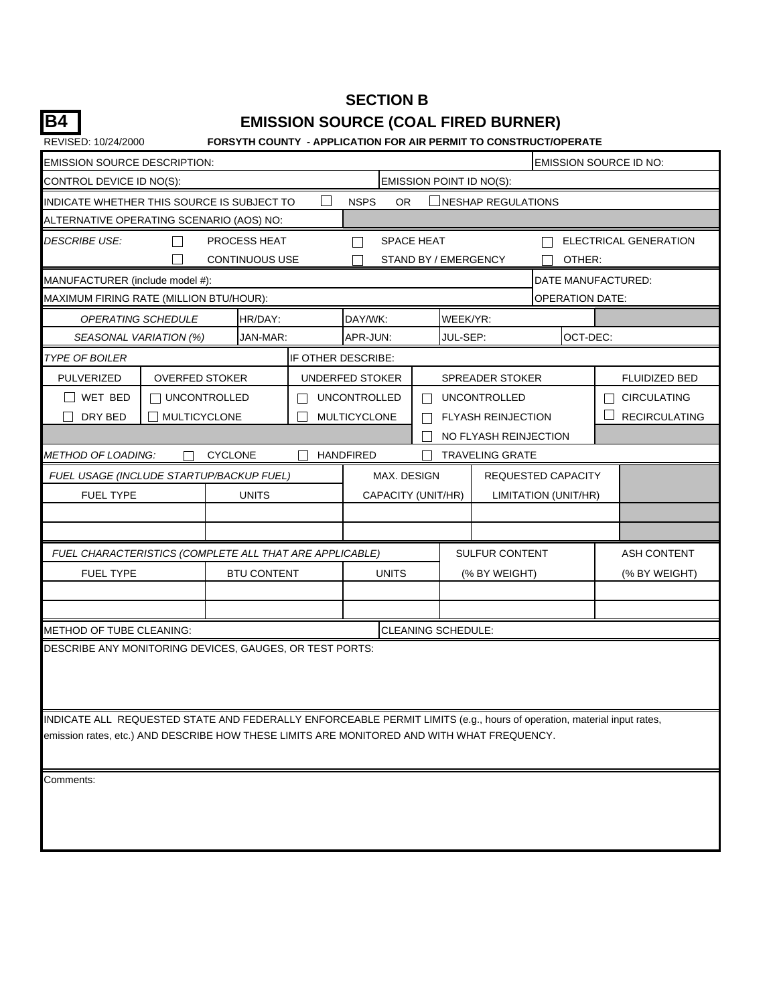## **SECTION B B4 EMISSION SOURCE (COAL FIRED BURNER)**

| REVISED: 10/24/2000                                                                        |                       |                       |        |                     |          | <b>FORSYTH COUNTY - APPLICATION FOR AIR PERMIT TO CONSTRUCT/OPERATE</b>                                               |                        |                       |
|--------------------------------------------------------------------------------------------|-----------------------|-----------------------|--------|---------------------|----------|-----------------------------------------------------------------------------------------------------------------------|------------------------|-----------------------|
| EMISSION SOURCE DESCRIPTION:                                                               |                       |                       |        |                     |          |                                                                                                                       | EMISSION SOURCE ID NO: |                       |
| CONTROL DEVICE ID NO(S):                                                                   |                       |                       |        |                     |          | EMISSION POINT ID NO(S):                                                                                              |                        |                       |
| INDICATE WHETHER THIS SOURCE IS SUBJECT TO                                                 |                       |                       |        | <b>NSPS</b><br>OR.  |          | NESHAP REGULATIONS                                                                                                    |                        |                       |
| ALTERNATIVE OPERATING SCENARIO (AOS) NO:                                                   |                       |                       |        |                     |          |                                                                                                                       |                        |                       |
| <i>DESCRIBE USE:</i>                                                                       |                       | PROCESS HEAT          |        | <b>SPACE HEAT</b>   |          |                                                                                                                       |                        | ELECTRICAL GENERATION |
|                                                                                            |                       | <b>CONTINUOUS USE</b> |        |                     |          | STAND BY / EMERGENCY                                                                                                  | OTHER:                 |                       |
| MANUFACTURER (include model #):                                                            |                       |                       |        |                     |          |                                                                                                                       | DATE MANUFACTURED:     |                       |
| MAXIMUM FIRING RATE (MILLION BTU/HOUR):                                                    |                       |                       |        |                     |          |                                                                                                                       | <b>OPERATION DATE:</b> |                       |
|                                                                                            | OPERATING SCHEDULE    | HR/DAY:               |        | DAY/WK:             | WEEK/YR: |                                                                                                                       |                        |                       |
| SEASONAL VARIATION (%)                                                                     |                       | JAN-MAR:              |        | APR-JUN:            | JUL-SEP: |                                                                                                                       | OCT-DEC:               |                       |
| <i>TYPE OF BOILER</i>                                                                      |                       |                       |        | IF OTHER DESCRIBE:  |          |                                                                                                                       |                        |                       |
| PULVERIZED                                                                                 | <b>OVERFED STOKER</b> |                       |        | UNDERFED STOKER     |          | <b>SPREADER STOKER</b>                                                                                                |                        | <b>FLUIDIZED BED</b>  |
| I I WET BED                                                                                | $\sqcap$ UNCONTROLLED |                       | $\sim$ | <b>UNCONTROLLED</b> |          | <b>UNCONTROLLED</b>                                                                                                   |                        | <b>CIRCULATING</b>    |
| DRY BED                                                                                    | <b>MULTICYCLONE</b>   |                       |        | MULTICYCLONE        |          | <b>FLYASH REINJECTION</b>                                                                                             |                        | <b>RECIRCULATING</b>  |
|                                                                                            |                       |                       |        |                     |          | NO FLYASH REINJECTION                                                                                                 |                        |                       |
| <b>METHOD OF LOADING:</b>                                                                  |                       | <b>CYCLONE</b>        |        | <b>HANDFIRED</b>    |          | <b>TRAVELING GRATE</b>                                                                                                |                        |                       |
| FUEL USAGE (INCLUDE STARTUP/BACKUP FUEL)                                                   |                       |                       |        | MAX. DESIGN         |          | REQUESTED CAPACITY                                                                                                    |                        |                       |
| <b>FUEL TYPE</b>                                                                           |                       | <b>UNITS</b>          |        | CAPACITY (UNIT/HR)  |          | <b>LIMITATION (UNIT/HR)</b>                                                                                           |                        |                       |
|                                                                                            |                       |                       |        |                     |          |                                                                                                                       |                        |                       |
|                                                                                            |                       |                       |        |                     |          |                                                                                                                       |                        |                       |
| FUEL CHARACTERISTICS (COMPLETE ALL THAT ARE APPLICABLE)                                    |                       |                       |        |                     |          | <b>SULFUR CONTENT</b>                                                                                                 |                        | <b>ASH CONTENT</b>    |
| <b>FUEL TYPE</b>                                                                           |                       | <b>BTU CONTENT</b>    |        | <b>UNITS</b>        |          | (% BY WEIGHT)                                                                                                         |                        | (% BY WEIGHT)         |
|                                                                                            |                       |                       |        |                     |          |                                                                                                                       |                        |                       |
|                                                                                            |                       |                       |        |                     |          |                                                                                                                       |                        |                       |
| METHOD OF TUBE CLEANING:                                                                   |                       |                       |        | CLEANING SCHEDULE:  |          |                                                                                                                       |                        |                       |
| DESCRIBE ANY MONITORING DEVICES, GAUGES, OR TEST PORTS:                                    |                       |                       |        |                     |          |                                                                                                                       |                        |                       |
|                                                                                            |                       |                       |        |                     |          |                                                                                                                       |                        |                       |
|                                                                                            |                       |                       |        |                     |          |                                                                                                                       |                        |                       |
|                                                                                            |                       |                       |        |                     |          |                                                                                                                       |                        |                       |
| emission rates, etc.) AND DESCRIBE HOW THESE LIMITS ARE MONITORED AND WITH WHAT FREQUENCY. |                       |                       |        |                     |          | INDICATE ALL REQUESTED STATE AND FEDERALLY ENFORCEABLE PERMIT LIMITS (e.g., hours of operation, material input rates, |                        |                       |
|                                                                                            |                       |                       |        |                     |          |                                                                                                                       |                        |                       |
|                                                                                            |                       |                       |        |                     |          |                                                                                                                       |                        |                       |
| Comments:                                                                                  |                       |                       |        |                     |          |                                                                                                                       |                        |                       |
|                                                                                            |                       |                       |        |                     |          |                                                                                                                       |                        |                       |
|                                                                                            |                       |                       |        |                     |          |                                                                                                                       |                        |                       |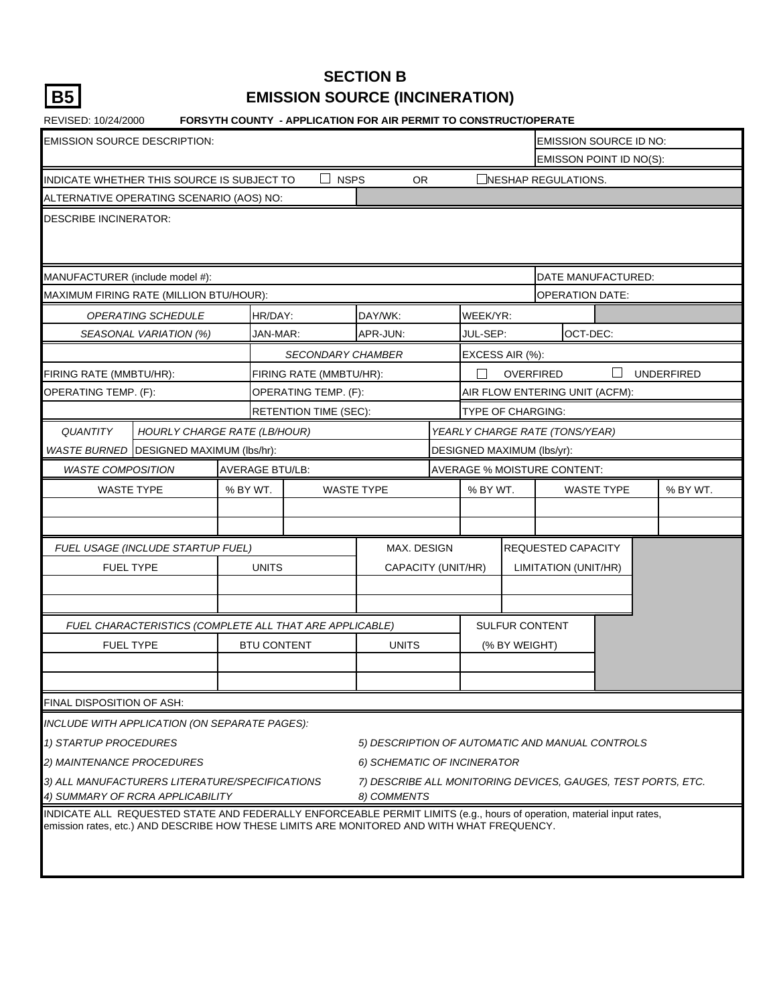|--|

## **SECTION B EMISSION SOURCE (INCINERATION)**

| REVISED: 10/24/2000                                                                                                                                                                                                 |                        |              |                               | <b>FORSYTH COUNTY - APPLICATION FOR AIR PERMIT TO CONSTRUCT/OPERATE</b>                     |                            |                  |                                    |                         |                   |
|---------------------------------------------------------------------------------------------------------------------------------------------------------------------------------------------------------------------|------------------------|--------------|-------------------------------|---------------------------------------------------------------------------------------------|----------------------------|------------------|------------------------------------|-------------------------|-------------------|
| <b>EMISSION SOURCE DESCRIPTION:</b>                                                                                                                                                                                 |                        |              |                               |                                                                                             |                            |                  |                                    | EMISSION SOURCE ID NO:  |                   |
|                                                                                                                                                                                                                     |                        |              |                               |                                                                                             |                            |                  |                                    | EMISSON POINT ID NO(S): |                   |
| INDICATE WHETHER THIS SOURCE IS SUBJECT TO                                                                                                                                                                          |                        |              | <b>NSPS</b><br>$\blacksquare$ | OR.                                                                                         |                            |                  | NESHAP REGULATIONS.                |                         |                   |
| ALTERNATIVE OPERATING SCENARIO (AOS) NO:                                                                                                                                                                            |                        |              |                               |                                                                                             |                            |                  |                                    |                         |                   |
| <b>DESCRIBE INCINERATOR:</b>                                                                                                                                                                                        |                        |              |                               |                                                                                             |                            |                  |                                    |                         |                   |
| MANUFACTURER (include model #):                                                                                                                                                                                     |                        |              |                               |                                                                                             |                            |                  |                                    | DATE MANUFACTURED:      |                   |
| MAXIMUM FIRING RATE (MILLION BTU/HOUR):                                                                                                                                                                             |                        |              |                               |                                                                                             |                            |                  | <b>OPERATION DATE:</b>             |                         |                   |
| OPERATING SCHEDULE                                                                                                                                                                                                  |                        | HR/DAY:      |                               | DAY/WK:                                                                                     | WEEK/YR:                   |                  |                                    |                         |                   |
| SEASONAL VARIATION (%)                                                                                                                                                                                              |                        | JAN-MAR:     |                               | APR-JUN:                                                                                    | JUL-SEP:                   |                  | OCT-DEC:                           |                         |                   |
|                                                                                                                                                                                                                     |                        |              | <b>SECONDARY CHAMBER</b>      |                                                                                             | EXCESS AIR (%):            |                  |                                    |                         |                   |
| FIRING RATE (MMBTU/HR):                                                                                                                                                                                             |                        |              | FIRING RATE (MMBTU/HR):       |                                                                                             |                            | <b>OVERFIRED</b> |                                    |                         | <b>UNDERFIRED</b> |
| OPERATING TEMP. (F):                                                                                                                                                                                                |                        |              | OPERATING TEMP. (F):          |                                                                                             |                            |                  | AIR FLOW ENTERING UNIT (ACFM):     |                         |                   |
|                                                                                                                                                                                                                     |                        |              | <b>RETENTION TIME (SEC):</b>  |                                                                                             | <b>TYPE OF CHARGING:</b>   |                  |                                    |                         |                   |
| <b>QUANTITY</b><br><b>HOURLY CHARGE RATE (LB/HOUR)</b>                                                                                                                                                              |                        |              |                               |                                                                                             |                            |                  | YEARLY CHARGE RATE (TONS/YEAR)     |                         |                   |
| WASTE BURNED DESIGNED MAXIMUM (lbs/hr):                                                                                                                                                                             |                        |              |                               |                                                                                             | DESIGNED MAXIMUM (lbs/yr): |                  |                                    |                         |                   |
| <b>WASTE COMPOSITION</b>                                                                                                                                                                                            | <b>AVERAGE BTU/LB:</b> |              |                               |                                                                                             |                            |                  | <b>AVERAGE % MOISTURE CONTENT:</b> |                         |                   |
| <b>WASTE TYPE</b>                                                                                                                                                                                                   | % BY WT.               |              |                               | <b>WASTE TYPE</b>                                                                           | % BY WT.                   |                  |                                    | <b>WASTE TYPE</b>       | % BY WT.          |
|                                                                                                                                                                                                                     |                        |              |                               |                                                                                             |                            |                  |                                    |                         |                   |
|                                                                                                                                                                                                                     |                        |              |                               |                                                                                             |                            |                  |                                    |                         |                   |
| FUEL USAGE (INCLUDE STARTUP FUEL)                                                                                                                                                                                   |                        |              |                               | MAX. DESIGN                                                                                 |                            |                  | REQUESTED CAPACITY                 |                         |                   |
| <b>FUEL TYPE</b>                                                                                                                                                                                                    |                        | <b>UNITS</b> |                               | CAPACITY (UNIT/HR)                                                                          |                            |                  | LIMITATION (UNIT/HR)               |                         |                   |
|                                                                                                                                                                                                                     |                        |              |                               |                                                                                             |                            |                  |                                    |                         |                   |
|                                                                                                                                                                                                                     |                        |              |                               |                                                                                             |                            |                  |                                    |                         |                   |
| FUEL CHARACTERISTICS (COMPLETE ALL THAT ARE APPLICABLE)                                                                                                                                                             |                        |              |                               |                                                                                             |                            |                  | SULFUR CONTENT                     |                         |                   |
| <b>FUEL TYPE</b>                                                                                                                                                                                                    |                        |              | <b>BTU CONTENT</b>            | <b>UNITS</b>                                                                                |                            | (% BY WEIGHT)    |                                    |                         |                   |
|                                                                                                                                                                                                                     |                        |              |                               |                                                                                             |                            |                  |                                    |                         |                   |
| FINAL DISPOSITION OF ASH:                                                                                                                                                                                           |                        |              |                               |                                                                                             |                            |                  |                                    |                         |                   |
|                                                                                                                                                                                                                     |                        |              |                               |                                                                                             |                            |                  |                                    |                         |                   |
| INCLUDE WITH APPLICATION (ON SEPARATE PAGES):                                                                                                                                                                       |                        |              |                               |                                                                                             |                            |                  |                                    |                         |                   |
| 1) STARTUP PROCEDURES                                                                                                                                                                                               |                        |              |                               | 5) DESCRIPTION OF AUTOMATIC AND MANUAL CONTROLS                                             |                            |                  |                                    |                         |                   |
| 2) MAINTENANCE PROCEDURES<br>3) ALL MANUFACTURERS LITERATURE/SPECIFICATIONS                                                                                                                                         |                        |              |                               | 6) SCHEMATIC OF INCINERATOR<br>7) DESCRIBE ALL MONITORING DEVICES, GAUGES, TEST PORTS, ETC. |                            |                  |                                    |                         |                   |
| 4) SUMMARY OF RCRA APPLICABILITY                                                                                                                                                                                    |                        |              |                               | 8) COMMENTS                                                                                 |                            |                  |                                    |                         |                   |
| INDICATE ALL REQUESTED STATE AND FEDERALLY ENFORCEABLE PERMIT LIMITS (e.g., hours of operation, material input rates,<br>emission rates, etc.) AND DESCRIBE HOW THESE LIMITS ARE MONITORED AND WITH WHAT FREQUENCY. |                        |              |                               |                                                                                             |                            |                  |                                    |                         |                   |
|                                                                                                                                                                                                                     |                        |              |                               |                                                                                             |                            |                  |                                    |                         |                   |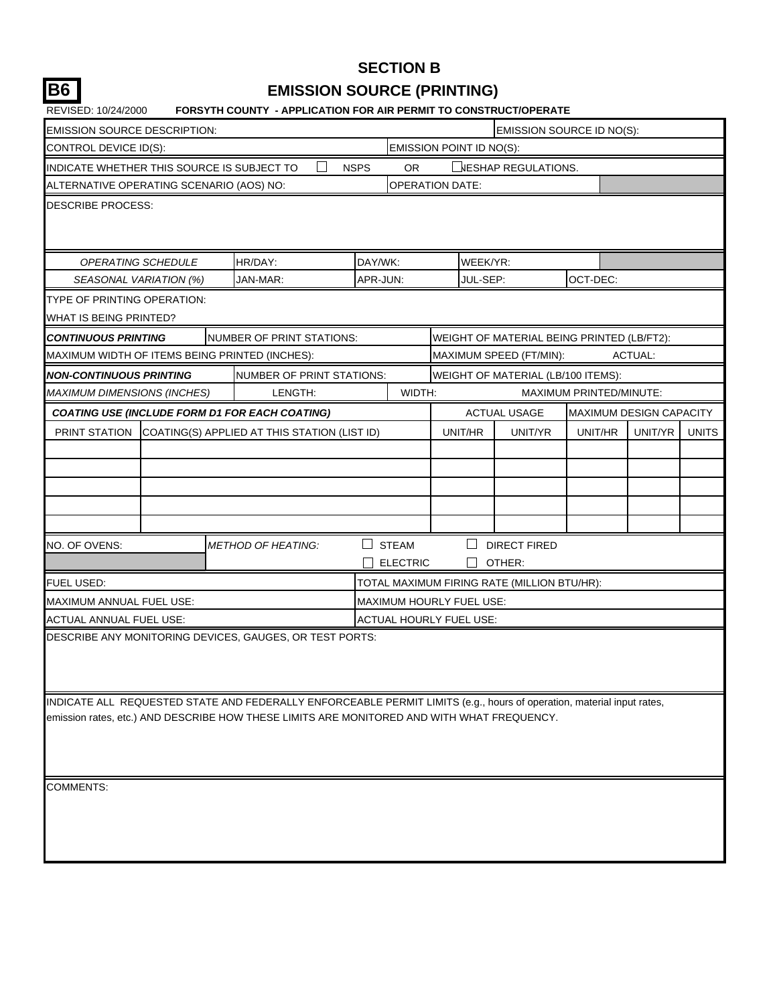## **SECTION B B6 EMISSION SOURCE (PRINTING)**

| REVISED: 10/24/2000                                   |  | FORSYTH COUNTY - APPLICATION FOR AIR PERMIT TO CONSTRUCT/OPERATE                                                                                                                                                    |             |                                 |          |                                             |                                |         |              |
|-------------------------------------------------------|--|---------------------------------------------------------------------------------------------------------------------------------------------------------------------------------------------------------------------|-------------|---------------------------------|----------|---------------------------------------------|--------------------------------|---------|--------------|
| EMISSION SOURCE DESCRIPTION:                          |  |                                                                                                                                                                                                                     |             |                                 |          | <b>EMISSION SOURCE ID NO(S):</b>            |                                |         |              |
| CONTROL DEVICE ID(S):                                 |  |                                                                                                                                                                                                                     |             | EMISSION POINT ID NO(S):        |          |                                             |                                |         |              |
| INDICATE WHETHER THIS SOURCE IS SUBJECT TO            |  |                                                                                                                                                                                                                     | <b>NSPS</b> | OR.                             |          | $\sqcup$ NESHAP REGULATIONS.                |                                |         |              |
| ALTERNATIVE OPERATING SCENARIO (AOS) NO:              |  |                                                                                                                                                                                                                     |             | <b>OPERATION DATE:</b>          |          |                                             |                                |         |              |
| DESCRIBE PROCESS:                                     |  |                                                                                                                                                                                                                     |             |                                 |          |                                             |                                |         |              |
| OPERATING SCHEDULE                                    |  | HR/DAY:                                                                                                                                                                                                             | DAY/WK:     |                                 | WEEK/YR: |                                             |                                |         |              |
| SEASONAL VARIATION (%)                                |  | JAN-MAR:                                                                                                                                                                                                            | APR-JUN:    |                                 | JUL-SEP: |                                             | OCT-DEC:                       |         |              |
| TYPE OF PRINTING OPERATION:<br>WHAT IS BEING PRINTED? |  |                                                                                                                                                                                                                     |             |                                 |          |                                             |                                |         |              |
| CONTINUOUS PRINTING                                   |  | NUMBER OF PRINT STATIONS:                                                                                                                                                                                           |             |                                 |          | WEIGHT OF MATERIAL BEING PRINTED (LB/FT2):  |                                |         |              |
| MAXIMUM WIDTH OF ITEMS BEING PRINTED (INCHES):        |  |                                                                                                                                                                                                                     |             |                                 |          | MAXIMUM SPEED (FT/MIN):                     |                                | ACTUAL: |              |
| NON-CONTINUOUS PRINTING                               |  | NUMBER OF PRINT STATIONS:                                                                                                                                                                                           |             |                                 |          | WEIGHT OF MATERIAL (LB/100 ITEMS):          |                                |         |              |
| <b>MAXIMUM DIMENSIONS (INCHES)</b>                    |  | LENGTH:                                                                                                                                                                                                             |             | WIDTH:                          |          |                                             | MAXIMUM PRINTED/MINUTE:        |         |              |
|                                                       |  | <b>COATING USE (INCLUDE FORM D1 FOR EACH COATING)</b>                                                                                                                                                               |             |                                 |          | <b>ACTUAL USAGE</b>                         | <b>MAXIMUM DESIGN CAPACITY</b> |         |              |
|                                                       |  | PRINT STATION COATING(S) APPLIED AT THIS STATION (LIST ID)                                                                                                                                                          |             |                                 | UNIT/HR  | UNIT/YR                                     | UNIT/HR                        | UNIT/YR | <b>UNITS</b> |
|                                                       |  |                                                                                                                                                                                                                     |             |                                 |          |                                             |                                |         |              |
|                                                       |  |                                                                                                                                                                                                                     |             |                                 |          |                                             |                                |         |              |
|                                                       |  |                                                                                                                                                                                                                     |             |                                 |          |                                             |                                |         |              |
|                                                       |  |                                                                                                                                                                                                                     |             |                                 |          |                                             |                                |         |              |
| NO. OF OVENS:                                         |  | <b>METHOD OF HEATING:</b>                                                                                                                                                                                           |             | <b>STEAM</b><br><b>ELECTRIC</b> |          | <b>DIRECT FIRED</b><br>OTHER:               |                                |         |              |
| FUEL USED:                                            |  |                                                                                                                                                                                                                     |             |                                 |          | TOTAL MAXIMUM FIRING RATE (MILLION BTU/HR): |                                |         |              |
| MAXIMUM ANNUAL FUEL USE:                              |  |                                                                                                                                                                                                                     |             | MAXIMUM HOURLY FUEL USE:        |          |                                             |                                |         |              |
| ACTUAL ANNUAL FUEL USE:                               |  |                                                                                                                                                                                                                     |             | ACTUAL HOURLY FUEL USE:         |          |                                             |                                |         |              |
|                                                       |  | DESCRIBE ANY MONITORING DEVICES, GAUGES, OR TEST PORTS:                                                                                                                                                             |             |                                 |          |                                             |                                |         |              |
|                                                       |  | INDICATE ALL REQUESTED STATE AND FEDERALLY ENFORCEABLE PERMIT LIMITS (e.g., hours of operation, material input rates,<br>emission rates, etc.) AND DESCRIBE HOW THESE LIMITS ARE MONITORED AND WITH WHAT FREQUENCY. |             |                                 |          |                                             |                                |         |              |
| COMMENTS:                                             |  |                                                                                                                                                                                                                     |             |                                 |          |                                             |                                |         |              |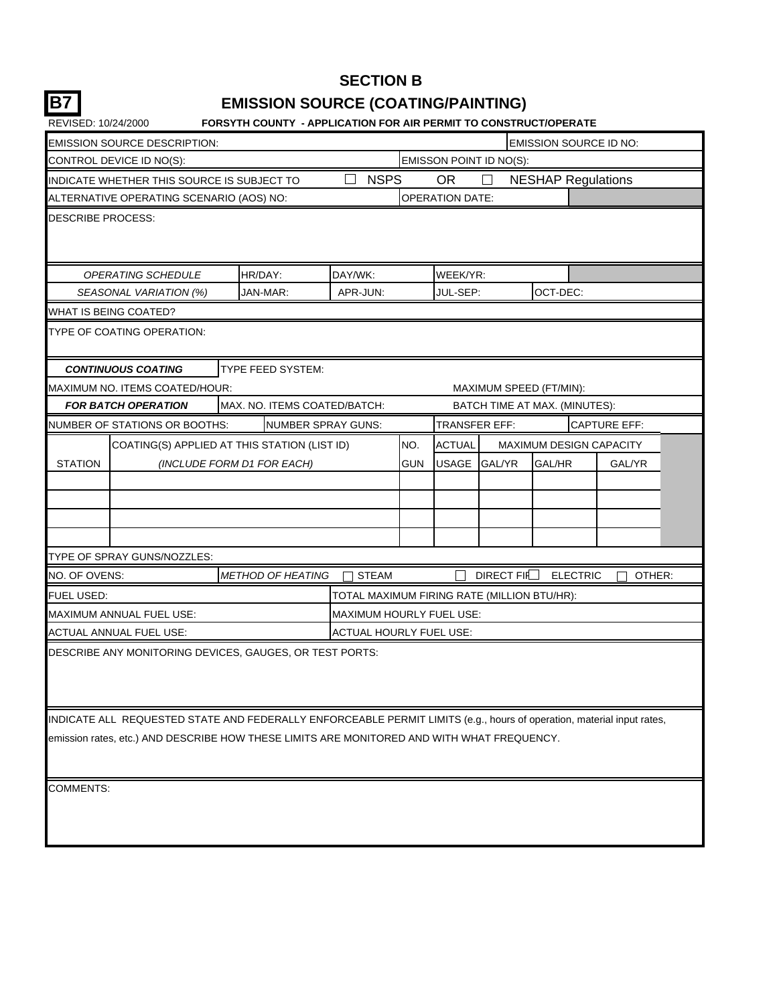## **SECTION B B7 EMISSION SOURCE (COATING/PAINTING)**

| REVISED: 10/24/2000      |                                            | <b>FORSYTH COUNTY - APPLICATION FOR AIR PERMIT TO CONSTRUCT/OPERATE</b>                                               |                                             |     |                        |                         |                                |                     |
|--------------------------|--------------------------------------------|-----------------------------------------------------------------------------------------------------------------------|---------------------------------------------|-----|------------------------|-------------------------|--------------------------------|---------------------|
|                          | <b>EMISSION SOURCE DESCRIPTION:</b>        |                                                                                                                       |                                             |     |                        |                         | <b>EMISSION SOURCE ID NO:</b>  |                     |
|                          | CONTROL DEVICE ID NO(S):                   |                                                                                                                       |                                             |     |                        | EMISSON POINT ID NO(S): |                                |                     |
|                          | INDICATE WHETHER THIS SOURCE IS SUBJECT TO |                                                                                                                       | L<br><b>NSPS</b>                            |     | <b>OR</b>              |                         | <b>NESHAP Regulations</b>      |                     |
|                          | ALTERNATIVE OPERATING SCENARIO (AOS) NO:   |                                                                                                                       |                                             |     | <b>OPERATION DATE:</b> |                         |                                |                     |
| <b>DESCRIBE PROCESS:</b> |                                            |                                                                                                                       |                                             |     |                        |                         |                                |                     |
|                          | OPERATING SCHEDULE                         | HR/DAY:                                                                                                               | DAY/WK:                                     |     | WEEK/YR:               |                         |                                |                     |
|                          | SEASONAL VARIATION (%)                     | JAN-MAR:                                                                                                              | APR-JUN:                                    |     | JUL-SEP:               |                         | OCT-DEC:                       |                     |
|                          | WHAT IS BEING COATED?                      |                                                                                                                       |                                             |     |                        |                         |                                |                     |
|                          | TYPE OF COATING OPERATION:                 |                                                                                                                       |                                             |     |                        |                         |                                |                     |
|                          | <b>CONTINUOUS COATING</b>                  | TYPE FEED SYSTEM:                                                                                                     |                                             |     |                        |                         |                                |                     |
|                          | MAXIMUM NO. ITEMS COATED/HOUR:             |                                                                                                                       |                                             |     |                        |                         | MAXIMUM SPEED (FT/MIN):        |                     |
|                          | <b>FOR BATCH OPERATION</b>                 | MAX. NO. ITEMS COATED/BATCH:                                                                                          |                                             |     |                        |                         | BATCH TIME AT MAX. (MINUTES):  |                     |
|                          | NUMBER OF STATIONS OR BOOTHS:              | NUMBER SPRAY GUNS:                                                                                                    |                                             |     | TRANSFER EFF:          |                         |                                | <b>CAPTURE EFF:</b> |
|                          |                                            | COATING(S) APPLIED AT THIS STATION (LIST ID)                                                                          |                                             | NO. | <b>ACTUAL</b>          |                         | <b>MAXIMUM DESIGN CAPACITY</b> |                     |
| <b>STATION</b>           |                                            | (INCLUDE FORM D1 FOR EACH)                                                                                            |                                             | GUN | USAGE                  | <b>GAL/YR</b>           | GAL/HR                         | <b>GAL/YR</b>       |
|                          |                                            |                                                                                                                       |                                             |     |                        |                         |                                |                     |
|                          |                                            |                                                                                                                       |                                             |     |                        |                         |                                |                     |
|                          |                                            |                                                                                                                       |                                             |     |                        |                         |                                |                     |
|                          |                                            |                                                                                                                       |                                             |     |                        |                         |                                |                     |
|                          | TYPE OF SPRAY GUNS/NOZZLES:                |                                                                                                                       |                                             |     |                        |                         |                                |                     |
| NO. OF OVENS:            |                                            | <b>METHOD OF HEATING</b>                                                                                              | <b>STEAM</b>                                |     |                        | DIRECT FIE              | <b>ELECTRIC</b>                | OTHER:              |
| <b>FUEL USED:</b>        |                                            |                                                                                                                       | TOTAL MAXIMUM FIRING RATE (MILLION BTU/HR): |     |                        |                         |                                |                     |
|                          | <b>MAXIMUM ANNUAL FUEL USE:</b>            |                                                                                                                       | MAXIMUM HOURLY FUEL USE:                    |     |                        |                         |                                |                     |
|                          | ACTUAL ANNUAL FUEL USE:                    |                                                                                                                       | ACTUAL HOURLY FUEL USE:                     |     |                        |                         |                                |                     |
|                          |                                            | DESCRIBE ANY MONITORING DEVICES, GAUGES, OR TEST PORTS:                                                               |                                             |     |                        |                         |                                |                     |
|                          |                                            | INDICATE ALL REQUESTED STATE AND FEDERALLY ENFORCEABLE PERMIT LIMITS (e.g., hours of operation, material input rates, |                                             |     |                        |                         |                                |                     |
|                          |                                            | emission rates, etc.) AND DESCRIBE HOW THESE LIMITS ARE MONITORED AND WITH WHAT FREQUENCY.                            |                                             |     |                        |                         |                                |                     |
| <b>COMMENTS:</b>         |                                            |                                                                                                                       |                                             |     |                        |                         |                                |                     |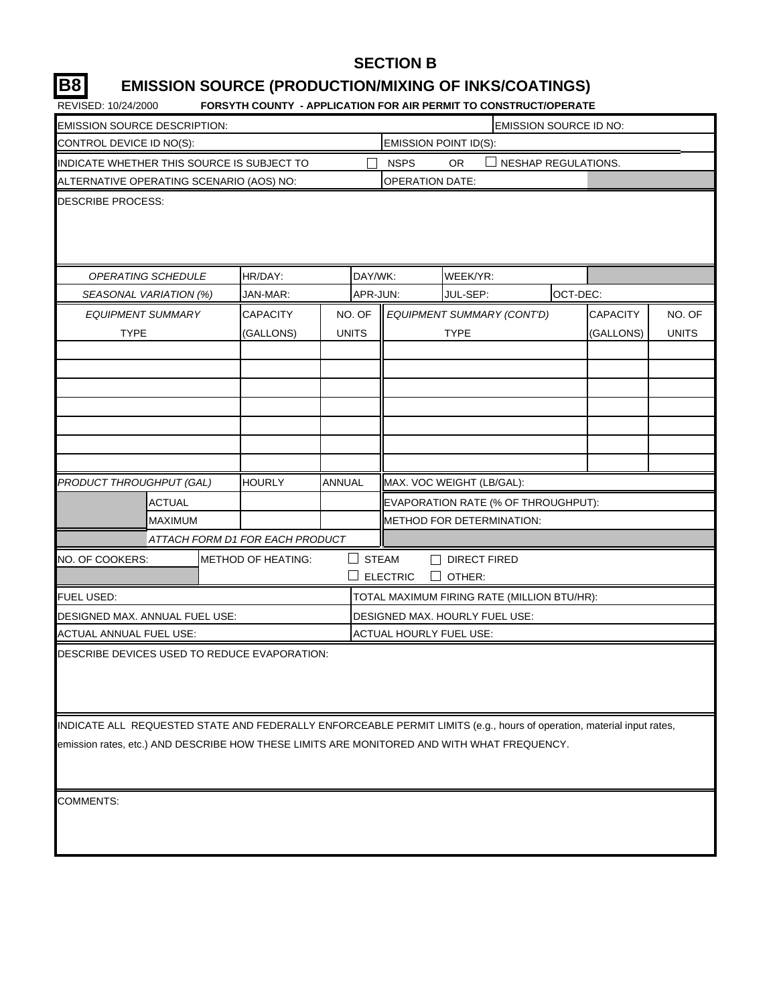### **SECTION B**

## **B8 EMISSION SOURCE (PRODUCTION/MIXING OF INKS/COATINGS)**

REVISED: 10/24/2000 **FORSYTH COUNTY - APPLICATION FOR AIR PERMIT TO CONSTRUCT/OPERATE**

|                                                                                                                       | <b>PROTITIVOUSE FAIT LIGATION</b> |               |              |                        | <u>UN AINTENNILLIU CUNJINUCI/ULEI</u>       |                        |                 |              |  |
|-----------------------------------------------------------------------------------------------------------------------|-----------------------------------|---------------|--------------|------------------------|---------------------------------------------|------------------------|-----------------|--------------|--|
| EMISSION SOURCE DESCRIPTION:                                                                                          |                                   |               |              |                        |                                             | EMISSION SOURCE ID NO: |                 |              |  |
| <b>EMISSION POINT ID(S):</b><br>CONTROL DEVICE ID NO(S):<br>NESHAP REGULATIONS.                                       |                                   |               |              |                        |                                             |                        |                 |              |  |
| INDICATE WHETHER THIS SOURCE IS SUBJECT TO                                                                            |                                   |               |              | <b>NSPS</b>            | OR.                                         |                        |                 |              |  |
| ALTERNATIVE OPERATING SCENARIO (AOS) NO:                                                                              |                                   |               |              | <b>OPERATION DATE:</b> |                                             |                        |                 |              |  |
| <b>DESCRIBE PROCESS:</b>                                                                                              |                                   |               |              |                        |                                             |                        |                 |              |  |
|                                                                                                                       |                                   |               |              |                        |                                             |                        |                 |              |  |
|                                                                                                                       |                                   |               |              |                        |                                             |                        |                 |              |  |
|                                                                                                                       |                                   |               |              |                        |                                             |                        |                 |              |  |
| <b>OPERATING SCHEDULE</b>                                                                                             | HR/DAY:                           |               | DAY/WK:      |                        | WEEK/YR:                                    |                        |                 |              |  |
| SEASONAL VARIATION (%)                                                                                                | JAN-MAR:                          |               | APR-JUN:     |                        | JUL-SEP:                                    |                        | OCT-DEC:        |              |  |
| <b>EQUIPMENT SUMMARY</b>                                                                                              | <b>CAPACITY</b>                   |               | NO. OF       |                        | EQUIPMENT SUMMARY (CONT'D)                  |                        | <b>CAPACITY</b> | NO. OF       |  |
| <b>TYPE</b>                                                                                                           | (GALLONS)                         |               | <b>UNITS</b> |                        | <b>TYPE</b>                                 |                        | (GALLONS)       | <b>UNITS</b> |  |
|                                                                                                                       |                                   |               |              |                        |                                             |                        |                 |              |  |
|                                                                                                                       |                                   |               |              |                        |                                             |                        |                 |              |  |
|                                                                                                                       |                                   |               |              |                        |                                             |                        |                 |              |  |
|                                                                                                                       |                                   |               |              |                        |                                             |                        |                 |              |  |
|                                                                                                                       |                                   |               |              |                        |                                             |                        |                 |              |  |
|                                                                                                                       |                                   |               |              |                        |                                             |                        |                 |              |  |
|                                                                                                                       |                                   |               |              |                        |                                             |                        |                 |              |  |
| PRODUCT THROUGHPUT (GAL)                                                                                              | <b>HOURLY</b>                     | <b>ANNUAL</b> |              |                        | MAX. VOC WEIGHT (LB/GAL):                   |                        |                 |              |  |
| <b>ACTUAL</b>                                                                                                         |                                   |               |              |                        | EVAPORATION RATE (% OF THROUGHPUT):         |                        |                 |              |  |
| <b>MAXIMUM</b>                                                                                                        |                                   |               |              |                        | METHOD FOR DETERMINATION:                   |                        |                 |              |  |
|                                                                                                                       | ATTACH FORM D1 FOR EACH PRODUCT   |               |              |                        |                                             |                        |                 |              |  |
| NO. OF COOKERS:                                                                                                       | <b>METHOD OF HEATING:</b>         |               | <b>STEAM</b> |                        | <b>DIRECT FIRED</b>                         |                        |                 |              |  |
|                                                                                                                       |                                   |               |              | <b>ELECTRIC</b>        | OTHER:                                      |                        |                 |              |  |
| FUEL USED:                                                                                                            |                                   |               |              |                        | TOTAL MAXIMUM FIRING RATE (MILLION BTU/HR): |                        |                 |              |  |
| DESIGNED MAX. ANNUAL FUEL USE:                                                                                        |                                   |               |              |                        | DESIGNED MAX. HOURLY FUEL USE:              |                        |                 |              |  |
| ACTUAL ANNUAL FUEL USE:                                                                                               |                                   |               |              |                        | ACTUAL HOURLY FUEL USE:                     |                        |                 |              |  |
| DESCRIBE DEVICES USED TO REDUCE EVAPORATION:                                                                          |                                   |               |              |                        |                                             |                        |                 |              |  |
|                                                                                                                       |                                   |               |              |                        |                                             |                        |                 |              |  |
|                                                                                                                       |                                   |               |              |                        |                                             |                        |                 |              |  |
|                                                                                                                       |                                   |               |              |                        |                                             |                        |                 |              |  |
| INDICATE ALL REQUESTED STATE AND FEDERALLY ENFORCEABLE PERMIT LIMITS (e.g., hours of operation, material input rates, |                                   |               |              |                        |                                             |                        |                 |              |  |
| emission rates, etc.) AND DESCRIBE HOW THESE LIMITS ARE MONITORED AND WITH WHAT FREQUENCY.                            |                                   |               |              |                        |                                             |                        |                 |              |  |
|                                                                                                                       |                                   |               |              |                        |                                             |                        |                 |              |  |
|                                                                                                                       |                                   |               |              |                        |                                             |                        |                 |              |  |

COMMENTS: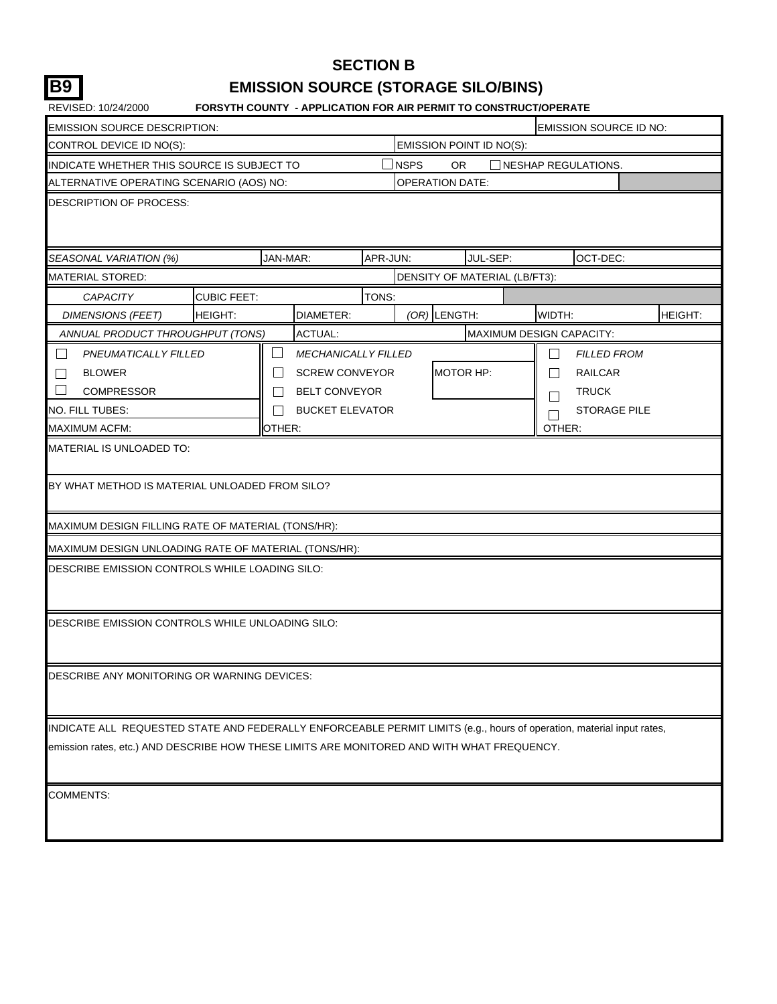## **SECTION B B9 EMISSION SOURCE (STORAGE SILO/BINS)**

| <b>EMISSION SOURCE DESCRIPTION:</b>                                                                                                                                                                                 |                    |                                        |          |                  |                        |                               |              |                     | <b>EMISSION SOURCE ID NO:</b> |
|---------------------------------------------------------------------------------------------------------------------------------------------------------------------------------------------------------------------|--------------------|----------------------------------------|----------|------------------|------------------------|-------------------------------|--------------|---------------------|-------------------------------|
| CONTROL DEVICE ID NO(S):                                                                                                                                                                                            |                    |                                        |          |                  |                        | EMISSION POINT ID NO(S):      |              |                     |                               |
| INDICATE WHETHER THIS SOURCE IS SUBJECT TO                                                                                                                                                                          |                    |                                        |          | $\lrcorner$ NSPS | <b>OR</b>              |                               |              | NESHAP REGULATIONS. |                               |
| ALTERNATIVE OPERATING SCENARIO (AOS) NO:                                                                                                                                                                            |                    |                                        |          |                  | <b>OPERATION DATE:</b> |                               |              |                     |                               |
| DESCRIPTION OF PROCESS:                                                                                                                                                                                             |                    |                                        |          |                  |                        |                               |              |                     |                               |
| SEASONAL VARIATION (%)                                                                                                                                                                                              |                    | JAN-MAR:                               | APR-JUN: |                  |                        | JUL-SEP:                      |              | OCT-DEC:            |                               |
| MATERIAL STORED:                                                                                                                                                                                                    |                    |                                        |          |                  |                        | DENSITY OF MATERIAL (LB/FT3): |              |                     |                               |
| <b>CAPACITY</b>                                                                                                                                                                                                     | <b>CUBIC FEET:</b> |                                        | TONS:    |                  |                        |                               |              |                     |                               |
| <b>DIMENSIONS (FEET)</b>                                                                                                                                                                                            | HEIGHT:            | DIAMETER:                              |          |                  | $(OR)$ LENGTH:         |                               | WIDTH:       |                     | HEIGHT:                       |
| ANNUAL PRODUCT THROUGHPUT (TONS)                                                                                                                                                                                    |                    | ACTUAL:                                |          |                  |                        | MAXIMUM DESIGN CAPACITY:      |              |                     |                               |
| $\Box$<br>PNEUMATICALLY FILLED                                                                                                                                                                                      |                    | $\Box$<br><b>MECHANICALLY FILLED</b>   |          |                  |                        |                               | $\mathsf{L}$ | <b>FILLED FROM</b>  |                               |
| <b>BLOWER</b>                                                                                                                                                                                                       |                    | <b>SCREW CONVEYOR</b>                  |          |                  | <b>MOTOR HP:</b>       |                               | $\mathbf{I}$ | <b>RAILCAR</b>      |                               |
| <b>COMPRESSOR</b>                                                                                                                                                                                                   |                    | <b>BELT CONVEYOR</b>                   |          |                  |                        |                               |              | <b>TRUCK</b>        |                               |
| NO. FILL TUBES:                                                                                                                                                                                                     |                    | <b>BUCKET ELEVATOR</b><br>$\mathsf{L}$ |          |                  |                        |                               |              | <b>STORAGE PILE</b> |                               |
| <b>MAXIMUM ACFM:</b>                                                                                                                                                                                                |                    | OTHER:                                 |          |                  |                        |                               | OTHER:       |                     |                               |
| MATERIAL IS UNLOADED TO:                                                                                                                                                                                            |                    |                                        |          |                  |                        |                               |              |                     |                               |
| BY WHAT METHOD IS MATERIAL UNLOADED FROM SILO?                                                                                                                                                                      |                    |                                        |          |                  |                        |                               |              |                     |                               |
| MAXIMUM DESIGN FILLING RATE OF MATERIAL (TONS/HR):                                                                                                                                                                  |                    |                                        |          |                  |                        |                               |              |                     |                               |
| MAXIMUM DESIGN UNLOADING RATE OF MATERIAL (TONS/HR):                                                                                                                                                                |                    |                                        |          |                  |                        |                               |              |                     |                               |
| DESCRIBE EMISSION CONTROLS WHILE LOADING SILO:                                                                                                                                                                      |                    |                                        |          |                  |                        |                               |              |                     |                               |
| DESCRIBE EMISSION CONTROLS WHILE UNLOADING SILO:                                                                                                                                                                    |                    |                                        |          |                  |                        |                               |              |                     |                               |
| DESCRIBE ANY MONITORING OR WARNING DEVICES:                                                                                                                                                                         |                    |                                        |          |                  |                        |                               |              |                     |                               |
| INDICATE ALL REQUESTED STATE AND FEDERALLY ENFORCEABLE PERMIT LIMITS (e.g., hours of operation, material input rates,<br>emission rates, etc.) AND DESCRIBE HOW THESE LIMITS ARE MONITORED AND WITH WHAT FREQUENCY. |                    |                                        |          |                  |                        |                               |              |                     |                               |
|                                                                                                                                                                                                                     |                    |                                        |          |                  |                        |                               |              |                     |                               |
| <b>COMMENTS:</b>                                                                                                                                                                                                    |                    |                                        |          |                  |                        |                               |              |                     |                               |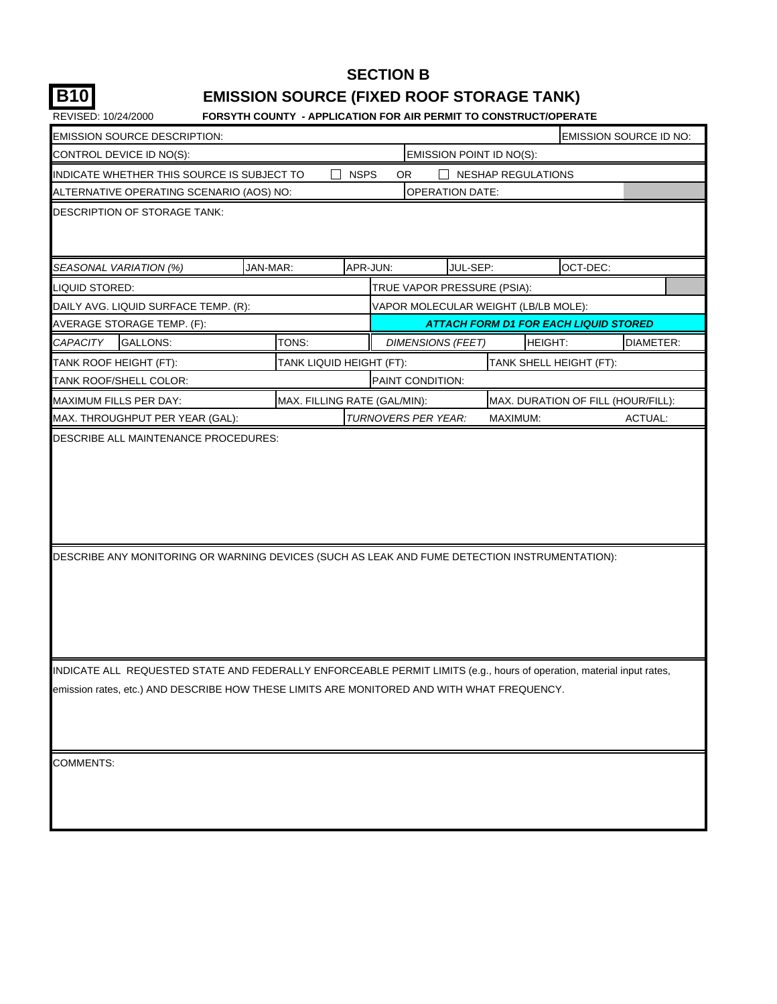## **SECTION B B10 EMISSION SOURCE (FIXED ROOF STORAGE TANK)**

| <b>EMISSION SOURCE DESCRIPTION:</b>                                                                                                                                                                                 |                              |             |           |                                      |                                              |          | <b>EMISSION SOURCE ID NO:</b> |
|---------------------------------------------------------------------------------------------------------------------------------------------------------------------------------------------------------------------|------------------------------|-------------|-----------|--------------------------------------|----------------------------------------------|----------|-------------------------------|
| CONTROL DEVICE ID NO(S):                                                                                                                                                                                            |                              |             |           | EMISSION POINT ID NO(S):             |                                              |          |                               |
| INDICATE WHETHER THIS SOURCE IS SUBJECT TO                                                                                                                                                                          |                              | <b>NSPS</b> | <b>OR</b> |                                      | <b>NESHAP REGULATIONS</b>                    |          |                               |
| ALTERNATIVE OPERATING SCENARIO (AOS) NO:                                                                                                                                                                            |                              |             |           | <b>OPERATION DATE:</b>               |                                              |          |                               |
| <b>DESCRIPTION OF STORAGE TANK:</b>                                                                                                                                                                                 |                              |             |           |                                      |                                              |          |                               |
| JAN-MAR:<br>SEASONAL VARIATION (%)                                                                                                                                                                                  |                              | APR-JUN:    |           | JUL-SEP:                             |                                              | OCT-DEC: |                               |
| LIQUID STORED:                                                                                                                                                                                                      |                              |             |           | TRUE VAPOR PRESSURE (PSIA):          |                                              |          |                               |
| DAILY AVG. LIQUID SURFACE TEMP. (R):                                                                                                                                                                                |                              |             |           | VAPOR MOLECULAR WEIGHT (LB/LB MOLE): |                                              |          |                               |
| AVERAGE STORAGE TEMP. (F):                                                                                                                                                                                          |                              |             |           |                                      | <b>ATTACH FORM D1 FOR EACH LIQUID STORED</b> |          |                               |
| <b>CAPACITY</b><br><b>GALLONS:</b>                                                                                                                                                                                  | TONS:                        |             |           | <b>DIMENSIONS (FEET)</b>             | HEIGHT:                                      |          | DIAMETER:                     |
| TANK ROOF HEIGHT (FT):                                                                                                                                                                                              | TANK LIQUID HEIGHT (FT):     |             |           |                                      | TANK SHELL HEIGHT (FT):                      |          |                               |
| <b>TANK ROOF/SHELL COLOR:</b>                                                                                                                                                                                       |                              |             |           | PAINT CONDITION:                     |                                              |          |                               |
| <b>MAXIMUM FILLS PER DAY:</b>                                                                                                                                                                                       | MAX. FILLING RATE (GAL/MIN): |             |           |                                      | MAX. DURATION OF FILL (HOUR/FILL):           |          |                               |
| MAX. THROUGHPUT PER YEAR (GAL):                                                                                                                                                                                     |                              |             |           | TURNOVERS PER YEAR:                  | MAXIMUM:                                     |          | ACTUAL:                       |
|                                                                                                                                                                                                                     |                              |             |           |                                      |                                              |          |                               |
| DESCRIBE ANY MONITORING OR WARNING DEVICES (SUCH AS LEAK AND FUME DETECTION INSTRUMENTATION):                                                                                                                       |                              |             |           |                                      |                                              |          |                               |
| INDICATE ALL REQUESTED STATE AND FEDERALLY ENFORCEABLE PERMIT LIMITS (e.g., hours of operation, material input rates,<br>emission rates, etc.) AND DESCRIBE HOW THESE LIMITS ARE MONITORED AND WITH WHAT FREQUENCY. |                              |             |           |                                      |                                              |          |                               |
| <b>COMMENTS:</b>                                                                                                                                                                                                    |                              |             |           |                                      |                                              |          |                               |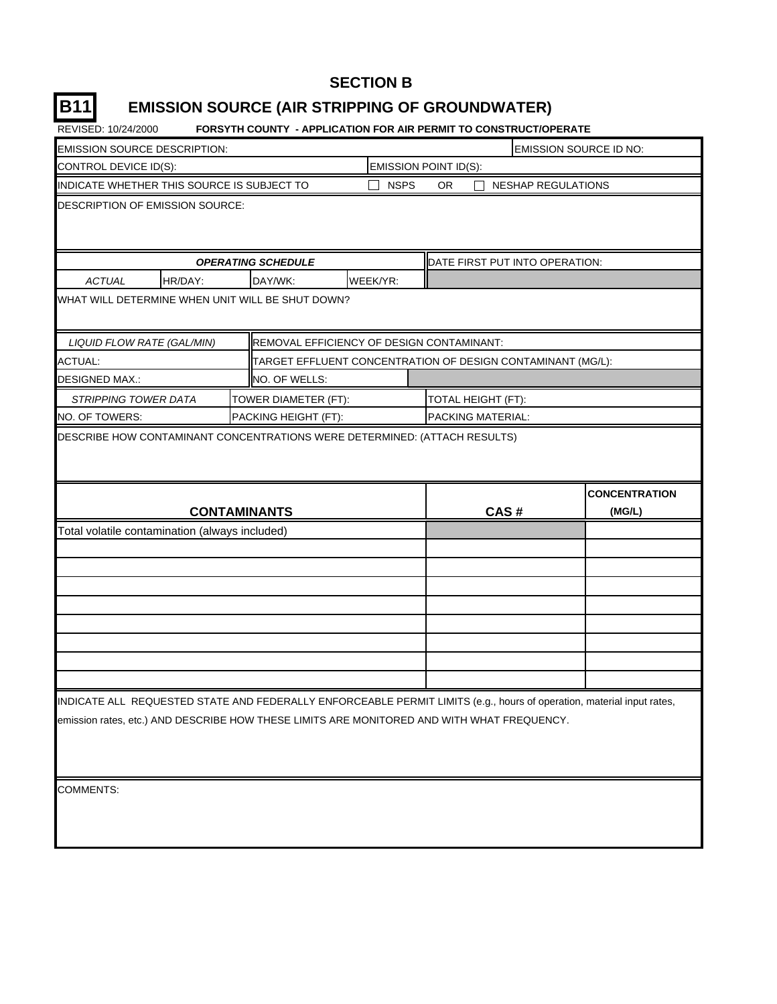#### **SECTION B**

## **B11 EMISSION SOURCE (AIR STRIPPING OF GROUNDWATER)**

| <b>EMISSION SOURCE DESCRIPTION:</b>                                                                 |         |  |                                                             |          |                       |                                | EMISSION SOURCE ID NO:                                                                                                |  |  |
|-----------------------------------------------------------------------------------------------------|---------|--|-------------------------------------------------------------|----------|-----------------------|--------------------------------|-----------------------------------------------------------------------------------------------------------------------|--|--|
| CONTROL DEVICE ID(S):                                                                               |         |  |                                                             |          | EMISSION POINT ID(S): |                                |                                                                                                                       |  |  |
| INDICATE WHETHER THIS SOURCE IS SUBJECT TO<br><b>NSPS</b><br><b>OR</b><br><b>NESHAP REGULATIONS</b> |         |  |                                                             |          |                       |                                |                                                                                                                       |  |  |
| DESCRIPTION OF EMISSION SOURCE:                                                                     |         |  |                                                             |          |                       |                                |                                                                                                                       |  |  |
|                                                                                                     |         |  | <b>OPERATING SCHEDULE</b>                                   |          |                       | DATE FIRST PUT INTO OPERATION: |                                                                                                                       |  |  |
| <b>ACTUAL</b>                                                                                       | HR/DAY: |  | DAY/WK:                                                     | WEEK/YR: |                       |                                |                                                                                                                       |  |  |
| WHAT WILL DETERMINE WHEN UNIT WILL BE SHUT DOWN?                                                    |         |  |                                                             |          |                       |                                |                                                                                                                       |  |  |
| LIQUID FLOW RATE (GAL/MIN)                                                                          |         |  | REMOVAL EFFICIENCY OF DESIGN CONTAMINANT:                   |          |                       |                                |                                                                                                                       |  |  |
| <b>ACTUAL:</b>                                                                                      |         |  | TARGET EFFLUENT CONCENTRATION OF DESIGN CONTAMINANT (MG/L): |          |                       |                                |                                                                                                                       |  |  |
| <b>DESIGNED MAX.:</b>                                                                               |         |  | NO. OF WELLS:                                               |          |                       |                                |                                                                                                                       |  |  |
| <b>STRIPPING TOWER DATA</b>                                                                         |         |  | TOWER DIAMETER (FT):                                        |          |                       | TOTAL HEIGHT (FT):             |                                                                                                                       |  |  |
| NO. OF TOWERS:                                                                                      |         |  | PACKING HEIGHT (FT):                                        |          |                       | PACKING MATERIAL:              |                                                                                                                       |  |  |
|                                                                                                     |         |  | <b>CONTAMINANTS</b>                                         |          |                       | CAS#                           | <b>CONCENTRATION</b><br>(MG/L)                                                                                        |  |  |
| Total volatile contamination (always included)                                                      |         |  |                                                             |          |                       |                                |                                                                                                                       |  |  |
|                                                                                                     |         |  |                                                             |          |                       |                                |                                                                                                                       |  |  |
|                                                                                                     |         |  |                                                             |          |                       |                                |                                                                                                                       |  |  |
|                                                                                                     |         |  |                                                             |          |                       |                                |                                                                                                                       |  |  |
|                                                                                                     |         |  |                                                             |          |                       |                                |                                                                                                                       |  |  |
|                                                                                                     |         |  |                                                             |          |                       |                                |                                                                                                                       |  |  |
|                                                                                                     |         |  |                                                             |          |                       |                                |                                                                                                                       |  |  |
|                                                                                                     |         |  |                                                             |          |                       |                                |                                                                                                                       |  |  |
|                                                                                                     |         |  |                                                             |          |                       |                                |                                                                                                                       |  |  |
| emission rates, etc.) AND DESCRIBE HOW THESE LIMITS ARE MONITORED AND WITH WHAT FREQUENCY.          |         |  |                                                             |          |                       |                                | INDICATE ALL REQUESTED STATE AND FEDERALLY ENFORCEABLE PERMIT LIMITS (e.g., hours of operation, material input rates, |  |  |
| <b>COMMENTS:</b>                                                                                    |         |  |                                                             |          |                       |                                |                                                                                                                       |  |  |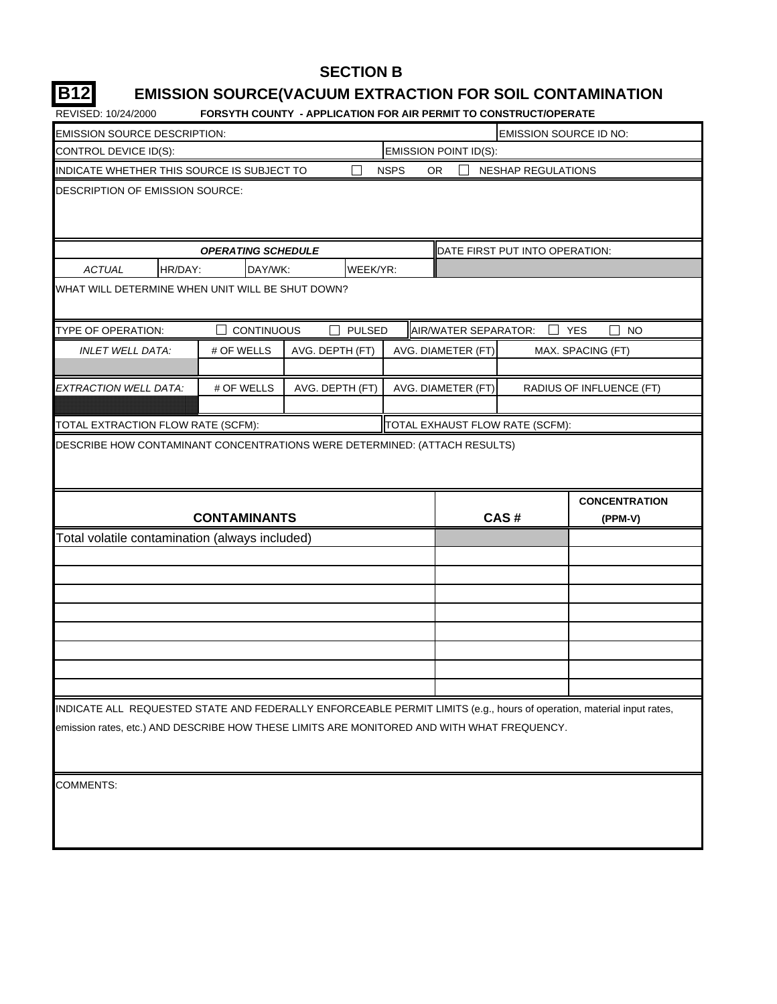#### **SECTION B**

#### **B12 EMISSION SOURCE(VACUUM EXTRACTION FOR SOIL CONTAMINATION**

| REVISED: 10/24/2000                                                                                                   |                           | <b>FORSYTH COUNTY - APPLICATION FOR AIR PERMIT TO CONSTRUCT/OPERATE</b> |                                 |                                |                          |
|-----------------------------------------------------------------------------------------------------------------------|---------------------------|-------------------------------------------------------------------------|---------------------------------|--------------------------------|--------------------------|
| <b>EMISSION SOURCE DESCRIPTION:</b>                                                                                   |                           |                                                                         |                                 | EMISSION SOURCE ID NO:         |                          |
| CONTROL DEVICE ID(S):                                                                                                 |                           |                                                                         | EMISSION POINT ID(S):           |                                |                          |
| INDICATE WHETHER THIS SOURCE IS SUBJECT TO                                                                            |                           |                                                                         | <b>NSPS</b><br><b>OR</b>        | <b>NESHAP REGULATIONS</b>      |                          |
| <b>DESCRIPTION OF EMISSION SOURCE:</b>                                                                                |                           |                                                                         |                                 |                                |                          |
|                                                                                                                       |                           |                                                                         |                                 |                                |                          |
|                                                                                                                       |                           |                                                                         |                                 |                                |                          |
|                                                                                                                       | <b>OPERATING SCHEDULE</b> |                                                                         |                                 | DATE FIRST PUT INTO OPERATION: |                          |
| <b>ACTUAL</b><br>HR/DAY:                                                                                              | DAY/WK:                   | WEEK/YR:                                                                |                                 |                                |                          |
| WHAT WILL DETERMINE WHEN UNIT WILL BE SHUT DOWN?                                                                      |                           |                                                                         |                                 |                                |                          |
| TYPE OF OPERATION:                                                                                                    | <b>CONTINUOUS</b>         | <b>PULSED</b>                                                           | AIR/WATER SEPARATOR:            |                                | <b>YES</b><br><b>NO</b>  |
| <b>INLET WELL DATA:</b>                                                                                               | # OF WELLS                | AVG. DEPTH (FT)                                                         | AVG. DIAMETER (FT)              |                                | MAX. SPACING (FT)        |
|                                                                                                                       |                           |                                                                         |                                 |                                |                          |
| EXTRACTION WELL DATA:                                                                                                 | # OF WELLS                | AVG. DEPTH (FT)                                                         | AVG. DIAMETER (FT)              |                                | RADIUS OF INFLUENCE (FT) |
|                                                                                                                       |                           |                                                                         |                                 |                                |                          |
| TOTAL EXTRACTION FLOW RATE (SCFM):                                                                                    |                           |                                                                         | TOTAL EXHAUST FLOW RATE (SCFM): |                                |                          |
|                                                                                                                       | <b>CONTAMINANTS</b>       |                                                                         |                                 | CAS#                           | <b>CONCENTRATION</b>     |
| Total volatile contamination (always included)                                                                        |                           |                                                                         |                                 |                                | (PPM-V)                  |
|                                                                                                                       |                           |                                                                         |                                 |                                |                          |
|                                                                                                                       |                           |                                                                         |                                 |                                |                          |
|                                                                                                                       |                           |                                                                         |                                 |                                |                          |
|                                                                                                                       |                           |                                                                         |                                 |                                |                          |
|                                                                                                                       |                           |                                                                         |                                 |                                |                          |
|                                                                                                                       |                           |                                                                         |                                 |                                |                          |
|                                                                                                                       |                           |                                                                         |                                 |                                |                          |
|                                                                                                                       |                           |                                                                         |                                 |                                |                          |
| INDICATE ALL REQUESTED STATE AND FEDERALLY ENFORCEABLE PERMIT LIMITS (e.g., hours of operation, material input rates, |                           |                                                                         |                                 |                                |                          |
| emission rates, etc.) AND DESCRIBE HOW THESE LIMITS ARE MONITORED AND WITH WHAT FREQUENCY.                            |                           |                                                                         |                                 |                                |                          |
|                                                                                                                       |                           |                                                                         |                                 |                                |                          |
|                                                                                                                       |                           |                                                                         |                                 |                                |                          |
| <b>COMMENTS:</b>                                                                                                      |                           |                                                                         |                                 |                                |                          |
|                                                                                                                       |                           |                                                                         |                                 |                                |                          |
|                                                                                                                       |                           |                                                                         |                                 |                                |                          |
|                                                                                                                       |                           |                                                                         |                                 |                                |                          |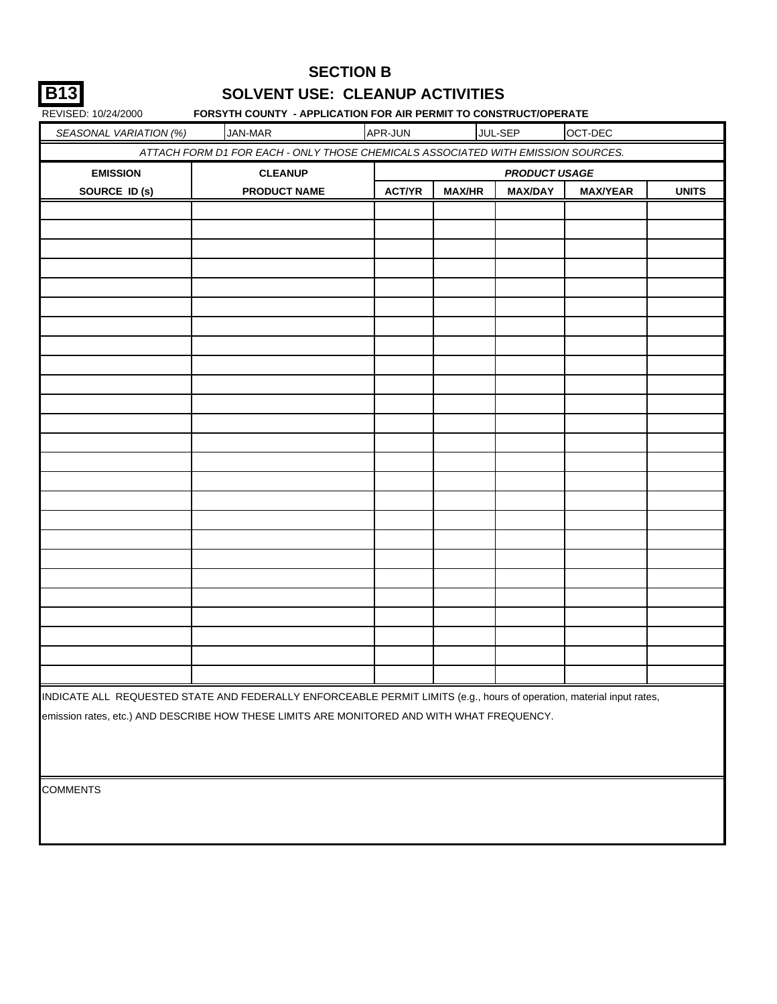|--|

#### **SOLVENT USE: CLEANUP ACTIVITIES SECTION B**

| REVISED: 10/24/2000    |                                                                                                                       |               |               | FORSYTH COUNTY - APPLICATION FOR AIR PERMIT TO CONSTRUCT/OPERATE |                 |              |
|------------------------|-----------------------------------------------------------------------------------------------------------------------|---------------|---------------|------------------------------------------------------------------|-----------------|--------------|
| SEASONAL VARIATION (%) | <b>JAN-MAR</b>                                                                                                        | APR-JUN       |               | JUL-SEP                                                          | OCT-DEC         |              |
|                        | ATTACH FORM D1 FOR EACH - ONLY THOSE CHEMICALS ASSOCIATED WITH EMISSION SOURCES.                                      |               |               |                                                                  |                 |              |
| <b>EMISSION</b>        | <b>CLEANUP</b>                                                                                                        |               |               | <b>PRODUCT USAGE</b>                                             |                 |              |
| SOURCE ID (s)          | <b>PRODUCT NAME</b>                                                                                                   | <b>ACT/YR</b> | <b>MAX/HR</b> | <b>MAX/DAY</b>                                                   | <b>MAX/YEAR</b> | <b>UNITS</b> |
|                        |                                                                                                                       |               |               |                                                                  |                 |              |
|                        |                                                                                                                       |               |               |                                                                  |                 |              |
|                        |                                                                                                                       |               |               |                                                                  |                 |              |
|                        |                                                                                                                       |               |               |                                                                  |                 |              |
|                        |                                                                                                                       |               |               |                                                                  |                 |              |
|                        |                                                                                                                       |               |               |                                                                  |                 |              |
|                        |                                                                                                                       |               |               |                                                                  |                 |              |
|                        |                                                                                                                       |               |               |                                                                  |                 |              |
|                        |                                                                                                                       |               |               |                                                                  |                 |              |
|                        |                                                                                                                       |               |               |                                                                  |                 |              |
|                        |                                                                                                                       |               |               |                                                                  |                 |              |
|                        |                                                                                                                       |               |               |                                                                  |                 |              |
|                        |                                                                                                                       |               |               |                                                                  |                 |              |
|                        |                                                                                                                       |               |               |                                                                  |                 |              |
|                        |                                                                                                                       |               |               |                                                                  |                 |              |
|                        |                                                                                                                       |               |               |                                                                  |                 |              |
|                        |                                                                                                                       |               |               |                                                                  |                 |              |
|                        |                                                                                                                       |               |               |                                                                  |                 |              |
|                        |                                                                                                                       |               |               |                                                                  |                 |              |
|                        |                                                                                                                       |               |               |                                                                  |                 |              |
|                        |                                                                                                                       |               |               |                                                                  |                 |              |
|                        |                                                                                                                       |               |               |                                                                  |                 |              |
|                        |                                                                                                                       |               |               |                                                                  |                 |              |
|                        |                                                                                                                       |               |               |                                                                  |                 |              |
|                        |                                                                                                                       |               |               |                                                                  |                 |              |
|                        | INDICATE ALL REQUESTED STATE AND FEDERALLY ENFORCEABLE PERMIT LIMITS (e.g., hours of operation, material input rates, |               |               |                                                                  |                 |              |
|                        | emission rates, etc.) AND DESCRIBE HOW THESE LIMITS ARE MONITORED AND WITH WHAT FREQUENCY.                            |               |               |                                                                  |                 |              |

**COMMENTS**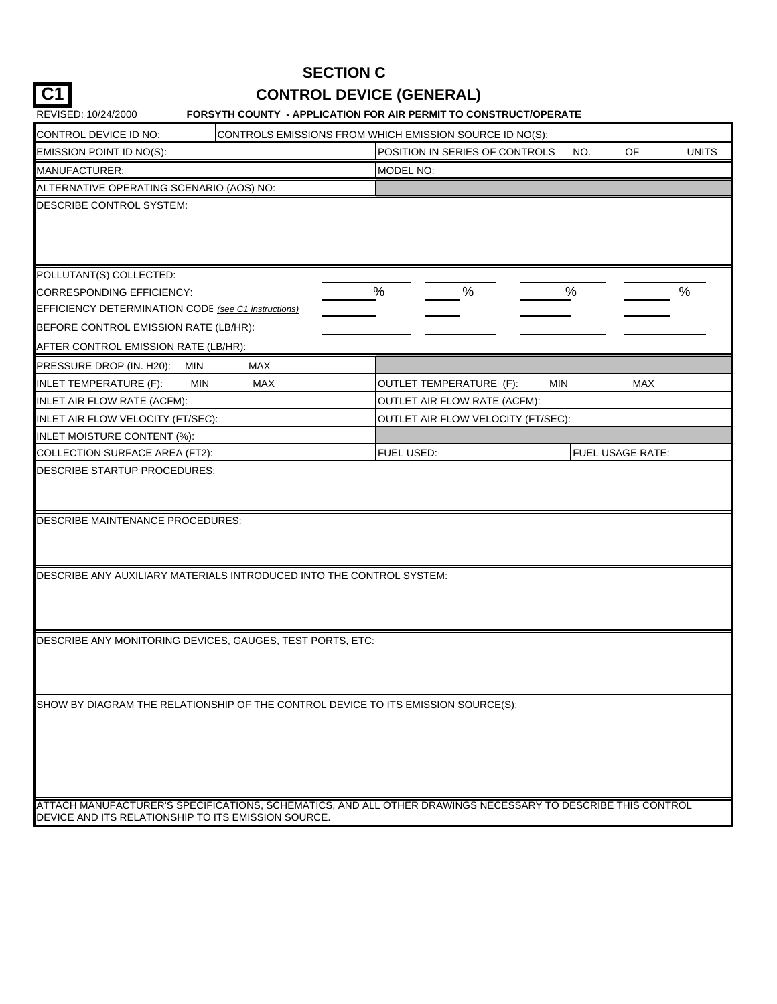## **SECTION C**

# C1 CONTROL DEVICE (GENERAL)

| REVISED: 10/24/2000                                                                                                                                                | <b>FORSYTH COUNTY - APPLICATION FOR AIR PERMIT TO CONSTRUCT/OPERATE</b> |            |                         |  |  |  |  |  |  |
|--------------------------------------------------------------------------------------------------------------------------------------------------------------------|-------------------------------------------------------------------------|------------|-------------------------|--|--|--|--|--|--|
| CONTROL DEVICE ID NO:                                                                                                                                              | CONTROLS EMISSIONS FROM WHICH EMISSION SOURCE ID NO(S):                 |            |                         |  |  |  |  |  |  |
| EMISSION POINT ID NO(S):                                                                                                                                           | POSITION IN SERIES OF CONTROLS<br>OF<br><b>UNITS</b><br>NO.             |            |                         |  |  |  |  |  |  |
| MANUFACTURER:                                                                                                                                                      | MODEL NO:                                                               |            |                         |  |  |  |  |  |  |
| ALTERNATIVE OPERATING SCENARIO (AOS) NO:                                                                                                                           |                                                                         |            |                         |  |  |  |  |  |  |
| DESCRIBE CONTROL SYSTEM:                                                                                                                                           |                                                                         |            |                         |  |  |  |  |  |  |
| POLLUTANT(S) COLLECTED:                                                                                                                                            |                                                                         |            |                         |  |  |  |  |  |  |
| <b>CORRESPONDING EFFICIENCY:</b>                                                                                                                                   | $\%$<br>$\%$                                                            | $\%$       | $\%$                    |  |  |  |  |  |  |
| EFFICIENCY DETERMINATION CODE (see C1 instructions)                                                                                                                |                                                                         |            |                         |  |  |  |  |  |  |
| BEFORE CONTROL EMISSION RATE (LB/HR):                                                                                                                              |                                                                         |            |                         |  |  |  |  |  |  |
| AFTER CONTROL EMISSION RATE (LB/HR):                                                                                                                               |                                                                         |            |                         |  |  |  |  |  |  |
| PRESSURE DROP (IN. H20):<br><b>MAX</b><br>MIN                                                                                                                      |                                                                         |            |                         |  |  |  |  |  |  |
| MIN<br><b>MAX</b><br>INLET TEMPERATURE (F):                                                                                                                        | OUTLET TEMPERATURE (F):                                                 | <b>MIN</b> | MAX                     |  |  |  |  |  |  |
| INLET AIR FLOW RATE (ACFM):                                                                                                                                        | OUTLET AIR FLOW RATE (ACFM):                                            |            |                         |  |  |  |  |  |  |
| INLET AIR FLOW VELOCITY (FT/SEC):                                                                                                                                  | OUTLET AIR FLOW VELOCITY (FT/SEC):                                      |            |                         |  |  |  |  |  |  |
| INLET MOISTURE CONTENT (%):                                                                                                                                        |                                                                         |            |                         |  |  |  |  |  |  |
| COLLECTION SURFACE AREA (FT2):                                                                                                                                     | FUEL USED:                                                              |            | <b>FUEL USAGE RATE:</b> |  |  |  |  |  |  |
| DESCRIBE MAINTENANCE PROCEDURES:                                                                                                                                   |                                                                         |            |                         |  |  |  |  |  |  |
| DESCRIBE ANY AUXILIARY MATERIALS INTRODUCED INTO THE CONTROL SYSTEM:                                                                                               |                                                                         |            |                         |  |  |  |  |  |  |
| DESCRIBE ANY MONITORING DEVICES, GAUGES, TEST PORTS, ETC:                                                                                                          |                                                                         |            |                         |  |  |  |  |  |  |
| SHOW BY DIAGRAM THE RELATIONSHIP OF THE CONTROL DEVICE TO ITS EMISSION SOURCE(S):                                                                                  |                                                                         |            |                         |  |  |  |  |  |  |
| ATTACH MANUFACTURER'S SPECIFICATIONS, SCHEMATICS, AND ALL OTHER DRAWINGS NECESSARY TO DESCRIBE THIS CONTROL<br>DEVICE AND ITS RELATIONSHIP TO ITS EMISSION SOURCE. |                                                                         |            |                         |  |  |  |  |  |  |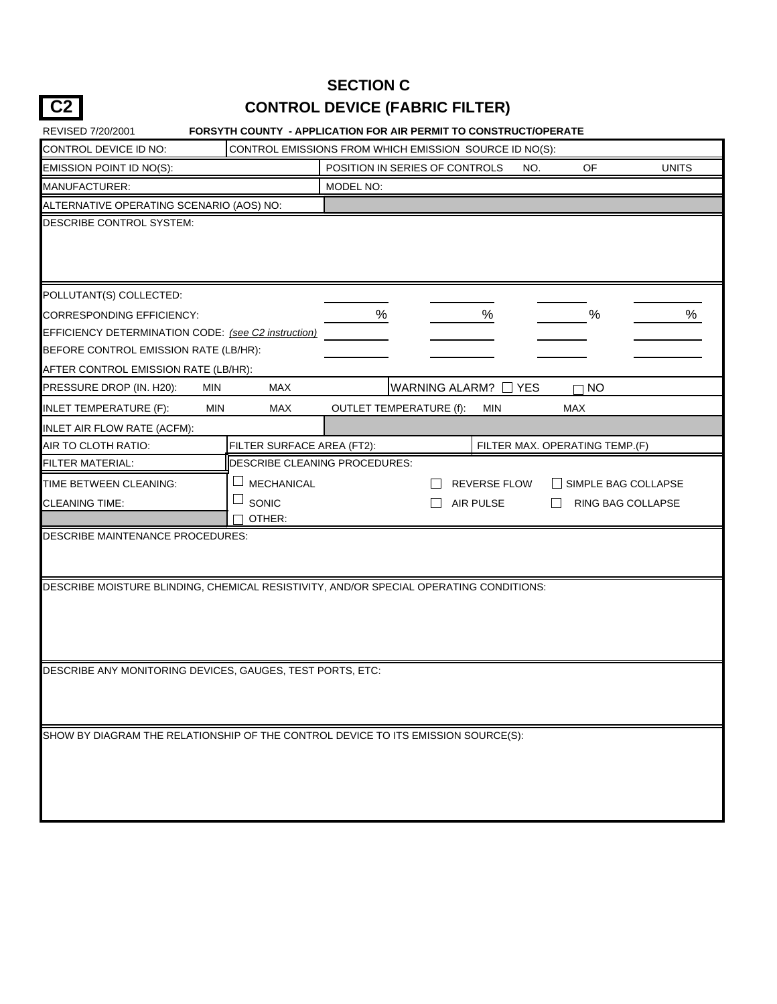## **SECTION C CONTROL DEVICE (FABRIC FILTER)**

**C2**

| REVISED 7/20/2001                                         |                            | FORSYTH COUNTY - APPLICATION FOR AIR PERMIT TO CONSTRUCT/OPERATE                       |                            |
|-----------------------------------------------------------|----------------------------|----------------------------------------------------------------------------------------|----------------------------|
| CONTROL DEVICE ID NO:                                     |                            | CONTROL EMISSIONS FROM WHICH EMISSION SOURCE ID NO(S):                                 |                            |
| EMISSION POINT ID NO(S):                                  |                            | POSITION IN SERIES OF CONTROLS<br>OF<br>NO.                                            | <b>UNITS</b>               |
| MANUFACTURER:                                             |                            | MODEL NO:                                                                              |                            |
| ALTERNATIVE OPERATING SCENARIO (AOS) NO:                  |                            |                                                                                        |                            |
| DESCRIBE CONTROL SYSTEM:                                  |                            |                                                                                        |                            |
| POLLUTANT(S) COLLECTED:                                   |                            |                                                                                        |                            |
| <b>CORRESPONDING EFFICIENCY:</b>                          |                            | $\%$<br>%<br>$\%$                                                                      | ℅                          |
| EFFICIENCY DETERMINATION CODE: (see C2 instruction)       |                            |                                                                                        |                            |
| BEFORE CONTROL EMISSION RATE (LB/HR):                     |                            |                                                                                        |                            |
| AFTER CONTROL EMISSION RATE (LB/HR):                      |                            |                                                                                        |                            |
| PRESSURE DROP (IN. H20):                                  | <b>MAX</b><br><b>MIN</b>   | WARNING ALARM? N YES<br><b>NO</b>                                                      |                            |
| <b>INLET TEMPERATURE (F):</b>                             | MAX<br><b>MIN</b>          | <b>OUTLET TEMPERATURE (f):</b><br><b>MIN</b><br>MAX                                    |                            |
| INLET AIR FLOW RATE (ACFM):                               |                            |                                                                                        |                            |
| AIR TO CLOTH RATIO:                                       | FILTER SURFACE AREA (FT2): | FILTER MAX. OPERATING TEMP.(F)                                                         |                            |
| <b>FILTER MATERIAL:</b>                                   |                            | DESCRIBE CLEANING PROCEDURES:                                                          |                            |
| TIME BETWEEN CLEANING:                                    | <b>MECHANICAL</b>          | <b>REVERSE FLOW</b>                                                                    | $\Box$ SIMPLE BAG COLLAPSE |
| <b>CLEANING TIME:</b>                                     | SONIC                      | <b>AIR PULSE</b><br>$\Box$                                                             | RING BAG COLLAPSE          |
|                                                           | OTHER:                     |                                                                                        |                            |
| DESCRIBE MAINTENANCE PROCEDURES:                          |                            |                                                                                        |                            |
|                                                           |                            | DESCRIBE MOISTURE BLINDING, CHEMICAL RESISTIVITY, AND/OR SPECIAL OPERATING CONDITIONS: |                            |
| DESCRIBE ANY MONITORING DEVICES, GAUGES, TEST PORTS, ETC: |                            |                                                                                        |                            |
|                                                           |                            | SHOW BY DIAGRAM THE RELATIONSHIP OF THE CONTROL DEVICE TO ITS EMISSION SOURCE(S):      |                            |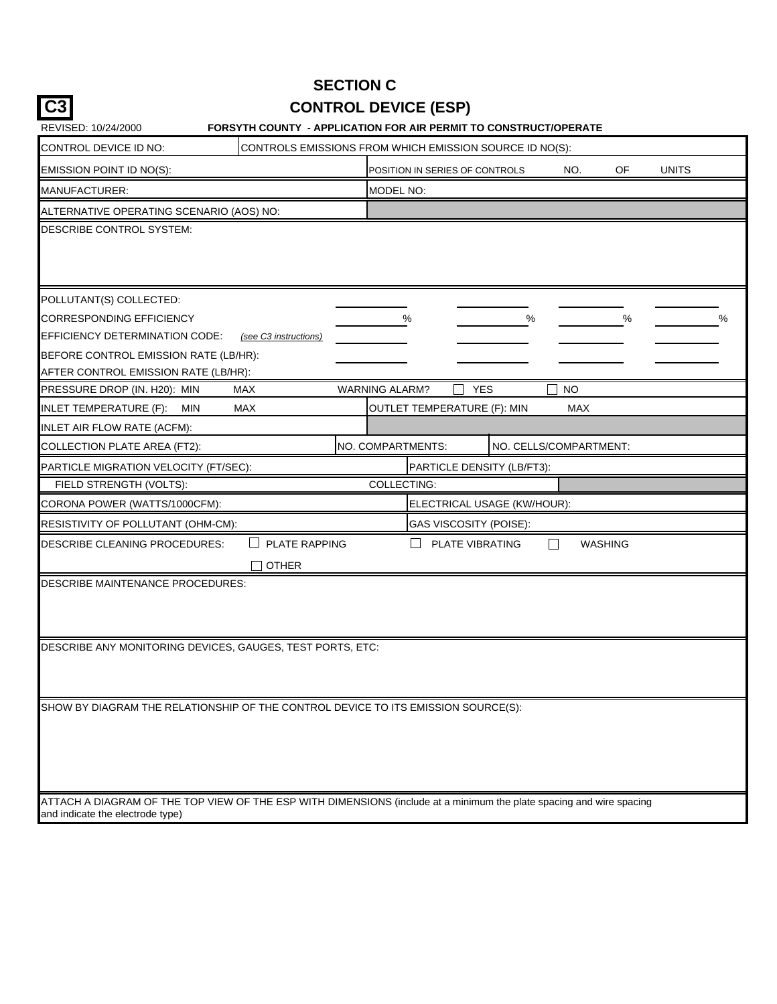|                                                                                                                      | <b>SECTION C</b>            |                                |                        |         |              |   |
|----------------------------------------------------------------------------------------------------------------------|-----------------------------|--------------------------------|------------------------|---------|--------------|---|
|                                                                                                                      | <b>CONTROL DEVICE (ESP)</b> |                                |                        |         |              |   |
| FORSYTH COUNTY - APPLICATION FOR AIR PERMIT TO CONSTRUCT/OPERATE<br>REVISED: 10/24/2000                              |                             |                                |                        |         |              |   |
| CONTROL DEVICE ID NO:<br>CONTROLS EMISSIONS FROM WHICH EMISSION SOURCE ID NO(S):                                     |                             |                                |                        |         |              |   |
| EMISSION POINT ID NO(S):                                                                                             |                             | POSITION IN SERIES OF CONTROLS | NO.                    | OF      | <b>UNITS</b> |   |
| MANUFACTURER:                                                                                                        | MODEL NO:                   |                                |                        |         |              |   |
| ALTERNATIVE OPERATING SCENARIO (AOS) NO:                                                                             |                             |                                |                        |         |              |   |
| DESCRIBE CONTROL SYSTEM:                                                                                             |                             |                                |                        |         |              |   |
|                                                                                                                      |                             |                                |                        |         |              |   |
|                                                                                                                      |                             |                                |                        |         |              |   |
|                                                                                                                      |                             |                                |                        |         |              |   |
| POLLUTANT(S) COLLECTED:                                                                                              |                             |                                |                        |         |              |   |
| <b>CORRESPONDING EFFICIENCY</b><br>EFFICIENCY DETERMINATION CODE:<br>(see C3 instructions)                           | %                           |                                | %                      | %       |              | ℅ |
| BEFORE CONTROL EMISSION RATE (LB/HR):                                                                                |                             |                                |                        |         |              |   |
| AFTER CONTROL EMISSION RATE (LB/HR):                                                                                 |                             |                                |                        |         |              |   |
| PRESSURE DROP (IN. H20): MIN<br><b>MAX</b>                                                                           | <b>WARNING ALARM?</b>       | <b>YES</b>                     | <b>NO</b>              |         |              |   |
| INLET TEMPERATURE (F):<br><b>MAX</b><br>MIN                                                                          |                             | OUTLET TEMPERATURE (F): MIN    | <b>MAX</b>             |         |              |   |
| INLET AIR FLOW RATE (ACFM):                                                                                          |                             |                                |                        |         |              |   |
| COLLECTION PLATE AREA (FT2):                                                                                         | NO. COMPARTMENTS:           |                                | NO. CELLS/COMPARTMENT: |         |              |   |
| PARTICLE MIGRATION VELOCITY (FT/SEC):                                                                                |                             | PARTICLE DENSITY (LB/FT3):     |                        |         |              |   |
| FIELD STRENGTH (VOLTS):                                                                                              | COLLECTING:                 |                                |                        |         |              |   |
| CORONA POWER (WATTS/1000CFM):                                                                                        |                             | ELECTRICAL USAGE (KW/HOUR):    |                        |         |              |   |
| RESISTIVITY OF POLLUTANT (OHM-CM):                                                                                   |                             | GAS VISCOSITY (POISE):         |                        |         |              |   |
| DESCRIBE CLEANING PROCEDURES:<br><b>PLATE RAPPING</b>                                                                | $\mathsf{L}$                | PLATE VIBRATING                | $\Box$                 | WASHING |              |   |
| <b>OTHER</b>                                                                                                         |                             |                                |                        |         |              |   |
| DESCRIBE MAINTENANCE PROCEDURES:                                                                                     |                             |                                |                        |         |              |   |
|                                                                                                                      |                             |                                |                        |         |              |   |
|                                                                                                                      |                             |                                |                        |         |              |   |
| DESCRIBE ANY MONITORING DEVICES, GAUGES, TEST PORTS, ETC:                                                            |                             |                                |                        |         |              |   |
|                                                                                                                      |                             |                                |                        |         |              |   |
|                                                                                                                      |                             |                                |                        |         |              |   |
| SHOW BY DIAGRAM THE RELATIONSHIP OF THE CONTROL DEVICE TO ITS EMISSION SOURCE(S):                                    |                             |                                |                        |         |              |   |
|                                                                                                                      |                             |                                |                        |         |              |   |
|                                                                                                                      |                             |                                |                        |         |              |   |
|                                                                                                                      |                             |                                |                        |         |              |   |
|                                                                                                                      |                             |                                |                        |         |              |   |
| ATTACH A DIAGRAM OF THE TOP VIEW OF THE ESP WITH DIMENSIONS (include at a minimum the plate spacing and wire spacing |                             |                                |                        |         |              |   |
| and indicate the electrode type)                                                                                     |                             |                                |                        |         |              |   |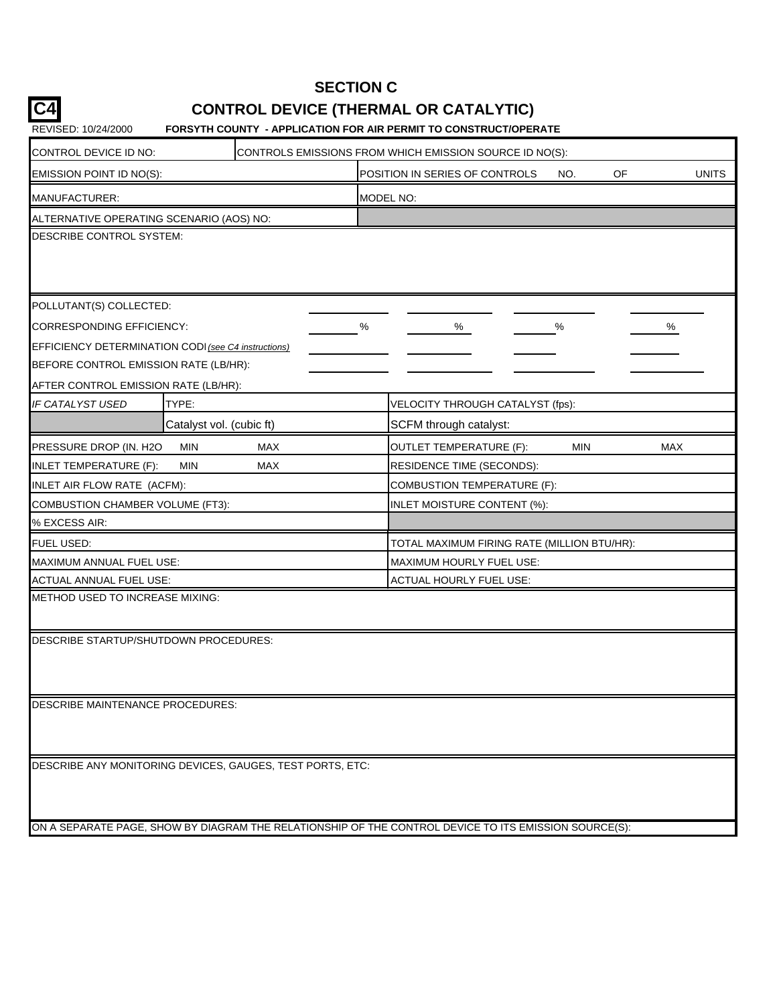## **SECTION C**

## **CONTROL DEVICE (THERMAL OR CATALYTIC)**

#### REVISED: 10/24/2000 **FORSYTH COUNTY - APPLICATION FOR AIR PERMIT TO CONSTRUCT/OPERATE**

**C4**

| CONTROL DEVICE ID NO:                                                                                 |     |   | CONTROLS EMISSIONS FROM WHICH EMISSION SOURCE ID NO(S):     |            |            |  |  |  |  |
|-------------------------------------------------------------------------------------------------------|-----|---|-------------------------------------------------------------|------------|------------|--|--|--|--|
| EMISSION POINT ID NO(S):                                                                              |     |   | OF<br><b>UNITS</b><br>POSITION IN SERIES OF CONTROLS<br>NO. |            |            |  |  |  |  |
| MANUFACTURER:                                                                                         |     |   | MODEL NO:                                                   |            |            |  |  |  |  |
| ALTERNATIVE OPERATING SCENARIO (AOS) NO:                                                              |     |   |                                                             |            |            |  |  |  |  |
| DESCRIBE CONTROL SYSTEM:                                                                              |     |   |                                                             |            |            |  |  |  |  |
|                                                                                                       |     |   |                                                             |            |            |  |  |  |  |
|                                                                                                       |     |   |                                                             |            |            |  |  |  |  |
| POLLUTANT(S) COLLECTED:                                                                               |     |   |                                                             |            |            |  |  |  |  |
| CORRESPONDING EFFICIENCY:                                                                             |     | % | %                                                           | ℅          | ℅          |  |  |  |  |
| EFFICIENCY DETERMINATION CODI (see C4 instructions)                                                   |     |   |                                                             |            |            |  |  |  |  |
| BEFORE CONTROL EMISSION RATE (LB/HR):                                                                 |     |   |                                                             |            |            |  |  |  |  |
| AFTER CONTROL EMISSION RATE (LB/HR):                                                                  |     |   |                                                             |            |            |  |  |  |  |
| IF CATALYST USED<br>TYPE:                                                                             |     |   | VELOCITY THROUGH CATALYST (fps):                            |            |            |  |  |  |  |
| Catalyst vol. (cubic ft)                                                                              |     |   | SCFM through catalyst:                                      |            |            |  |  |  |  |
| PRESSURE DROP (IN. H2O<br><b>MIN</b>                                                                  | MAX |   | <b>OUTLET TEMPERATURE (F):</b>                              | <b>MIN</b> | <b>MAX</b> |  |  |  |  |
| <b>INLET TEMPERATURE (F):</b><br><b>MIN</b>                                                           | MAX |   | RESIDENCE TIME (SECONDS):                                   |            |            |  |  |  |  |
| INLET AIR FLOW RATE (ACFM):                                                                           |     |   | COMBUSTION TEMPERATURE (F):                                 |            |            |  |  |  |  |
| COMBUSTION CHAMBER VOLUME (FT3):                                                                      |     |   | INLET MOISTURE CONTENT (%):                                 |            |            |  |  |  |  |
| % EXCESS AIR:                                                                                         |     |   |                                                             |            |            |  |  |  |  |
| FUEL USED:                                                                                            |     |   | TOTAL MAXIMUM FIRING RATE (MILLION BTU/HR):                 |            |            |  |  |  |  |
| MAXIMUM ANNUAL FUEL USE:                                                                              |     |   | MAXIMUM HOURLY FUEL USE:                                    |            |            |  |  |  |  |
| ACTUAL ANNUAL FUEL USE:                                                                               |     |   | ACTUAL HOURLY FUEL USE:                                     |            |            |  |  |  |  |
| METHOD USED TO INCREASE MIXING:                                                                       |     |   |                                                             |            |            |  |  |  |  |
|                                                                                                       |     |   |                                                             |            |            |  |  |  |  |
| DESCRIBE STARTUP/SHUTDOWN PROCEDURES:                                                                 |     |   |                                                             |            |            |  |  |  |  |
|                                                                                                       |     |   |                                                             |            |            |  |  |  |  |
|                                                                                                       |     |   |                                                             |            |            |  |  |  |  |
| DESCRIBE MAINTENANCE PROCEDURES:                                                                      |     |   |                                                             |            |            |  |  |  |  |
|                                                                                                       |     |   |                                                             |            |            |  |  |  |  |
|                                                                                                       |     |   |                                                             |            |            |  |  |  |  |
| DESCRIBE ANY MONITORING DEVICES, GAUGES, TEST PORTS, ETC:                                             |     |   |                                                             |            |            |  |  |  |  |
|                                                                                                       |     |   |                                                             |            |            |  |  |  |  |
|                                                                                                       |     |   |                                                             |            |            |  |  |  |  |
| ON A SEPARATE PAGE, SHOW BY DIAGRAM THE RELATIONSHIP OF THE CONTROL DEVICE TO ITS EMISSION SOURCE(S): |     |   |                                                             |            |            |  |  |  |  |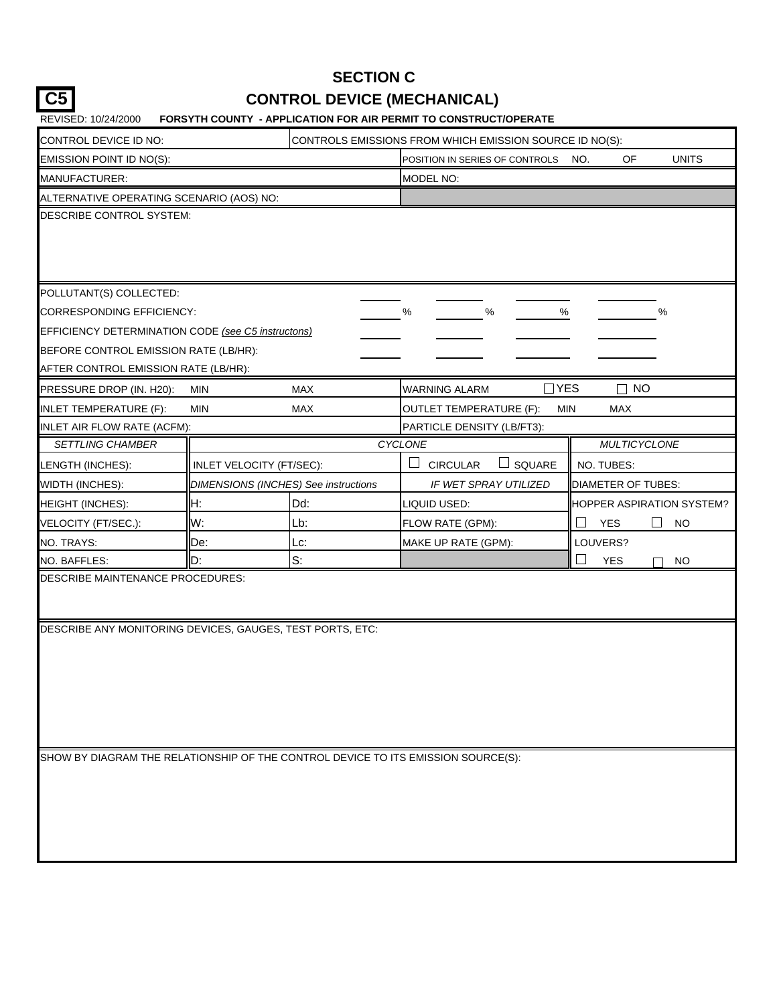## **C5 CONTROL DEVICE (MECHANICAL) SECTION C**

| CONTROL DEVICE ID NO:                                                                                | CONTROLS EMISSIONS FROM WHICH EMISSION SOURCE ID NO(S): |                                      |                                                             |                              |  |  |  |  |
|------------------------------------------------------------------------------------------------------|---------------------------------------------------------|--------------------------------------|-------------------------------------------------------------|------------------------------|--|--|--|--|
| EMISSION POINT ID NO(S):                                                                             |                                                         |                                      | <b>UNITS</b><br>POSITION IN SERIES OF CONTROLS<br>OF<br>NO. |                              |  |  |  |  |
| MANUFACTURER:                                                                                        |                                                         |                                      |                                                             |                              |  |  |  |  |
| ALTERNATIVE OPERATING SCENARIO (AOS) NO:                                                             |                                                         |                                      |                                                             |                              |  |  |  |  |
| DESCRIBE CONTROL SYSTEM:                                                                             |                                                         |                                      |                                                             |                              |  |  |  |  |
| POLLUTANT(S) COLLECTED:                                                                              |                                                         |                                      |                                                             |                              |  |  |  |  |
| CORRESPONDING EFFICIENCY:                                                                            |                                                         |                                      | %<br>%<br>$\%$                                              | $\%$                         |  |  |  |  |
| EFFICIENCY DETERMINATION CODE (see C5 instructons)                                                   |                                                         |                                      |                                                             |                              |  |  |  |  |
| BEFORE CONTROL EMISSION RATE (LB/HR):                                                                |                                                         |                                      |                                                             |                              |  |  |  |  |
| AFTER CONTROL EMISSION RATE (LB/HR):                                                                 |                                                         |                                      |                                                             |                              |  |  |  |  |
| PRESSURE DROP (IN. H20):                                                                             | <b>MIN</b>                                              | <b>MAX</b>                           | <b>WARNING ALARM</b>                                        | $\exists$ YES<br>$\sqcap$ No |  |  |  |  |
| <b>INLET TEMPERATURE (F):</b>                                                                        | <b>MIN</b>                                              | MAX                                  | <b>OUTLET TEMPERATURE (F):</b>                              | <b>MAX</b><br>MIN            |  |  |  |  |
| INLET AIR FLOW RATE (ACFM):                                                                          |                                                         |                                      | PARTICLE DENSITY (LB/FT3):                                  |                              |  |  |  |  |
| <b>SETTLING CHAMBER</b>                                                                              |                                                         |                                      | CYCLONE                                                     | <b>MULTICYCLONE</b>          |  |  |  |  |
| LENGTH (INCHES):                                                                                     | INLET VELOCITY (FT/SEC):                                |                                      | SQUARE<br><b>CIRCULAR</b>                                   | NO. TUBES:                   |  |  |  |  |
| <b>WIDTH (INCHES):</b>                                                                               |                                                         | DIMENSIONS (INCHES) See instructions | IF WET SPRAY UTILIZED                                       | DIAMETER OF TUBES:           |  |  |  |  |
| <b>HEIGHT (INCHES):</b>                                                                              | H:                                                      | Dd:                                  | LIQUID USED:                                                | HOPPER ASPIRATION SYSTEM?    |  |  |  |  |
| VELOCITY (FT/SEC.):                                                                                  | W:                                                      | Lb:                                  | FLOW RATE (GPM):                                            | <b>YES</b><br><b>NO</b>      |  |  |  |  |
| NO. TRAYS:                                                                                           | De:                                                     | Lc:                                  | MAKE UP RATE (GPM):                                         | LOUVERS?                     |  |  |  |  |
| <b>NO. BAFFLES:</b>                                                                                  | D:                                                      | $S$ :                                |                                                             | <b>YES</b><br><b>NO</b>      |  |  |  |  |
| <b>DESCRIBE MAINTENANCE PROCEDURES:</b><br>DESCRIBE ANY MONITORING DEVICES, GAUGES, TEST PORTS, ETC: |                                                         |                                      |                                                             |                              |  |  |  |  |
| SHOW BY DIAGRAM THE RELATIONSHIP OF THE CONTROL DEVICE TO ITS EMISSION SOURCE(S):                    |                                                         |                                      |                                                             |                              |  |  |  |  |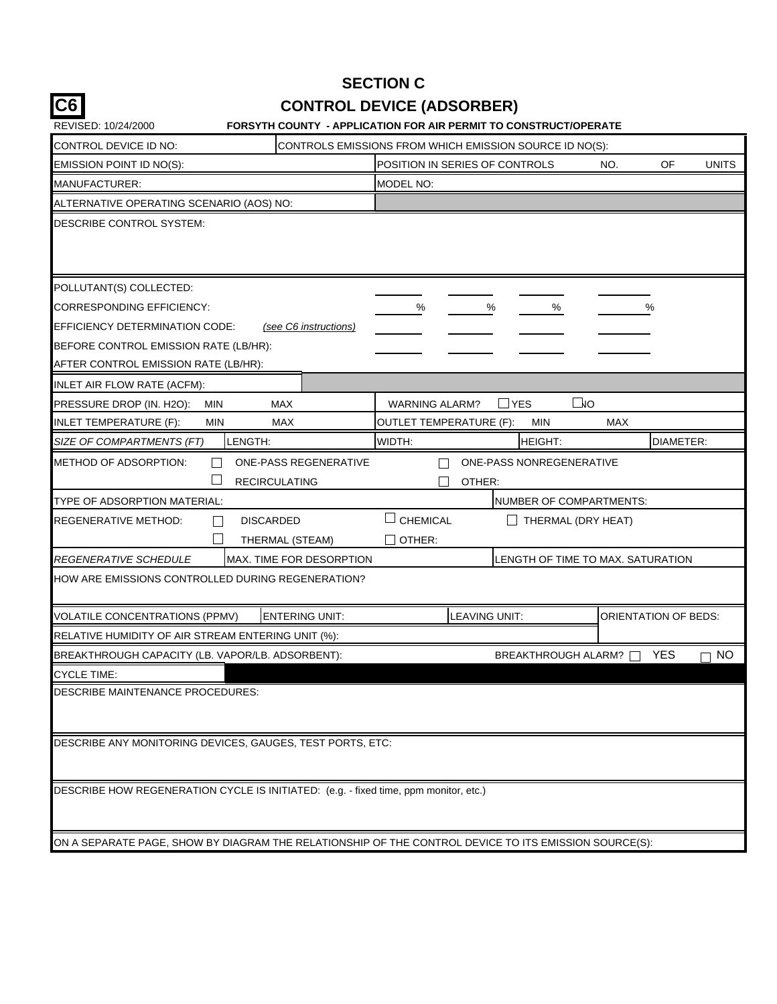| ٩             |
|---------------|
| ۰.<br>×<br>۰, |

## **SECTION C CONTROL DEVICE (ADSORBER)**

| REVISED: 10/24/2000                                                                                   |            | <b>FORSYTH COUNTY - APPLICATION FOR AIR PERMIT TO CONSTRUCT/OPERATE</b> |                                                         |                                   |     |                             |              |
|-------------------------------------------------------------------------------------------------------|------------|-------------------------------------------------------------------------|---------------------------------------------------------|-----------------------------------|-----|-----------------------------|--------------|
| CONTROL DEVICE ID NO:                                                                                 |            |                                                                         | CONTROLS EMISSIONS FROM WHICH EMISSION SOURCE ID NO(S): |                                   |     |                             |              |
| EMISSION POINT ID NO(S):                                                                              |            |                                                                         | POSITION IN SERIES OF CONTROLS                          |                                   | NO. | OF                          | <b>UNITS</b> |
| MANUFACTURER:                                                                                         |            |                                                                         | MODEL NO:                                               |                                   |     |                             |              |
| ALTERNATIVE OPERATING SCENARIO (AOS) NO:                                                              |            |                                                                         |                                                         |                                   |     |                             |              |
| DESCRIBE CONTROL SYSTEM:                                                                              |            |                                                                         |                                                         |                                   |     |                             |              |
| POLLUTANT(S) COLLECTED:                                                                               |            |                                                                         |                                                         |                                   |     |                             |              |
| CORRESPONDING EFFICIENCY:                                                                             |            |                                                                         | $\%$                                                    | %<br>%                            |     | %                           |              |
| EFFICIENCY DETERMINATION CODE:                                                                        |            | (see C6 instructions)                                                   |                                                         |                                   |     |                             |              |
| BEFORE CONTROL EMISSION RATE (LB/HR):                                                                 |            |                                                                         |                                                         |                                   |     |                             |              |
| AFTER CONTROL EMISSION RATE (LB/HR):                                                                  |            |                                                                         |                                                         |                                   |     |                             |              |
| INLET AIR FLOW RATE (ACFM):                                                                           |            |                                                                         |                                                         |                                   |     |                             |              |
| PRESSURE DROP (IN. H2O):                                                                              | <b>MIN</b> | <b>MAX</b>                                                              | <b>WARNING ALARM?</b>                                   | $\square$ vo<br>YES               |     |                             |              |
| INLET TEMPERATURE (F):                                                                                | <b>MIN</b> | MAX                                                                     | <b>OUTLET TEMPERATURE (F):</b>                          | <b>MIN</b>                        | MAX |                             |              |
| SIZE OF COMPARTMENTS (FT)                                                                             | LENGTH:    |                                                                         | WIDTH:                                                  | <b>HEIGHT:</b>                    |     | DIAMETER:                   |              |
| <b>METHOD OF ADSORPTION:</b>                                                                          |            | ONE-PASS REGENERATIVE<br><b>RECIRCULATING</b>                           | OTHER:                                                  | ONE-PASS NONREGENERATIVE          |     |                             |              |
| TYPE OF ADSORPTION MATERIAL:                                                                          |            |                                                                         |                                                         | NUMBER OF COMPARTMENTS:           |     |                             |              |
| REGENERATIVE METHOD:                                                                                  |            | <b>DISCARDED</b><br>THERMAL (STEAM)                                     | <b>CHEMICAL</b><br>OTHER:                               | $\Box$ THERMAL (DRY HEAT)         |     |                             |              |
| <i>REGENERATIVE SCHEDULE</i>                                                                          |            | MAX. TIME FOR DESORPTION                                                |                                                         | LENGTH OF TIME TO MAX. SATURATION |     |                             |              |
| HOW ARE EMISSIONS CONTROLLED DURING REGENERATION?                                                     |            |                                                                         |                                                         |                                   |     |                             |              |
| <b>VOLATILE CONCENTRATIONS (PPMV)</b>                                                                 |            | <b>ENTERING UNIT:</b>                                                   |                                                         | LEAVING UNIT:                     |     | <b>ORIENTATION OF BEDS:</b> |              |
| RELATIVE HUMIDITY OF AIR STREAM ENTERING UNIT (%):                                                    |            |                                                                         |                                                         |                                   |     |                             |              |
| BREAKTHROUGH CAPACITY (LB. VAPOR/LB. ADSORBENT):                                                      |            |                                                                         |                                                         | BREAKTHROUGH ALARM?               |     | <b>YES</b>                  | <b>NO</b>    |
| <b>CYCLE TIME:</b>                                                                                    |            |                                                                         |                                                         |                                   |     |                             |              |
| DESCRIBE MAINTENANCE PROCEDURES:                                                                      |            |                                                                         |                                                         |                                   |     |                             |              |
| DESCRIBE ANY MONITORING DEVICES, GAUGES, TEST PORTS, ETC:                                             |            |                                                                         |                                                         |                                   |     |                             |              |
| DESCRIBE HOW REGENERATION CYCLE IS INITIATED: (e.g. - fixed time, ppm monitor, etc.)                  |            |                                                                         |                                                         |                                   |     |                             |              |
| ON A SEPARATE PAGE, SHOW BY DIAGRAM THE RELATIONSHIP OF THE CONTROL DEVICE TO ITS EMISSION SOURCE(S): |            |                                                                         |                                                         |                                   |     |                             |              |
|                                                                                                       |            |                                                                         |                                                         |                                   |     |                             |              |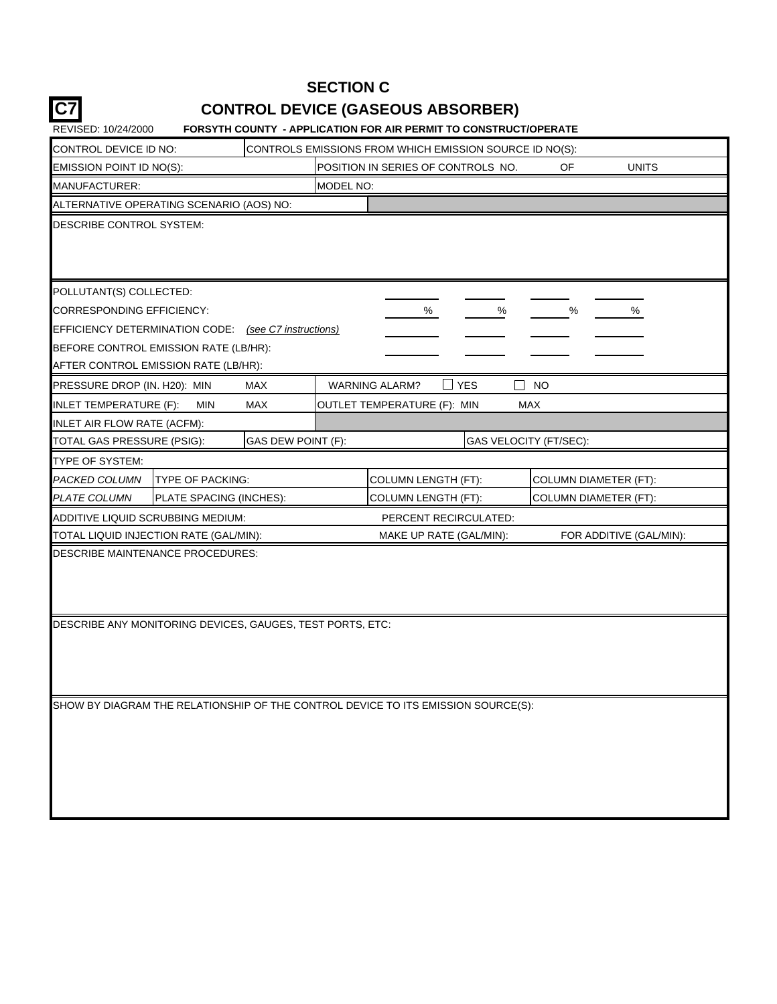## **C7 CONTROL DEVICE (GASEOUS ABSORBER) SECTION C**

| CONTROL DEVICE ID NO:                                                             |                         |                    |           | CONTROLS EMISSIONS FROM WHICH EMISSION SOURCE ID NO(S): |                        |                              |                         |  |  |
|-----------------------------------------------------------------------------------|-------------------------|--------------------|-----------|---------------------------------------------------------|------------------------|------------------------------|-------------------------|--|--|
| EMISSION POINT ID NO(S):                                                          |                         |                    |           | POSITION IN SERIES OF CONTROLS NO.                      |                        | OF                           | <b>UNITS</b>            |  |  |
| MANUFACTURER:                                                                     |                         |                    | MODEL NO: |                                                         |                        |                              |                         |  |  |
| ALTERNATIVE OPERATING SCENARIO (AOS) NO:                                          |                         |                    |           |                                                         |                        |                              |                         |  |  |
| DESCRIBE CONTROL SYSTEM:                                                          |                         |                    |           |                                                         |                        |                              |                         |  |  |
| POLLUTANT(S) COLLECTED:                                                           |                         |                    |           |                                                         |                        |                              |                         |  |  |
| <b>CORRESPONDING EFFICIENCY:</b>                                                  |                         |                    |           | %                                                       | $\%$                   | $\%$                         | %                       |  |  |
| EFFICIENCY DETERMINATION CODE: (see C7 instructions)                              |                         |                    |           |                                                         |                        |                              |                         |  |  |
| BEFORE CONTROL EMISSION RATE (LB/HR):                                             |                         |                    |           |                                                         |                        |                              |                         |  |  |
| AFTER CONTROL EMISSION RATE (LB/HR):                                              |                         |                    |           |                                                         |                        |                              |                         |  |  |
| PRESSURE DROP (IN. H20): MIN                                                      |                         | MAX                |           | <b>WARNING ALARM?</b>                                   | <b>YES</b>             | NO                           |                         |  |  |
| <b>INLET TEMPERATURE (F):</b>                                                     | <b>MIN</b>              | MAX                |           | OUTLET TEMPERATURE (F): MIN                             | <b>MAX</b>             |                              |                         |  |  |
| INLET AIR FLOW RATE (ACFM):                                                       |                         |                    |           |                                                         |                        |                              |                         |  |  |
| TOTAL GAS PRESSURE (PSIG):                                                        |                         | GAS DEW POINT (F): |           |                                                         | GAS VELOCITY (FT/SEC): |                              |                         |  |  |
| TYPE OF SYSTEM:                                                                   |                         |                    |           |                                                         |                        |                              |                         |  |  |
| PACKED COLUMN                                                                     | <b>TYPE OF PACKING:</b> |                    |           | <b>COLUMN LENGTH (FT):</b>                              |                        | <b>COLUMN DIAMETER (FT):</b> |                         |  |  |
| <b>PLATE COLUMN</b>                                                               | PLATE SPACING (INCHES): |                    |           | <b>COLUMN LENGTH (FT):</b>                              |                        |                              | COLUMN DIAMETER (FT):   |  |  |
| ADDITIVE LIQUID SCRUBBING MEDIUM:                                                 |                         |                    |           | PERCENT RECIRCULATED:                                   |                        |                              |                         |  |  |
| TOTAL LIQUID INJECTION RATE (GAL/MIN):                                            |                         |                    |           | MAKE UP RATE (GAL/MIN):                                 |                        |                              | FOR ADDITIVE (GAL/MIN): |  |  |
| DESCRIBE MAINTENANCE PROCEDURES:                                                  |                         |                    |           |                                                         |                        |                              |                         |  |  |
| DESCRIBE ANY MONITORING DEVICES, GAUGES, TEST PORTS, ETC:                         |                         |                    |           |                                                         |                        |                              |                         |  |  |
| SHOW BY DIAGRAM THE RELATIONSHIP OF THE CONTROL DEVICE TO ITS EMISSION SOURCE(S): |                         |                    |           |                                                         |                        |                              |                         |  |  |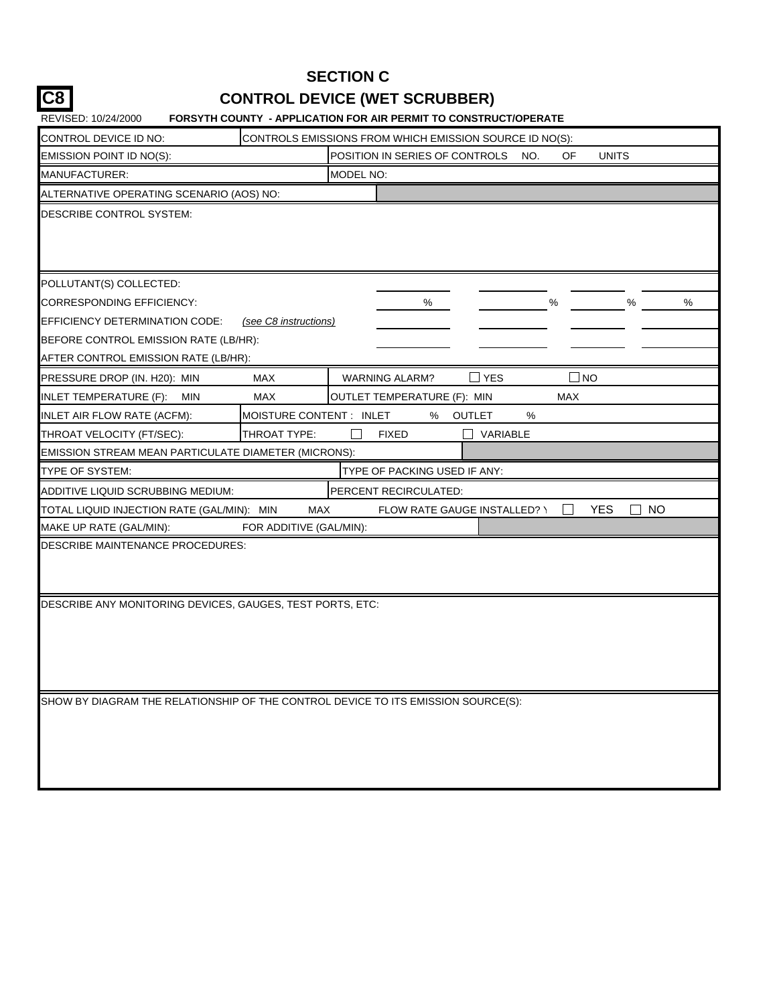## **SECTION C CONTROL DEVICE (WET SCRUBBER)**

**C8**

| REVISED: 10/24/2000                                                               | <b>FORSYTH COUNTY - APPLICATION FOR AIR PERMIT TO CONSTRUCT/OPERATE</b> |           |                                     |               |          |     |              |                             |   |
|-----------------------------------------------------------------------------------|-------------------------------------------------------------------------|-----------|-------------------------------------|---------------|----------|-----|--------------|-----------------------------|---|
| CONTROL DEVICE ID NO:                                                             | CONTROLS EMISSIONS FROM WHICH EMISSION SOURCE ID NO(S):                 |           |                                     |               |          |     |              |                             |   |
| EMISSION POINT ID NO(S):                                                          |                                                                         |           | POSITION IN SERIES OF CONTROLS      |               | NO.      | OF  | <b>UNITS</b> |                             |   |
| MANUFACTURER:                                                                     |                                                                         | MODEL NO: |                                     |               |          |     |              |                             |   |
| ALTERNATIVE OPERATING SCENARIO (AOS) NO:                                          |                                                                         |           |                                     |               |          |     |              |                             |   |
| DESCRIBE CONTROL SYSTEM:                                                          |                                                                         |           |                                     |               |          |     |              |                             |   |
|                                                                                   |                                                                         |           |                                     |               |          |     |              |                             |   |
|                                                                                   |                                                                         |           |                                     |               |          |     |              |                             |   |
| POLLUTANT(S) COLLECTED:                                                           |                                                                         |           |                                     |               |          |     |              |                             |   |
| CORRESPONDING EFFICIENCY:                                                         |                                                                         |           | %                                   |               |          | %   |              | %                           | % |
| EFFICIENCY DETERMINATION CODE:                                                    | (see C8 instructions)                                                   |           |                                     |               |          |     |              |                             |   |
| BEFORE CONTROL EMISSION RATE (LB/HR):                                             |                                                                         |           |                                     |               |          |     |              |                             |   |
| AFTER CONTROL EMISSION RATE (LB/HR):                                              |                                                                         |           |                                     |               |          |     |              |                             |   |
| PRESSURE DROP (IN. H20): MIN                                                      | <b>MAX</b>                                                              |           | <b>WARNING ALARM?</b>               | $\sqcup$ YES  |          |     | <b>NO</b>    |                             |   |
| INLET TEMPERATURE (F):<br><b>MIN</b>                                              | <b>MAX</b>                                                              |           | OUTLET TEMPERATURE (F): MIN         |               |          | MAX |              |                             |   |
| INLET AIR FLOW RATE (ACFM):                                                       | MOISTURE CONTENT : INLET                                                |           | %                                   | <b>OUTLET</b> | %        |     |              |                             |   |
| THROAT VELOCITY (FT/SEC):                                                         | THROAT TYPE:                                                            |           | <b>FIXED</b>                        |               | VARIABLE |     |              |                             |   |
| EMISSION STREAM MEAN PARTICULATE DIAMETER (MICRONS):                              |                                                                         |           |                                     |               |          |     |              |                             |   |
| TYPE OF SYSTEM:                                                                   |                                                                         |           | TYPE OF PACKING USED IF ANY:        |               |          |     |              |                             |   |
| ADDITIVE LIQUID SCRUBBING MEDIUM:                                                 |                                                                         |           | PERCENT RECIRCULATED:               |               |          |     |              |                             |   |
| TOTAL LIQUID INJECTION RATE (GAL/MIN): MIN                                        | MAX                                                                     |           | <b>FLOW RATE GAUGE INSTALLED? \</b> |               |          |     | <b>YES</b>   | <b>NO</b><br>$\blacksquare$ |   |
| MAKE UP RATE (GAL/MIN):                                                           | FOR ADDITIVE (GAL/MIN):                                                 |           |                                     |               |          |     |              |                             |   |
| DESCRIBE MAINTENANCE PROCEDURES:                                                  |                                                                         |           |                                     |               |          |     |              |                             |   |
|                                                                                   |                                                                         |           |                                     |               |          |     |              |                             |   |
|                                                                                   |                                                                         |           |                                     |               |          |     |              |                             |   |
| DESCRIBE ANY MONITORING DEVICES, GAUGES, TEST PORTS, ETC:                         |                                                                         |           |                                     |               |          |     |              |                             |   |
|                                                                                   |                                                                         |           |                                     |               |          |     |              |                             |   |
|                                                                                   |                                                                         |           |                                     |               |          |     |              |                             |   |
|                                                                                   |                                                                         |           |                                     |               |          |     |              |                             |   |
|                                                                                   |                                                                         |           |                                     |               |          |     |              |                             |   |
| SHOW BY DIAGRAM THE RELATIONSHIP OF THE CONTROL DEVICE TO ITS EMISSION SOURCE(S): |                                                                         |           |                                     |               |          |     |              |                             |   |
|                                                                                   |                                                                         |           |                                     |               |          |     |              |                             |   |
|                                                                                   |                                                                         |           |                                     |               |          |     |              |                             |   |
|                                                                                   |                                                                         |           |                                     |               |          |     |              |                             |   |
|                                                                                   |                                                                         |           |                                     |               |          |     |              |                             |   |
|                                                                                   |                                                                         |           |                                     |               |          |     |              |                             |   |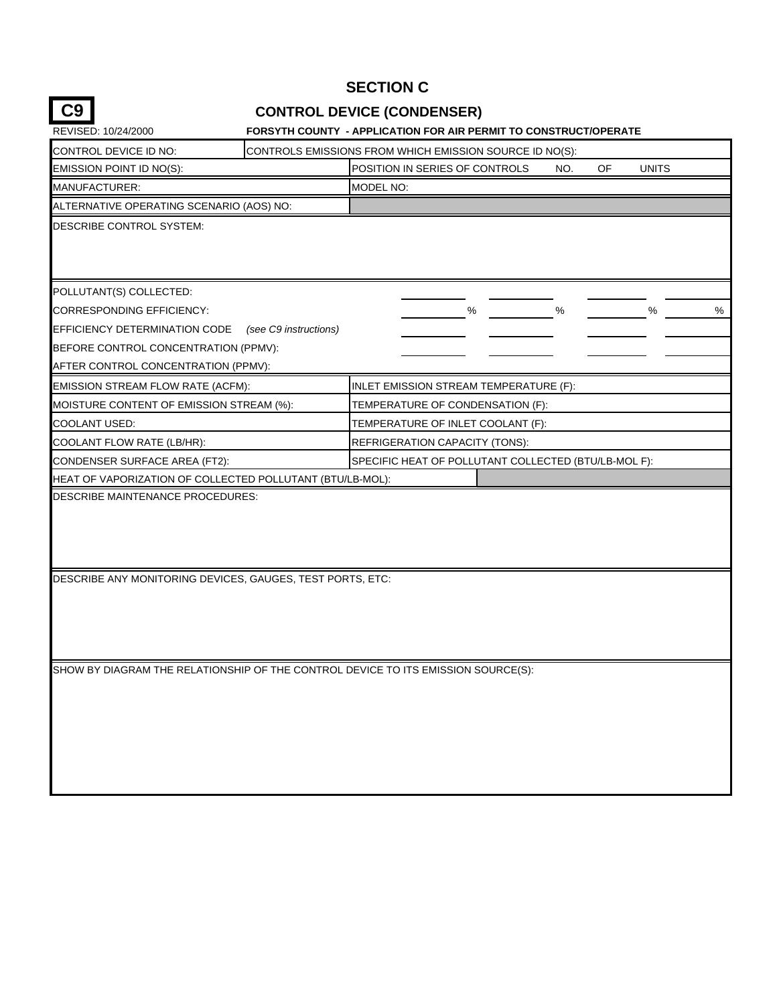## **SECTION C**

## **CONTROL DEVICE (CONDENSER)**

| CONTROL DEVICE ID NO:                                                                         |                                                      | CONTROLS EMISSIONS FROM WHICH EMISSION SOURCE ID NO(S): |     |    |              |
|-----------------------------------------------------------------------------------------------|------------------------------------------------------|---------------------------------------------------------|-----|----|--------------|
| EMISSION POINT ID NO(S):                                                                      |                                                      | POSITION IN SERIES OF CONTROLS                          | NO. | OF | <b>UNITS</b> |
| MANUFACTURER:                                                                                 |                                                      | <b>MODEL NO:</b>                                        |     |    |              |
| ALTERNATIVE OPERATING SCENARIO (AOS) NO:                                                      |                                                      |                                                         |     |    |              |
| DESCRIBE CONTROL SYSTEM:                                                                      |                                                      |                                                         |     |    |              |
| POLLUTANT(S) COLLECTED:                                                                       |                                                      |                                                         |     |    |              |
| <b>CORRESPONDING EFFICIENCY:</b>                                                              |                                                      | ℅                                                       | %   |    | %<br>%       |
| EFFICIENCY DETERMINATION CODE                                                                 | (see C9 instructions)                                |                                                         |     |    |              |
| BEFORE CONTROL CONCENTRATION (PPMV):                                                          |                                                      |                                                         |     |    |              |
| AFTER CONTROL CONCENTRATION (PPMV):                                                           |                                                      |                                                         |     |    |              |
| EMISSION STREAM FLOW RATE (ACFM):                                                             |                                                      | INLET EMISSION STREAM TEMPERATURE (F):                  |     |    |              |
| MOISTURE CONTENT OF EMISSION STREAM (%):                                                      | TEMPERATURE OF CONDENSATION (F):                     |                                                         |     |    |              |
| COOLANT USED:                                                                                 | TEMPERATURE OF INLET COOLANT (F):                    |                                                         |     |    |              |
| COOLANT FLOW RATE (LB/HR):                                                                    | REFRIGERATION CAPACITY (TONS):                       |                                                         |     |    |              |
| CONDENSER SURFACE AREA (FT2):                                                                 | SPECIFIC HEAT OF POLLUTANT COLLECTED (BTU/LB-MOL F): |                                                         |     |    |              |
| HEAT OF VAPORIZATION OF COLLECTED POLLUTANT (BTU/LB-MOL):                                     |                                                      |                                                         |     |    |              |
| DESCRIBE MAINTENANCE PROCEDURES:<br>DESCRIBE ANY MONITORING DEVICES, GAUGES, TEST PORTS, ETC: |                                                      |                                                         |     |    |              |
|                                                                                               |                                                      |                                                         |     |    |              |
| SHOW BY DIAGRAM THE RELATIONSHIP OF THE CONTROL DEVICE TO ITS EMISSION SOURCE(S):             |                                                      |                                                         |     |    |              |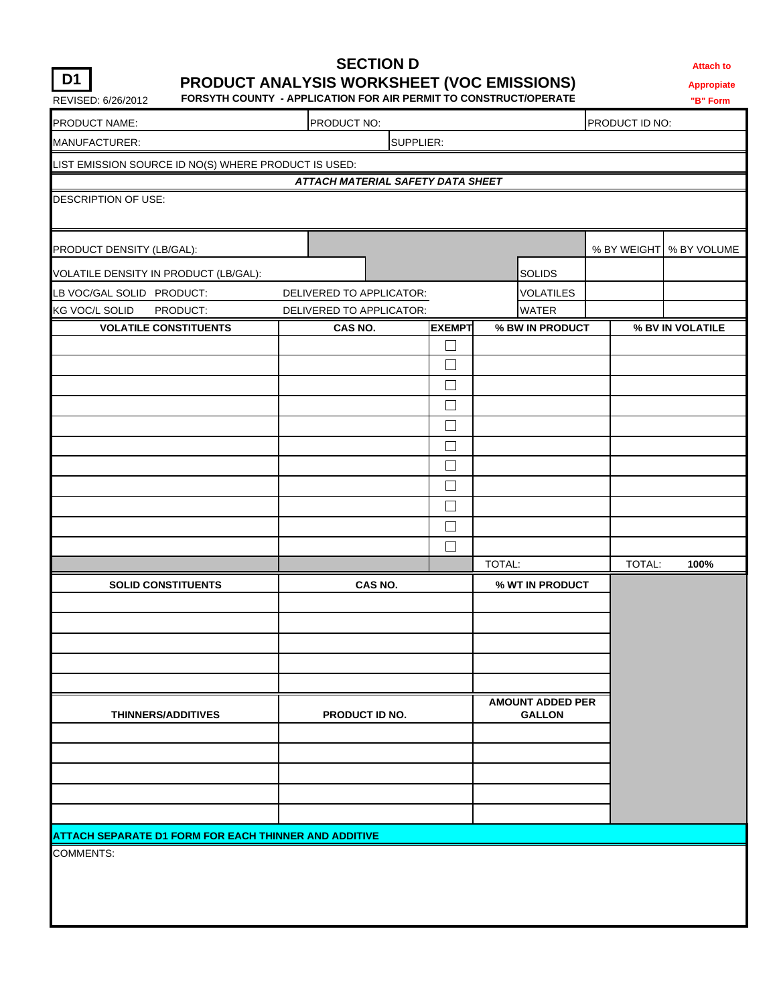## **SECTION D Attach to PRODUCT ANALYSIS WORKSHEET (VOC EMISSIONS) Appropiate**

REVISED: 6/26/2012 **FORSYTH COUNTY - APPLICATION FOR AIR PERMIT TO CONSTRUCT/OPERATE "B" Form** 

| PRODUCT NAME:<br>PRODUCT NO:<br>PRODUCT ID NO:        |                                   |                  |                                          |        |                           |
|-------------------------------------------------------|-----------------------------------|------------------|------------------------------------------|--------|---------------------------|
| MANUFACTURER:                                         |                                   | SUPPLIER:        |                                          |        |                           |
| LIST EMISSION SOURCE ID NO(S) WHERE PRODUCT IS USED:  |                                   |                  |                                          |        |                           |
|                                                       | ATTACH MATERIAL SAFETY DATA SHEET |                  |                                          |        |                           |
| DESCRIPTION OF USE:                                   |                                   |                  |                                          |        |                           |
| PRODUCT DENSITY (LB/GAL):                             |                                   |                  |                                          |        | % BY WEIGHT   % BY VOLUME |
| VOLATILE DENSITY IN PRODUCT (LB/GAL):                 |                                   |                  | <b>SOLIDS</b>                            |        |                           |
| LB VOC/GAL SOLID PRODUCT:                             | DELIVERED TO APPLICATOR:          |                  | <b>VOLATILES</b>                         |        |                           |
| KG VOC/L SOLID<br>PRODUCT:                            | DELIVERED TO APPLICATOR:          |                  | <b>WATER</b>                             |        |                           |
| <b>VOLATILE CONSTITUENTS</b>                          | CAS NO.                           | <b>EXEMPT</b>    | % BW IN PRODUCT                          |        | % BV IN VOLATILE          |
|                                                       |                                   | $\Box$           |                                          |        |                           |
|                                                       |                                   | $\Box$<br>$\Box$ |                                          |        |                           |
|                                                       |                                   | $\Box$           |                                          |        |                           |
|                                                       |                                   | $\Box$           |                                          |        |                           |
|                                                       |                                   | $\Box$           |                                          |        |                           |
|                                                       |                                   | $\Box$           |                                          |        |                           |
|                                                       |                                   | $\Box$           |                                          |        |                           |
|                                                       |                                   | $\Box$           |                                          |        |                           |
|                                                       |                                   | $\Box$           |                                          |        |                           |
|                                                       |                                   | П                |                                          |        |                           |
|                                                       |                                   |                  | TOTAL:                                   | TOTAL: | 100%                      |
| <b>SOLID CONSTITUENTS</b>                             | CAS NO.                           |                  | % WT IN PRODUCT                          |        |                           |
|                                                       |                                   |                  |                                          |        |                           |
|                                                       |                                   |                  |                                          |        |                           |
| THINNERS/ADDITIVES                                    | PRODUCT ID NO.                    |                  | <b>AMOUNT ADDED PER</b><br><b>GALLON</b> |        |                           |
|                                                       |                                   |                  |                                          |        |                           |
|                                                       |                                   |                  |                                          |        |                           |
|                                                       |                                   |                  |                                          |        |                           |
| ATTACH SEPARATE D1 FORM FOR EACH THINNER AND ADDITIVE |                                   |                  |                                          |        |                           |
| COMMENTS:                                             |                                   |                  |                                          |        |                           |
|                                                       |                                   |                  |                                          |        |                           |
|                                                       |                                   |                  |                                          |        |                           |
|                                                       |                                   |                  |                                          |        |                           |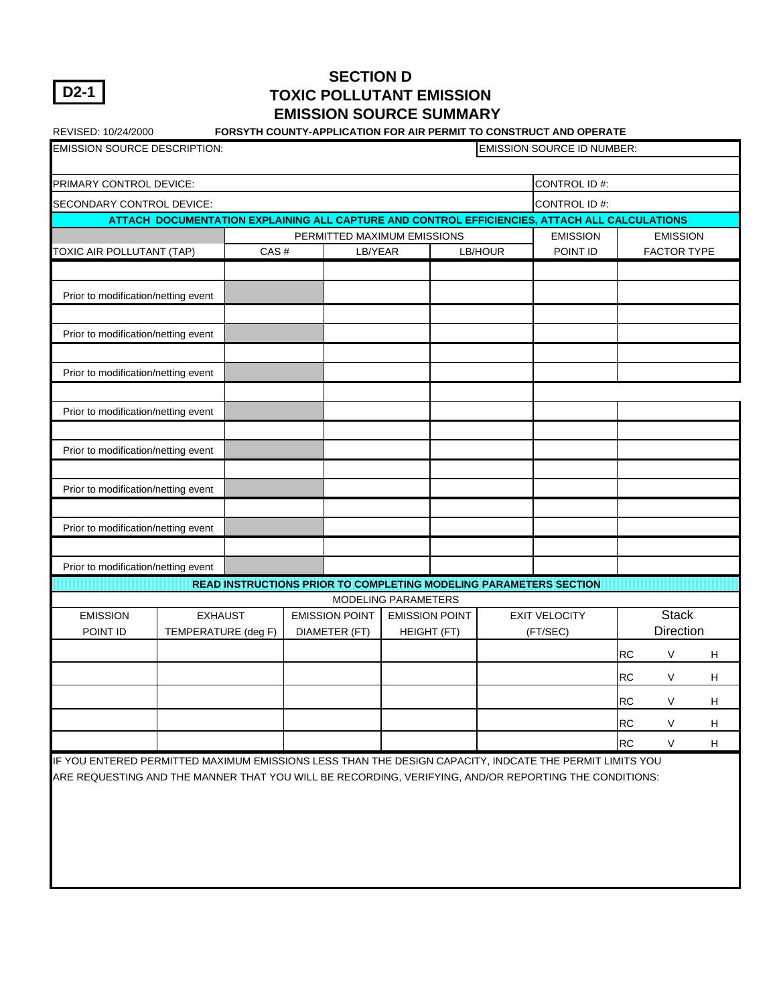**D2-1**

#### **SECTION D TOXIC POLLUTANT EMISSION EMISSION SOURCE SUMMARY**

| REVISED: 10/24/2000                 |                     |      |                             |                       |         | FORSYTH COUNTY-APPLICATION FOR AIR PERMIT TO CONSTRUCT AND OPERATE                            |           |                           |                           |
|-------------------------------------|---------------------|------|-----------------------------|-----------------------|---------|-----------------------------------------------------------------------------------------------|-----------|---------------------------|---------------------------|
| <b>EMISSION SOURCE DESCRIPTION:</b> |                     |      |                             |                       |         | <b>EMISSION SOURCE ID NUMBER:</b>                                                             |           |                           |                           |
|                                     |                     |      |                             |                       |         |                                                                                               |           |                           |                           |
| PRIMARY CONTROL DEVICE:             |                     |      |                             |                       |         | CONTROL ID#:                                                                                  |           |                           |                           |
| SECONDARY CONTROL DEVICE:           |                     |      |                             |                       |         | CONTROL ID#:                                                                                  |           |                           |                           |
|                                     |                     |      |                             |                       |         | ATTACH DOCUMENTATION EXPLAINING ALL CAPTURE AND CONTROL EFFICIENCIES, ATTACH ALL CALCULATIONS |           |                           |                           |
|                                     |                     |      | PERMITTED MAXIMUM EMISSIONS |                       |         | <b>EMISSION</b>                                                                               |           | <b>EMISSION</b>           |                           |
| TOXIC AIR POLLUTANT (TAP)           |                     | CAS# | LB/YEAR                     |                       | LB/HOUR | POINT ID                                                                                      |           | <b>FACTOR TYPE</b>        |                           |
|                                     |                     |      |                             |                       |         |                                                                                               |           |                           |                           |
| Prior to modification/netting event |                     |      |                             |                       |         |                                                                                               |           |                           |                           |
| Prior to modification/netting event |                     |      |                             |                       |         |                                                                                               |           |                           |                           |
|                                     |                     |      |                             |                       |         |                                                                                               |           |                           |                           |
| Prior to modification/netting event |                     |      |                             |                       |         |                                                                                               |           |                           |                           |
|                                     |                     |      |                             |                       |         |                                                                                               |           |                           |                           |
| Prior to modification/netting event |                     |      |                             |                       |         |                                                                                               |           |                           |                           |
|                                     |                     |      |                             |                       |         |                                                                                               |           |                           |                           |
| Prior to modification/netting event |                     |      |                             |                       |         |                                                                                               |           |                           |                           |
|                                     |                     |      |                             |                       |         |                                                                                               |           |                           |                           |
| Prior to modification/netting event |                     |      |                             |                       |         |                                                                                               |           |                           |                           |
| Prior to modification/netting event |                     |      |                             |                       |         |                                                                                               |           |                           |                           |
|                                     |                     |      |                             |                       |         |                                                                                               |           |                           |                           |
| Prior to modification/netting event |                     |      |                             |                       |         |                                                                                               |           |                           |                           |
|                                     |                     |      |                             |                       |         | READ INSTRUCTIONS PRIOR TO COMPLETING MODELING PARAMETERS SECTION                             |           |                           |                           |
|                                     |                     |      | MODELING PARAMETERS         |                       |         |                                                                                               |           |                           |                           |
| <b>EMISSION</b>                     | <b>EXHAUST</b>      |      | <b>EMISSION POINT</b>       | <b>EMISSION POINT</b> |         | <b>EXIT VELOCITY</b>                                                                          |           | <b>Stack</b><br>Direction |                           |
| POINT ID                            | TEMPERATURE (deg F) |      | DIAMETER (FT)               | HEIGHT (FT)           |         | (FT/SEC)                                                                                      |           |                           |                           |
|                                     |                     |      |                             |                       |         |                                                                                               | <b>RC</b> | V                         | H                         |
|                                     |                     |      |                             |                       |         |                                                                                               | <b>RC</b> | $\vee$                    | H                         |
|                                     |                     |      |                             |                       |         |                                                                                               | <b>RC</b> | V                         | Н                         |
|                                     |                     |      |                             |                       |         |                                                                                               | <b>RC</b> | V                         | H                         |
|                                     |                     |      |                             |                       |         |                                                                                               | <b>RC</b> | $\vee$                    | $\boldsymbol{\mathsf{H}}$ |

IF YOU ENTERED PERMITTED MAXIMUM EMISSIONS LESS THAN THE DESIGN CAPACITY, INDCATE THE PERMIT LIMITS YOU ARE REQUESTING AND THE MANNER THAT YOU WILL BE RECORDING, VERIFYING, AND/OR REPORTING THE CONDITIONS: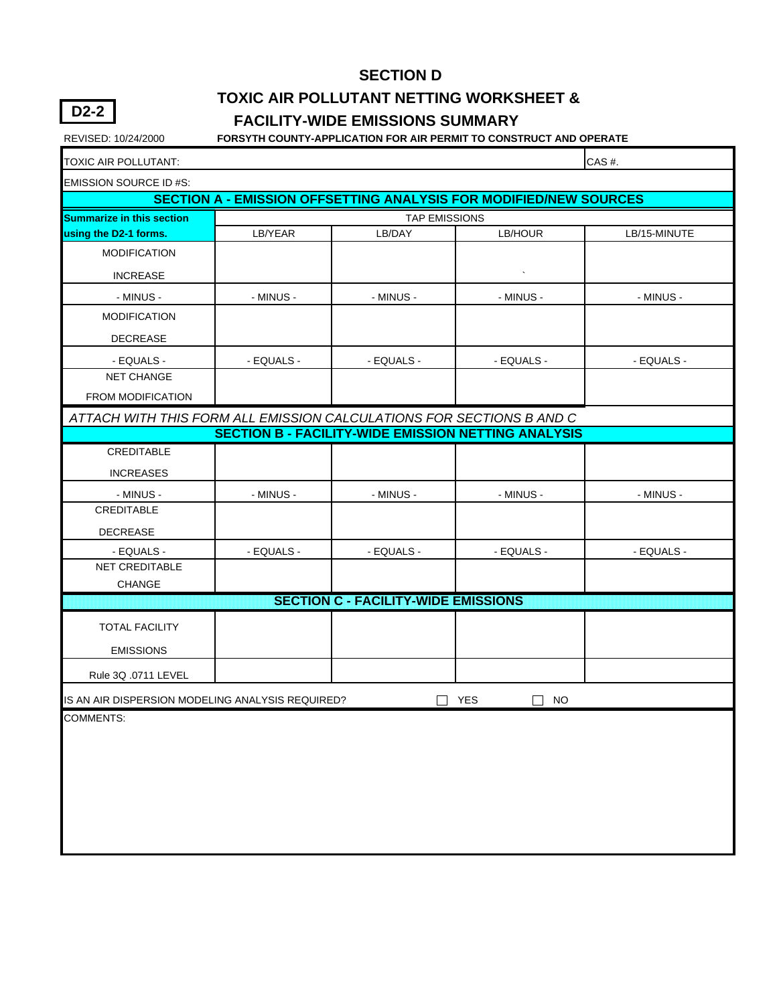# **TOXIC AIR POLLUTANT NETTING WORKSHEET &**

#### **FACILITY-WIDE EMISSIONS SUMMARY**

REVISED: 10/24/2000 **FORSYTH COUNTY-APPLICATION FOR AIR PERMIT TO CONSTRUCT AND OPERATE**

| TOXIC AIR POLLUTANT:                                                                                                               |            |                                            |                                                                          | CAS#.        |  |  |  |  |  |  |
|------------------------------------------------------------------------------------------------------------------------------------|------------|--------------------------------------------|--------------------------------------------------------------------------|--------------|--|--|--|--|--|--|
| <b>EMISSION SOURCE ID #S:</b>                                                                                                      |            |                                            |                                                                          |              |  |  |  |  |  |  |
|                                                                                                                                    |            |                                            | <b>SECTION A - EMISSION OFFSETTING ANALYSIS FOR MODIFIED/NEW SOURCES</b> |              |  |  |  |  |  |  |
| <b>Summarize in this section</b>                                                                                                   |            | <b>TAP EMISSIONS</b>                       |                                                                          |              |  |  |  |  |  |  |
| using the D2-1 forms.                                                                                                              | LB/YEAR    | LB/DAY                                     | LB/HOUR                                                                  | LB/15-MINUTE |  |  |  |  |  |  |
| <b>MODIFICATION</b>                                                                                                                |            |                                            |                                                                          |              |  |  |  |  |  |  |
| <b>INCREASE</b>                                                                                                                    |            |                                            |                                                                          |              |  |  |  |  |  |  |
| - MINUS -                                                                                                                          | - MINUS -  | - MINUS -                                  | - MINUS -                                                                | - MINUS -    |  |  |  |  |  |  |
| <b>MODIFICATION</b>                                                                                                                |            |                                            |                                                                          |              |  |  |  |  |  |  |
| <b>DECREASE</b>                                                                                                                    |            |                                            |                                                                          |              |  |  |  |  |  |  |
| - EQUALS -                                                                                                                         | - EQUALS - | - EQUALS -                                 | - EQUALS -                                                               | - EQUALS -   |  |  |  |  |  |  |
| <b>NET CHANGE</b>                                                                                                                  |            |                                            |                                                                          |              |  |  |  |  |  |  |
| FROM MODIFICATION                                                                                                                  |            |                                            |                                                                          |              |  |  |  |  |  |  |
| ATTACH WITH THIS FORM ALL EMISSION CALCULATIONS FOR SECTIONS B AND C<br><b>SECTION B - FACILITY-WIDE EMISSION NETTING ANALYSIS</b> |            |                                            |                                                                          |              |  |  |  |  |  |  |
|                                                                                                                                    |            |                                            |                                                                          |              |  |  |  |  |  |  |
| CREDITABLE                                                                                                                         |            |                                            |                                                                          |              |  |  |  |  |  |  |
| <b>INCREASES</b>                                                                                                                   |            |                                            |                                                                          |              |  |  |  |  |  |  |
| - MINUS -                                                                                                                          | - MINUS -  | - MINUS -                                  | - MINUS -                                                                | - MINUS -    |  |  |  |  |  |  |
| CREDITABLE                                                                                                                         |            |                                            |                                                                          |              |  |  |  |  |  |  |
| <b>DECREASE</b>                                                                                                                    |            |                                            |                                                                          |              |  |  |  |  |  |  |
| - EQUALS -                                                                                                                         | - EQUALS - | - EQUALS -                                 | - EQUALS -                                                               | - EQUALS -   |  |  |  |  |  |  |
| <b>NET CREDITABLE</b>                                                                                                              |            |                                            |                                                                          |              |  |  |  |  |  |  |
| CHANGE                                                                                                                             |            | <b>SECTION C - FACILITY-WIDE EMISSIONS</b> |                                                                          |              |  |  |  |  |  |  |
|                                                                                                                                    |            |                                            |                                                                          |              |  |  |  |  |  |  |
| <b>TOTAL FACILITY</b>                                                                                                              |            |                                            |                                                                          |              |  |  |  |  |  |  |
| <b>EMISSIONS</b>                                                                                                                   |            |                                            |                                                                          |              |  |  |  |  |  |  |
| Rule 3Q .0711 LEVEL                                                                                                                |            |                                            |                                                                          |              |  |  |  |  |  |  |
| IS AN AIR DISPERSION MODELING ANALYSIS REQUIRED?                                                                                   |            |                                            | <b>YES</b><br>NO.                                                        |              |  |  |  |  |  |  |
| <b>COMMENTS:</b>                                                                                                                   |            |                                            |                                                                          |              |  |  |  |  |  |  |
|                                                                                                                                    |            |                                            |                                                                          |              |  |  |  |  |  |  |
|                                                                                                                                    |            |                                            |                                                                          |              |  |  |  |  |  |  |
|                                                                                                                                    |            |                                            |                                                                          |              |  |  |  |  |  |  |
|                                                                                                                                    |            |                                            |                                                                          |              |  |  |  |  |  |  |
|                                                                                                                                    |            |                                            |                                                                          |              |  |  |  |  |  |  |
|                                                                                                                                    |            |                                            |                                                                          |              |  |  |  |  |  |  |
|                                                                                                                                    |            |                                            |                                                                          |              |  |  |  |  |  |  |

**D2-2**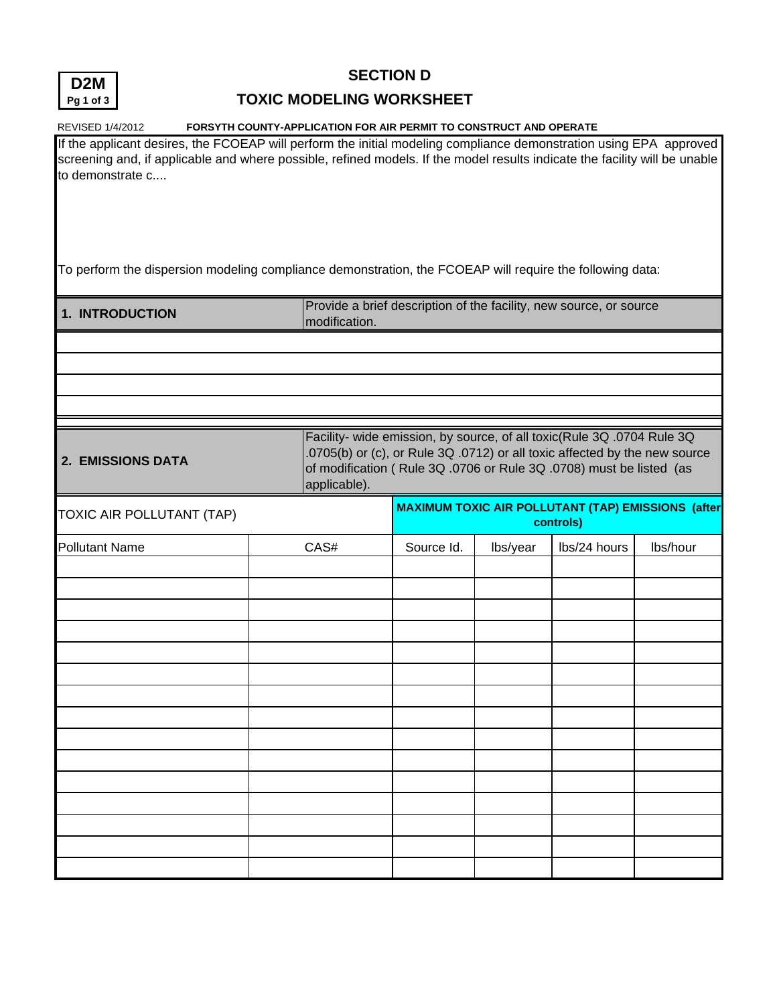

| Pg 1 of 3                                                                                                                                                                                                                                                            | <b>TOXIC MODELING WORKSHEET</b>                                    |            |          |                                                                                                                                                                                                                             |          |
|----------------------------------------------------------------------------------------------------------------------------------------------------------------------------------------------------------------------------------------------------------------------|--------------------------------------------------------------------|------------|----------|-----------------------------------------------------------------------------------------------------------------------------------------------------------------------------------------------------------------------------|----------|
| REVISED 1/4/2012                                                                                                                                                                                                                                                     | FORSYTH COUNTY-APPLICATION FOR AIR PERMIT TO CONSTRUCT AND OPERATE |            |          |                                                                                                                                                                                                                             |          |
| If the applicant desires, the FCOEAP will perform the initial modeling compliance demonstration using EPA approved<br>screening and, if applicable and where possible, refined models. If the model results indicate the facility will be unable<br>to demonstrate c |                                                                    |            |          |                                                                                                                                                                                                                             |          |
| To perform the dispersion modeling compliance demonstration, the FCOEAP will require the following data:                                                                                                                                                             |                                                                    |            |          |                                                                                                                                                                                                                             |          |
| 1. INTRODUCTION                                                                                                                                                                                                                                                      | modification.                                                      |            |          | Provide a brief description of the facility, new source, or source                                                                                                                                                          |          |
|                                                                                                                                                                                                                                                                      |                                                                    |            |          |                                                                                                                                                                                                                             |          |
|                                                                                                                                                                                                                                                                      |                                                                    |            |          |                                                                                                                                                                                                                             |          |
|                                                                                                                                                                                                                                                                      |                                                                    |            |          |                                                                                                                                                                                                                             |          |
|                                                                                                                                                                                                                                                                      |                                                                    |            |          |                                                                                                                                                                                                                             |          |
| 2. EMISSIONS DATA                                                                                                                                                                                                                                                    | applicable).                                                       |            |          | Facility- wide emission, by source, of all toxic(Rule 3Q .0704 Rule 3Q<br>.0705(b) or (c), or Rule 3Q .0712) or all toxic affected by the new source<br>of modification (Rule 3Q .0706 or Rule 3Q .0708) must be listed (as |          |
| TOXIC AIR POLLUTANT (TAP)                                                                                                                                                                                                                                            |                                                                    |            |          | <b>MAXIMUM TOXIC AIR POLLUTANT (TAP) EMISSIONS (after</b><br>controls)                                                                                                                                                      |          |
| <b>Pollutant Name</b>                                                                                                                                                                                                                                                | CAS#                                                               | Source Id. | lbs/year | lbs/24 hours                                                                                                                                                                                                                | Ibs/hour |
|                                                                                                                                                                                                                                                                      |                                                                    |            |          |                                                                                                                                                                                                                             |          |
|                                                                                                                                                                                                                                                                      |                                                                    |            |          |                                                                                                                                                                                                                             |          |
|                                                                                                                                                                                                                                                                      |                                                                    |            |          |                                                                                                                                                                                                                             |          |
|                                                                                                                                                                                                                                                                      |                                                                    |            |          |                                                                                                                                                                                                                             |          |
|                                                                                                                                                                                                                                                                      |                                                                    |            |          |                                                                                                                                                                                                                             |          |
|                                                                                                                                                                                                                                                                      |                                                                    |            |          |                                                                                                                                                                                                                             |          |
|                                                                                                                                                                                                                                                                      |                                                                    |            |          |                                                                                                                                                                                                                             |          |
|                                                                                                                                                                                                                                                                      |                                                                    |            |          |                                                                                                                                                                                                                             |          |
|                                                                                                                                                                                                                                                                      |                                                                    |            |          |                                                                                                                                                                                                                             |          |
|                                                                                                                                                                                                                                                                      |                                                                    |            |          |                                                                                                                                                                                                                             |          |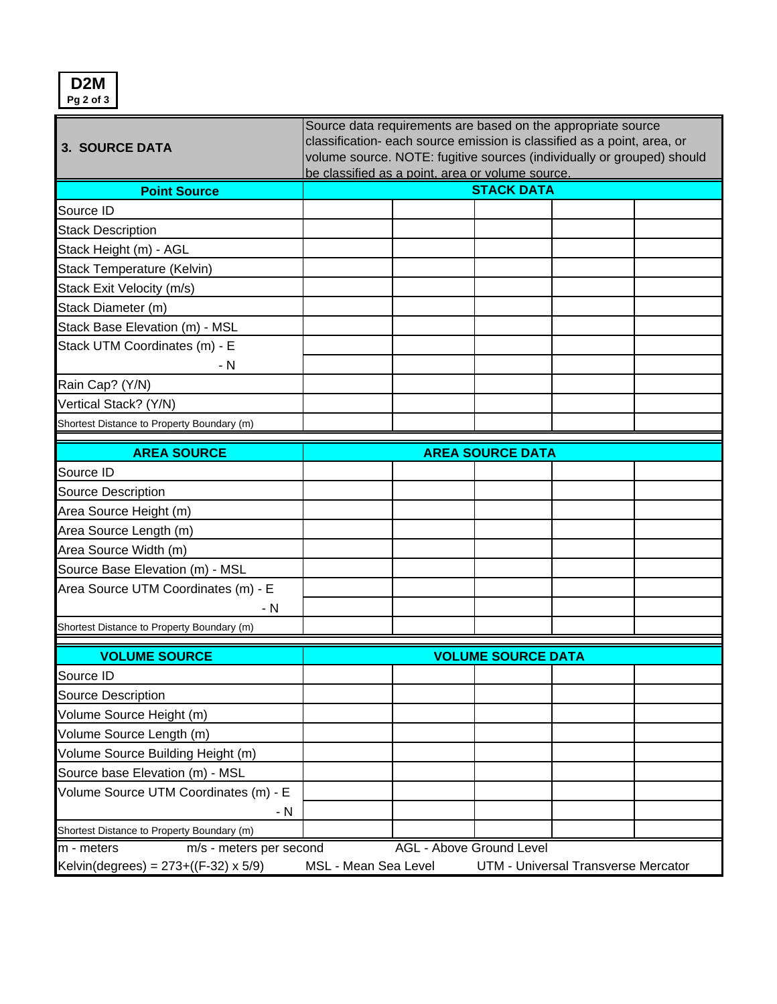**D2M Pg 2 of 3**

|                                               | Source data requirements are based on the appropriate source            |                                 |                           |                                     |  |  |
|-----------------------------------------------|-------------------------------------------------------------------------|---------------------------------|---------------------------|-------------------------------------|--|--|
| <b>3. SOURCE DATA</b>                         | classification- each source emission is classified as a point, area, or |                                 |                           |                                     |  |  |
|                                               | volume source. NOTE: fugitive sources (individually or grouped) should  |                                 |                           |                                     |  |  |
|                                               | be classified as a point, area or volume source.                        |                                 |                           |                                     |  |  |
| <b>Point Source</b>                           |                                                                         |                                 | <b>STACK DATA</b>         |                                     |  |  |
| Source ID                                     |                                                                         |                                 |                           |                                     |  |  |
| <b>Stack Description</b>                      |                                                                         |                                 |                           |                                     |  |  |
| Stack Height (m) - AGL                        |                                                                         |                                 |                           |                                     |  |  |
| Stack Temperature (Kelvin)                    |                                                                         |                                 |                           |                                     |  |  |
| Stack Exit Velocity (m/s)                     |                                                                         |                                 |                           |                                     |  |  |
| Stack Diameter (m)                            |                                                                         |                                 |                           |                                     |  |  |
| Stack Base Elevation (m) - MSL                |                                                                         |                                 |                           |                                     |  |  |
| Stack UTM Coordinates (m) - E                 |                                                                         |                                 |                           |                                     |  |  |
| - N                                           |                                                                         |                                 |                           |                                     |  |  |
| Rain Cap? (Y/N)                               |                                                                         |                                 |                           |                                     |  |  |
| Vertical Stack? (Y/N)                         |                                                                         |                                 |                           |                                     |  |  |
| Shortest Distance to Property Boundary (m)    |                                                                         |                                 |                           |                                     |  |  |
| <b>AREA SOURCE</b>                            |                                                                         |                                 | <b>AREA SOURCE DATA</b>   |                                     |  |  |
| Source ID                                     |                                                                         |                                 |                           |                                     |  |  |
| <b>Source Description</b>                     |                                                                         |                                 |                           |                                     |  |  |
| Area Source Height (m)                        |                                                                         |                                 |                           |                                     |  |  |
| Area Source Length (m)                        |                                                                         |                                 |                           |                                     |  |  |
| Area Source Width (m)                         |                                                                         |                                 |                           |                                     |  |  |
|                                               |                                                                         |                                 |                           |                                     |  |  |
| Source Base Elevation (m) - MSL               |                                                                         |                                 |                           |                                     |  |  |
| Area Source UTM Coordinates (m) - E           |                                                                         |                                 |                           |                                     |  |  |
| - N                                           |                                                                         |                                 |                           |                                     |  |  |
| Shortest Distance to Property Boundary (m)    |                                                                         |                                 |                           |                                     |  |  |
| <b>VOLUME SOURCE</b>                          |                                                                         |                                 | <b>VOLUME SOURCE DATA</b> |                                     |  |  |
| Source ID                                     |                                                                         |                                 |                           |                                     |  |  |
| Source Description                            |                                                                         |                                 |                           |                                     |  |  |
| Volume Source Height (m)                      |                                                                         |                                 |                           |                                     |  |  |
| Volume Source Length (m)                      |                                                                         |                                 |                           |                                     |  |  |
| Volume Source Building Height (m)             |                                                                         |                                 |                           |                                     |  |  |
| Source base Elevation (m) - MSL               |                                                                         |                                 |                           |                                     |  |  |
| Volume Source UTM Coordinates (m) - E         |                                                                         |                                 |                           |                                     |  |  |
| - N                                           |                                                                         |                                 |                           |                                     |  |  |
| Shortest Distance to Property Boundary (m)    |                                                                         |                                 |                           |                                     |  |  |
| m/s - meters per second<br>m - meters         |                                                                         | <b>AGL - Above Ground Level</b> |                           |                                     |  |  |
| Kelvin(degrees) = $273 + ((F-32) \times 5/9)$ | MSL - Mean Sea Level                                                    |                                 |                           | UTM - Universal Transverse Mercator |  |  |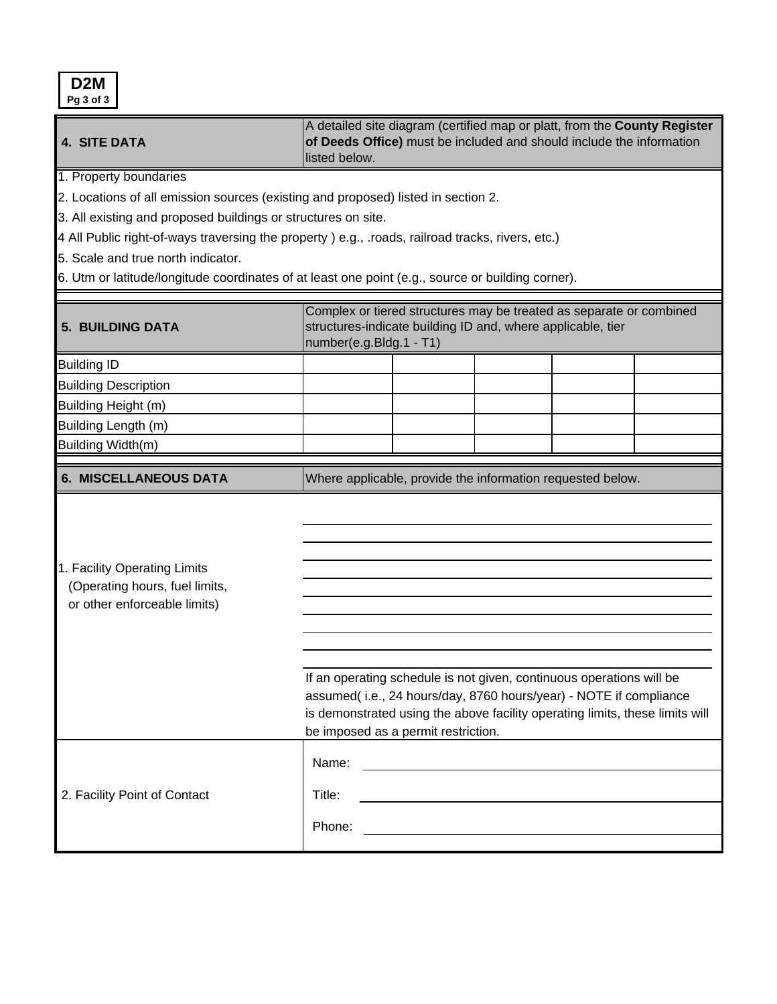| D <sub>2</sub> M<br>Pg 3 of 3                                                                                                                                                                                      |                                                                                                                                                                                                                                                                  |  |  |  |  |  |  |  |  |
|--------------------------------------------------------------------------------------------------------------------------------------------------------------------------------------------------------------------|------------------------------------------------------------------------------------------------------------------------------------------------------------------------------------------------------------------------------------------------------------------|--|--|--|--|--|--|--|--|
| <b>4. SITE DATA</b>                                                                                                                                                                                                | A detailed site diagram (certified map or platt, from the County Register<br>of Deeds Office) must be included and should include the information<br>listed below.                                                                                               |  |  |  |  |  |  |  |  |
| 1. Property boundaries<br>2. Locations of all emission sources (existing and proposed) listed in section 2.<br>3. All existing and proposed buildings or structures on site.<br>5. Scale and true north indicator. | 4 All Public right-of-ways traversing the property ) e.g., .roads, railroad tracks, rivers, etc.)<br>6. Utm or latitude/longitude coordinates of at least one point (e.g., source or building corner).                                                           |  |  |  |  |  |  |  |  |
| <b>5. BUILDING DATA</b>                                                                                                                                                                                            | Complex or tiered structures may be treated as separate or combined<br>structures-indicate building ID and, where applicable, tier<br>number(e.g.Bldg.1 - T1)                                                                                                    |  |  |  |  |  |  |  |  |
| <b>Building ID</b>                                                                                                                                                                                                 |                                                                                                                                                                                                                                                                  |  |  |  |  |  |  |  |  |
| <b>Building Description</b>                                                                                                                                                                                        |                                                                                                                                                                                                                                                                  |  |  |  |  |  |  |  |  |
| Building Height (m)                                                                                                                                                                                                |                                                                                                                                                                                                                                                                  |  |  |  |  |  |  |  |  |
| Building Length (m)                                                                                                                                                                                                |                                                                                                                                                                                                                                                                  |  |  |  |  |  |  |  |  |
| Building Width(m)                                                                                                                                                                                                  |                                                                                                                                                                                                                                                                  |  |  |  |  |  |  |  |  |
| <b>6. MISCELLANEOUS DATA</b>                                                                                                                                                                                       | Where applicable, provide the information requested below.                                                                                                                                                                                                       |  |  |  |  |  |  |  |  |
| 1. Facility Operating Limits<br>(Operating hours, fuel limits,<br>or other enforceable limits)                                                                                                                     | If an operating schedule is not given, continuous operations will be<br>assumed(i.e., 24 hours/day, 8760 hours/year) - NOTE if compliance<br>is demonstrated using the above facility operating limits, these limits will<br>be imposed as a permit restriction. |  |  |  |  |  |  |  |  |
|                                                                                                                                                                                                                    |                                                                                                                                                                                                                                                                  |  |  |  |  |  |  |  |  |
|                                                                                                                                                                                                                    | Name:                                                                                                                                                                                                                                                            |  |  |  |  |  |  |  |  |
| 2. Facility Point of Contact                                                                                                                                                                                       | Title:<br><u> 1980 - Johann Barbara, martxa alemaniar amerikan a</u>                                                                                                                                                                                             |  |  |  |  |  |  |  |  |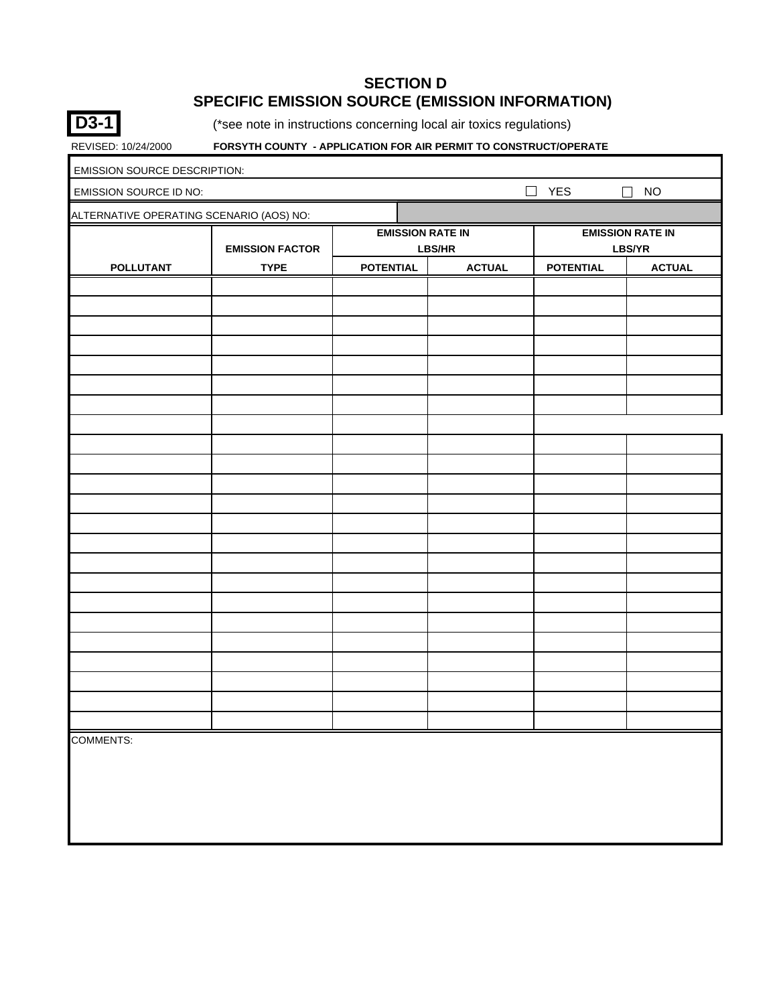#### **SECTION D SPECIFIC EMISSION SOURCE (EMISSION INFORMATION)**



(\*see note in instructions concerning local air toxics regulations)

| <b>EMISSION SOURCE DESCRIPTION:</b>      |                        |                         |               |                                   |               |  |  |  |
|------------------------------------------|------------------------|-------------------------|---------------|-----------------------------------|---------------|--|--|--|
| EMISSION SOURCE ID NO:                   |                        |                         |               | $\Box$<br>YES                     | $\Box$ NO     |  |  |  |
| ALTERNATIVE OPERATING SCENARIO (AOS) NO: |                        |                         |               |                                   |               |  |  |  |
|                                          | <b>EMISSION FACTOR</b> | <b>EMISSION RATE IN</b> | LBS/HR        | <b>EMISSION RATE IN</b><br>LBS/YR |               |  |  |  |
| <b>POLLUTANT</b>                         | <b>TYPE</b>            | <b>POTENTIAL</b>        | <b>ACTUAL</b> | <b>POTENTIAL</b>                  | <b>ACTUAL</b> |  |  |  |
|                                          |                        |                         |               |                                   |               |  |  |  |
|                                          |                        |                         |               |                                   |               |  |  |  |
|                                          |                        |                         |               |                                   |               |  |  |  |
|                                          |                        |                         |               |                                   |               |  |  |  |
|                                          |                        |                         |               |                                   |               |  |  |  |
|                                          |                        |                         |               |                                   |               |  |  |  |
|                                          |                        |                         |               |                                   |               |  |  |  |
|                                          |                        |                         |               |                                   |               |  |  |  |
|                                          |                        |                         |               |                                   |               |  |  |  |
|                                          |                        |                         |               |                                   |               |  |  |  |
|                                          |                        |                         |               |                                   |               |  |  |  |
|                                          |                        |                         |               |                                   |               |  |  |  |
|                                          |                        |                         |               |                                   |               |  |  |  |
|                                          |                        |                         |               |                                   |               |  |  |  |
|                                          |                        |                         |               |                                   |               |  |  |  |
|                                          |                        |                         |               |                                   |               |  |  |  |
|                                          |                        |                         |               |                                   |               |  |  |  |
|                                          |                        |                         |               |                                   |               |  |  |  |
|                                          |                        |                         |               |                                   |               |  |  |  |
|                                          |                        |                         |               |                                   |               |  |  |  |
|                                          |                        |                         |               |                                   |               |  |  |  |
|                                          |                        |                         |               |                                   |               |  |  |  |
|                                          |                        |                         |               |                                   |               |  |  |  |
| <b>COMMENTS:</b>                         |                        |                         |               |                                   |               |  |  |  |
|                                          |                        |                         |               |                                   |               |  |  |  |
|                                          |                        |                         |               |                                   |               |  |  |  |
|                                          |                        |                         |               |                                   |               |  |  |  |
|                                          |                        |                         |               |                                   |               |  |  |  |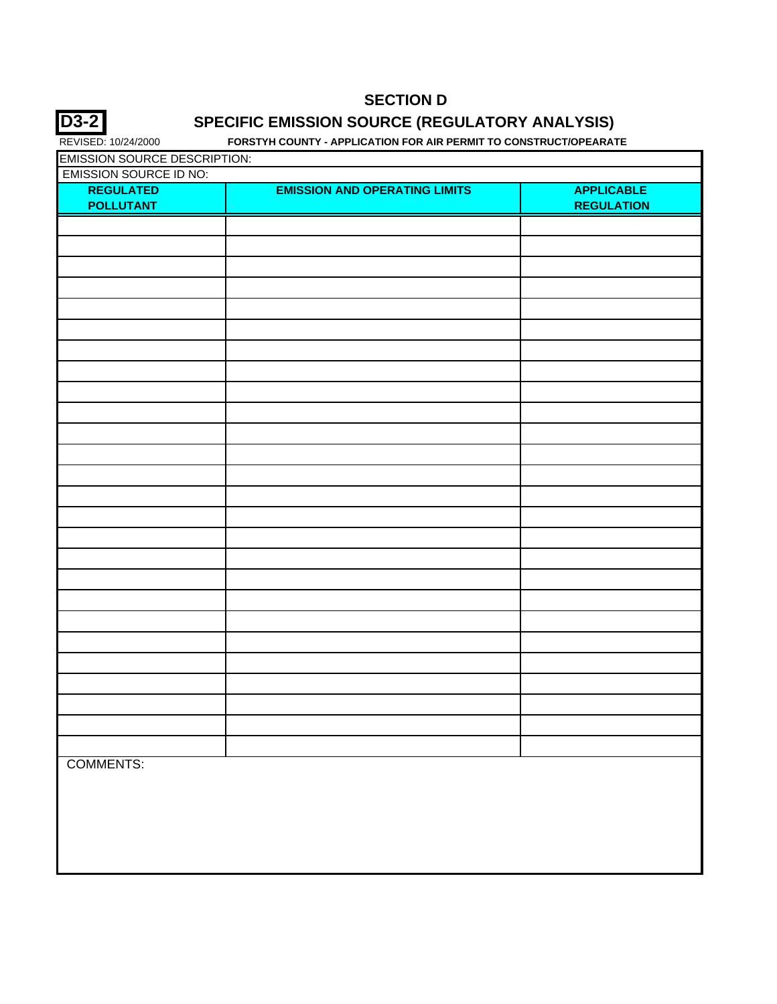

## **SPECIFIC EMISSION SOURCE (REGULATORY ANALYSIS)**

| <b>EMISSION SOURCE DESCRIPTION:</b> |                                      |                   |
|-------------------------------------|--------------------------------------|-------------------|
| <b>EMISSION SOURCE ID NO:</b>       |                                      |                   |
| <b>REGULATED</b>                    | <b>EMISSION AND OPERATING LIMITS</b> | <b>APPLICABLE</b> |
| <b>POLLUTANT</b>                    |                                      | <b>REGULATION</b> |
|                                     |                                      |                   |
|                                     |                                      |                   |
|                                     |                                      |                   |
|                                     |                                      |                   |
|                                     |                                      |                   |
|                                     |                                      |                   |
|                                     |                                      |                   |
|                                     |                                      |                   |
|                                     |                                      |                   |
|                                     |                                      |                   |
|                                     |                                      |                   |
|                                     |                                      |                   |
|                                     |                                      |                   |
|                                     |                                      |                   |
|                                     |                                      |                   |
|                                     |                                      |                   |
|                                     |                                      |                   |
|                                     |                                      |                   |
|                                     |                                      |                   |
|                                     |                                      |                   |
|                                     |                                      |                   |
|                                     |                                      |                   |
|                                     |                                      |                   |
|                                     |                                      |                   |
|                                     |                                      |                   |
|                                     |                                      |                   |
|                                     |                                      |                   |
|                                     |                                      |                   |
|                                     |                                      |                   |
|                                     |                                      |                   |
|                                     |                                      |                   |
|                                     |                                      |                   |
|                                     |                                      |                   |
| <b>COMMENTS:</b>                    |                                      |                   |
|                                     |                                      |                   |
|                                     |                                      |                   |
|                                     |                                      |                   |
|                                     |                                      |                   |
|                                     |                                      |                   |
|                                     |                                      |                   |
|                                     |                                      |                   |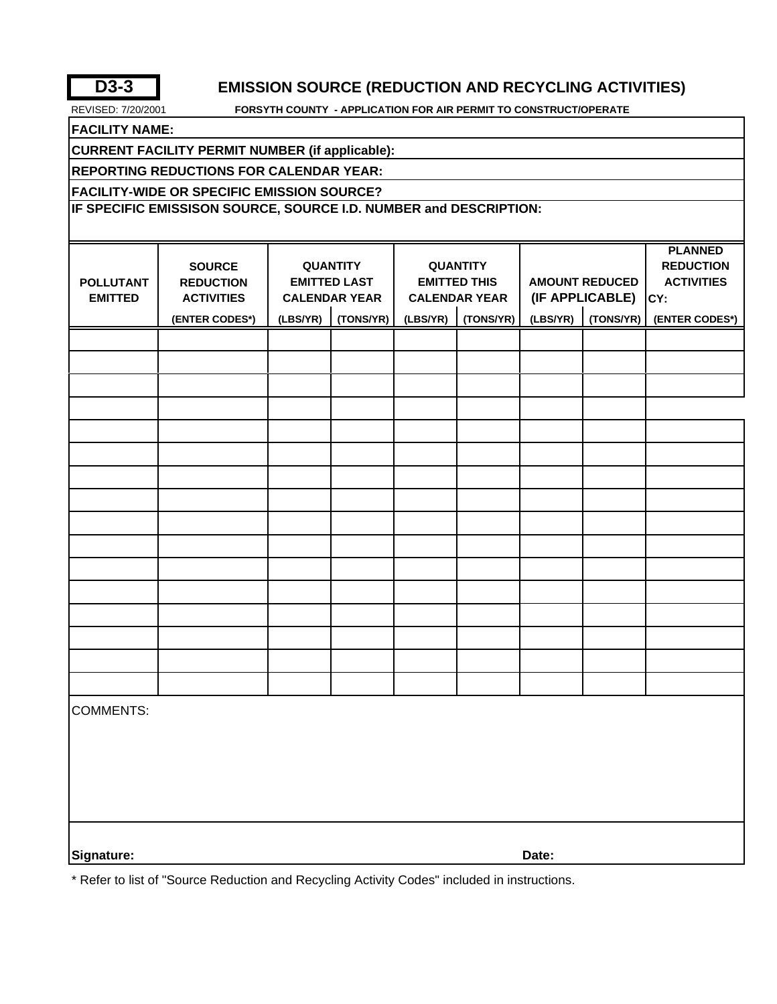**D3-3**

### **EMISSION SOURCE (REDUCTION AND RECYCLING ACTIVITIES)**

REVISED: 7/20/2001 **FORSYTH COUNTY - APPLICATION FOR AIR PERMIT TO CONSTRUCT/OPERATE**

**FACILITY NAME:**

**CURRENT FACILITY PERMIT NUMBER (if applicable):**

**REPORTING REDUCTIONS FOR CALENDAR YEAR:**

**FACILITY-WIDE OR SPECIFIC EMISSION SOURCE?** 

**IF SPECIFIC EMISSISON SOURCE, SOURCE I.D. NUMBER and DESCRIPTION:**

|                  |                   |          |                      |                      |                     |                       |  | <b>PLANNED</b>    |
|------------------|-------------------|----------|----------------------|----------------------|---------------------|-----------------------|--|-------------------|
|                  | <b>SOURCE</b>     |          | <b>QUANTITY</b>      |                      | <b>QUANTITY</b>     |                       |  | <b>REDUCTION</b>  |
| <b>POLLUTANT</b> | <b>REDUCTION</b>  |          | <b>EMITTED LAST</b>  |                      | <b>EMITTED THIS</b> | <b>AMOUNT REDUCED</b> |  | <b>ACTIVITIES</b> |
| <b>EMITTED</b>   | <b>ACTIVITIES</b> |          | <b>CALENDAR YEAR</b> | <b>CALENDAR YEAR</b> |                     | (IF APPLICABLE)       |  | CY:               |
|                  | (ENTER CODES*)    | (LBS/YR) | (TONS/YR)            | (LBS/YR)             | (TONS/YR)           | (LBS/YR)<br>(TONS/YR) |  | (ENTER CODES*)    |
|                  |                   |          |                      |                      |                     |                       |  |                   |
|                  |                   |          |                      |                      |                     |                       |  |                   |
|                  |                   |          |                      |                      |                     |                       |  |                   |
|                  |                   |          |                      |                      |                     |                       |  |                   |
|                  |                   |          |                      |                      |                     |                       |  |                   |
|                  |                   |          |                      |                      |                     |                       |  |                   |
|                  |                   |          |                      |                      |                     |                       |  |                   |
|                  |                   |          |                      |                      |                     |                       |  |                   |
|                  |                   |          |                      |                      |                     |                       |  |                   |
|                  |                   |          |                      |                      |                     |                       |  |                   |
|                  |                   |          |                      |                      |                     |                       |  |                   |
|                  |                   |          |                      |                      |                     |                       |  |                   |
|                  |                   |          |                      |                      |                     |                       |  |                   |
|                  |                   |          |                      |                      |                     |                       |  |                   |
|                  |                   |          |                      |                      |                     |                       |  |                   |
|                  |                   |          |                      |                      |                     |                       |  |                   |
| <b>COMMENTS:</b> |                   |          |                      |                      |                     |                       |  |                   |
|                  |                   |          |                      |                      |                     |                       |  |                   |
|                  |                   |          |                      |                      |                     |                       |  |                   |
|                  |                   |          |                      |                      |                     |                       |  |                   |
|                  |                   |          |                      |                      |                     |                       |  |                   |
|                  |                   |          |                      |                      |                     |                       |  |                   |
|                  |                   |          |                      |                      |                     |                       |  |                   |
| Signature:       |                   |          |                      |                      |                     | Date:                 |  |                   |

\* Refer to list of "Source Reduction and Recycling Activity Codes" included in instructions.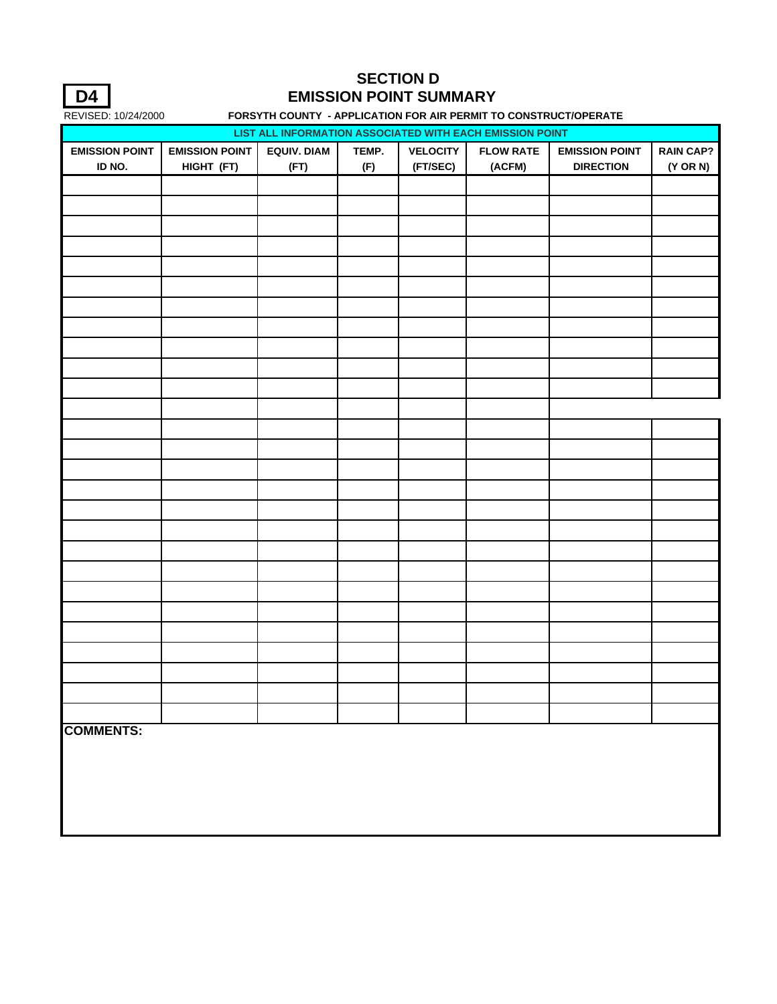

## **SECTION D EMISSION POINT SUMMARY**

|                       | 112.1022.1012772000<br>.<br>AT LEGATION LON AINT ENMIT TO CONCINUO HOLD ENATE<br>LIST ALL INFORMATION ASSOCIATED WITH EACH EMISSION POINT |      |     |          |        |                  |                |  |
|-----------------------|-------------------------------------------------------------------------------------------------------------------------------------------|------|-----|----------|--------|------------------|----------------|--|
| <b>EMISSION POINT</b> | <b>EMISSION POINT</b><br><b>EQUIV. DIAM</b><br>TEMP.<br><b>VELOCITY</b><br><b>FLOW RATE</b><br><b>EMISSION POINT</b><br><b>RAIN CAP?</b>  |      |     |          |        |                  |                |  |
| ID NO.                | HIGHT (FT)                                                                                                                                | (FT) | (F) | (FT/SEC) | (ACFM) | <b>DIRECTION</b> | $(Y \t{OR} N)$ |  |
|                       |                                                                                                                                           |      |     |          |        |                  |                |  |
|                       |                                                                                                                                           |      |     |          |        |                  |                |  |
|                       |                                                                                                                                           |      |     |          |        |                  |                |  |
|                       |                                                                                                                                           |      |     |          |        |                  |                |  |
|                       |                                                                                                                                           |      |     |          |        |                  |                |  |
|                       |                                                                                                                                           |      |     |          |        |                  |                |  |
|                       |                                                                                                                                           |      |     |          |        |                  |                |  |
|                       |                                                                                                                                           |      |     |          |        |                  |                |  |
|                       |                                                                                                                                           |      |     |          |        |                  |                |  |
|                       |                                                                                                                                           |      |     |          |        |                  |                |  |
|                       |                                                                                                                                           |      |     |          |        |                  |                |  |
|                       |                                                                                                                                           |      |     |          |        |                  |                |  |
|                       |                                                                                                                                           |      |     |          |        |                  |                |  |
|                       |                                                                                                                                           |      |     |          |        |                  |                |  |
|                       |                                                                                                                                           |      |     |          |        |                  |                |  |
|                       |                                                                                                                                           |      |     |          |        |                  |                |  |
|                       |                                                                                                                                           |      |     |          |        |                  |                |  |
|                       |                                                                                                                                           |      |     |          |        |                  |                |  |
|                       |                                                                                                                                           |      |     |          |        |                  |                |  |
|                       |                                                                                                                                           |      |     |          |        |                  |                |  |
|                       |                                                                                                                                           |      |     |          |        |                  |                |  |
|                       |                                                                                                                                           |      |     |          |        |                  |                |  |
|                       |                                                                                                                                           |      |     |          |        |                  |                |  |
|                       |                                                                                                                                           |      |     |          |        |                  |                |  |
|                       |                                                                                                                                           |      |     |          |        |                  |                |  |
|                       |                                                                                                                                           |      |     |          |        |                  |                |  |
|                       |                                                                                                                                           |      |     |          |        |                  |                |  |
|                       |                                                                                                                                           |      |     |          |        |                  |                |  |
|                       |                                                                                                                                           |      |     |          |        |                  |                |  |
|                       |                                                                                                                                           |      |     |          |        |                  |                |  |
| <b>COMMENTS:</b>      |                                                                                                                                           |      |     |          |        |                  |                |  |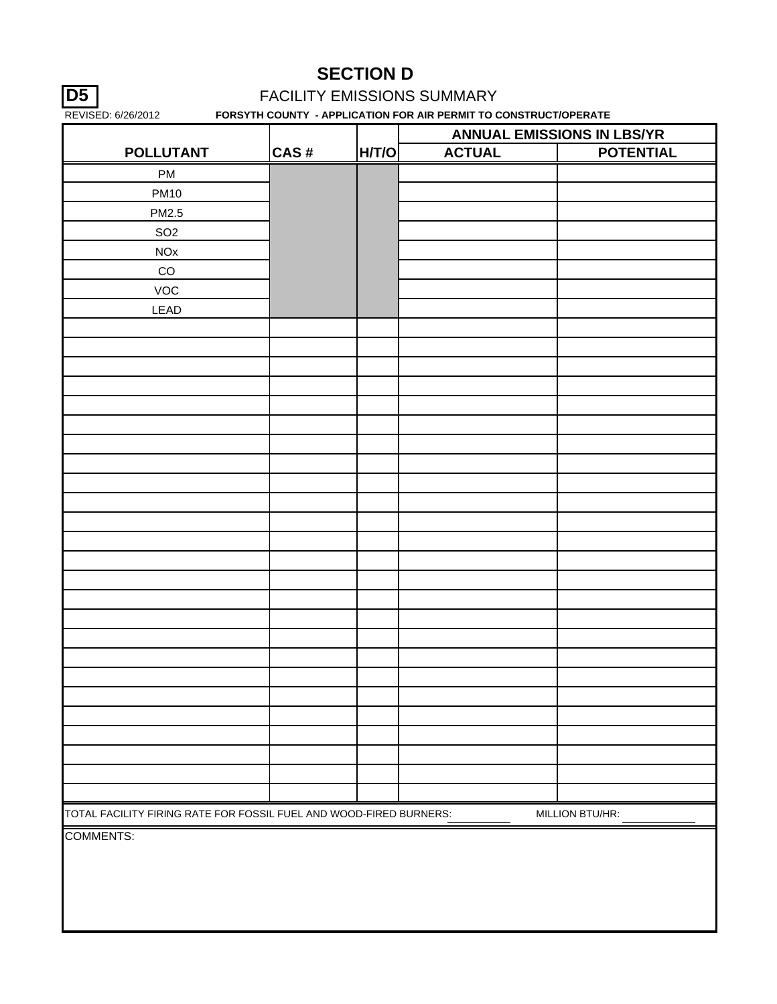## **D5 FACILITY EMISSIONS SUMMARY**

|                                                                    |      |       | <b>ANNUAL EMISSIONS IN LBS/YR</b> |                  |
|--------------------------------------------------------------------|------|-------|-----------------------------------|------------------|
| <b>POLLUTANT</b>                                                   | CAS# | H/T/O | <b>ACTUAL</b>                     | <b>POTENTIAL</b> |
| PM                                                                 |      |       |                                   |                  |
| <b>PM10</b>                                                        |      |       |                                   |                  |
| PM2.5                                                              |      |       |                                   |                  |
| SO <sub>2</sub>                                                    |      |       |                                   |                  |
| $NOx$                                                              |      |       |                                   |                  |
| $_{\rm CO}$                                                        |      |       |                                   |                  |
| VOC                                                                |      |       |                                   |                  |
| LEAD                                                               |      |       |                                   |                  |
|                                                                    |      |       |                                   |                  |
|                                                                    |      |       |                                   |                  |
|                                                                    |      |       |                                   |                  |
|                                                                    |      |       |                                   |                  |
|                                                                    |      |       |                                   |                  |
|                                                                    |      |       |                                   |                  |
|                                                                    |      |       |                                   |                  |
|                                                                    |      |       |                                   |                  |
|                                                                    |      |       |                                   |                  |
|                                                                    |      |       |                                   |                  |
|                                                                    |      |       |                                   |                  |
|                                                                    |      |       |                                   |                  |
|                                                                    |      |       |                                   |                  |
|                                                                    |      |       |                                   |                  |
|                                                                    |      |       |                                   |                  |
|                                                                    |      |       |                                   |                  |
|                                                                    |      |       |                                   |                  |
|                                                                    |      |       |                                   |                  |
|                                                                    |      |       |                                   |                  |
|                                                                    |      |       |                                   |                  |
|                                                                    |      |       |                                   |                  |
|                                                                    |      |       |                                   |                  |
|                                                                    |      |       |                                   |                  |
|                                                                    |      |       |                                   |                  |
|                                                                    |      |       |                                   |                  |
| TOTAL FACILITY FIRING RATE FOR FOSSIL FUEL AND WOOD-FIRED BURNERS: |      |       |                                   | MILLION BTU/HR:  |
| <b>COMMENTS:</b>                                                   |      |       |                                   |                  |
|                                                                    |      |       |                                   |                  |
|                                                                    |      |       |                                   |                  |
|                                                                    |      |       |                                   |                  |
|                                                                    |      |       |                                   |                  |
|                                                                    |      |       |                                   |                  |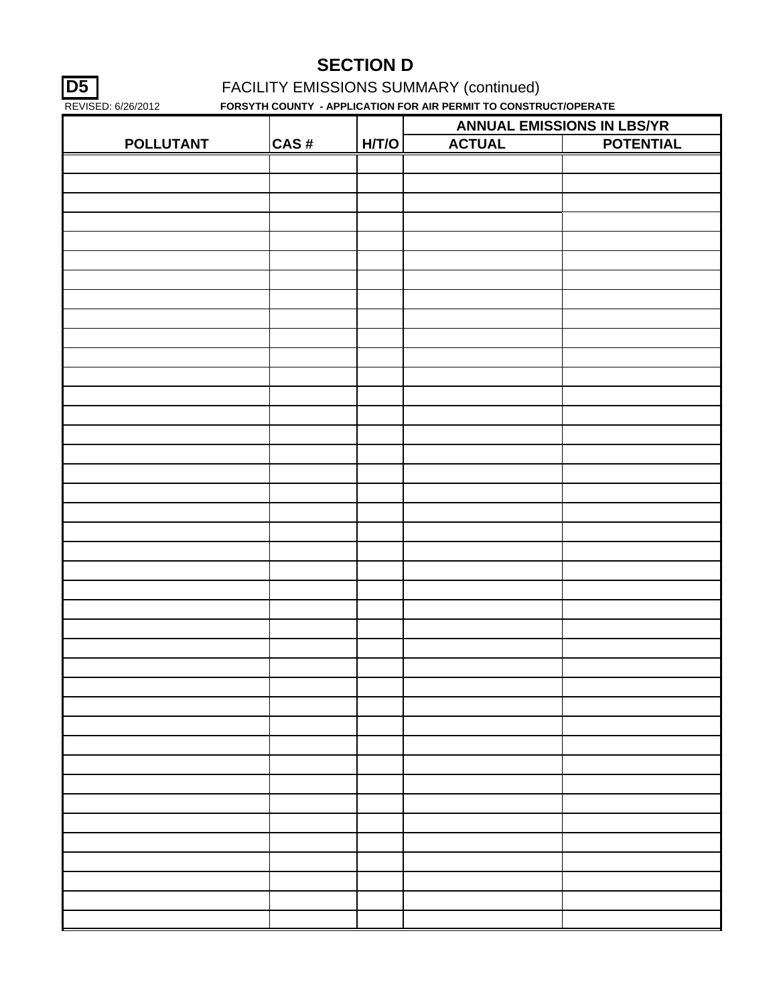**D5 FACILITY EMISSIONS SUMMARY (continued)** 

|                  |      |       |               | ANNUAL EMISSIONS IN LBS/YR |
|------------------|------|-------|---------------|----------------------------|
| <b>POLLUTANT</b> | CAS# | H/T/O | <b>ACTUAL</b> | <b>POTENTIAL</b>           |
|                  |      |       |               |                            |
|                  |      |       |               |                            |
|                  |      |       |               |                            |
|                  |      |       |               |                            |
|                  |      |       |               |                            |
|                  |      |       |               |                            |
|                  |      |       |               |                            |
|                  |      |       |               |                            |
|                  |      |       |               |                            |
|                  |      |       |               |                            |
|                  |      |       |               |                            |
|                  |      |       |               |                            |
|                  |      |       |               |                            |
|                  |      |       |               |                            |
|                  |      |       |               |                            |
|                  |      |       |               |                            |
|                  |      |       |               |                            |
|                  |      |       |               |                            |
|                  |      |       |               |                            |
|                  |      |       |               |                            |
|                  |      |       |               |                            |
|                  |      |       |               |                            |
|                  |      |       |               |                            |
|                  |      |       |               |                            |
|                  |      |       |               |                            |
|                  |      |       |               |                            |
|                  |      |       |               |                            |
|                  |      |       |               |                            |
|                  |      |       |               |                            |
|                  |      |       |               |                            |
|                  |      |       |               |                            |
|                  |      |       |               |                            |
|                  |      |       |               |                            |
|                  |      |       |               |                            |
|                  |      |       |               |                            |
|                  |      |       |               |                            |
|                  |      |       |               |                            |
|                  |      |       |               |                            |
|                  |      |       |               |                            |
|                  |      |       |               |                            |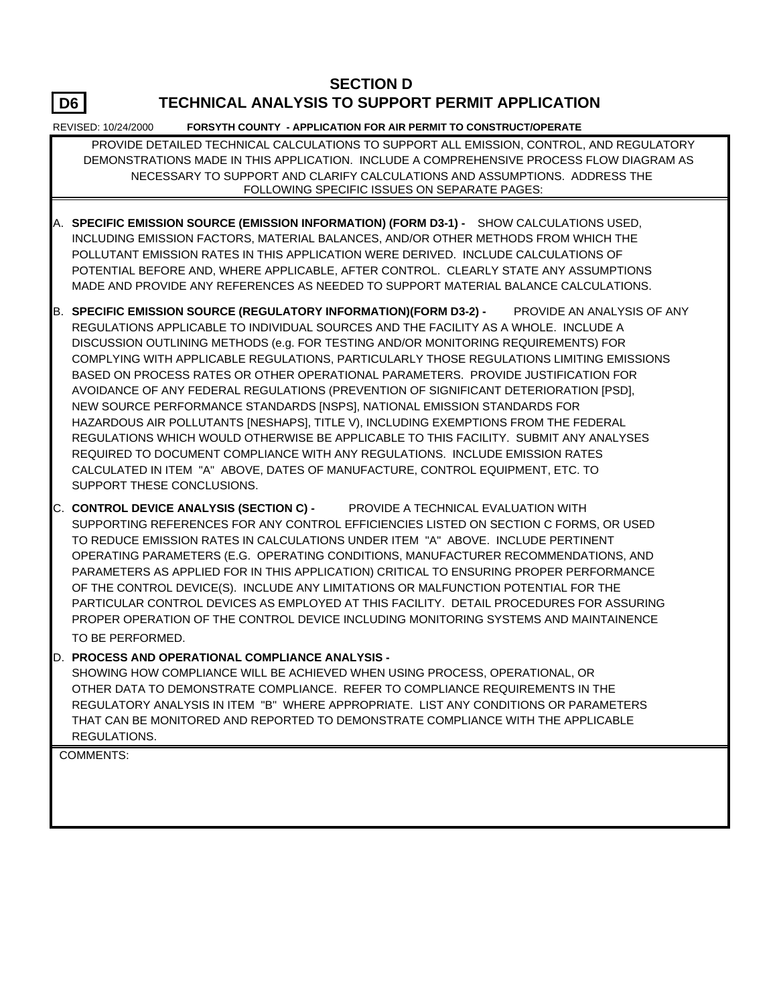## **TECHNICAL ANALYSIS TO SUPPORT PERMIT APPLICATION**

REVISED: 10/24/2000 **FORSYTH COUNTY - APPLICATION FOR AIR PERMIT TO CONSTRUCT/OPERATE**

 PROVIDE DETAILED TECHNICAL CALCULATIONS TO SUPPORT ALL EMISSION, CONTROL, AND REGULATORY DEMONSTRATIONS MADE IN THIS APPLICATION. INCLUDE A COMPREHENSIVE PROCESS FLOW DIAGRAM AS NECESSARY TO SUPPORT AND CLARIFY CALCULATIONS AND ASSUMPTIONS. ADDRESS THE FOLLOWING SPECIFIC ISSUES ON SEPARATE PAGES:

- A. **SPECIFIC EMISSION SOURCE (EMISSION INFORMATION) (FORM D3-1)** SHOW CALCULATIONS USED, INCLUDING EMISSION FACTORS, MATERIAL BALANCES, AND/OR OTHER METHODS FROM WHICH THE POLLUTANT EMISSION RATES IN THIS APPLICATION WERE DERIVED. INCLUDE CALCULATIONS OF POTENTIAL BEFORE AND, WHERE APPLICABLE, AFTER CONTROL. CLEARLY STATE ANY ASSUMPTIONS MADE AND PROVIDE ANY REFERENCES AS NEEDED TO SUPPORT MATERIAL BALANCE CALCULATIONS.
- B. **SPECIFIC EMISSION SOURCE (REGULATORY INFORMATION)(FORM D3-2)** PROVIDE AN ANALYSIS OF ANY REGULATIONS APPLICABLE TO INDIVIDUAL SOURCES AND THE FACILITY AS A WHOLE. INCLUDE A DISCUSSION OUTLINING METHODS (e.g. FOR TESTING AND/OR MONITORING REQUIREMENTS) FOR COMPLYING WITH APPLICABLE REGULATIONS, PARTICULARLY THOSE REGULATIONS LIMITING EMISSIONS BASED ON PROCESS RATES OR OTHER OPERATIONAL PARAMETERS. PROVIDE JUSTIFICATION FOR AVOIDANCE OF ANY FEDERAL REGULATIONS (PREVENTION OF SIGNIFICANT DETERIORATION [PSD], NEW SOURCE PERFORMANCE STANDARDS [NSPS], NATIONAL EMISSION STANDARDS FOR HAZARDOUS AIR POLLUTANTS [NESHAPS], TITLE V), INCLUDING EXEMPTIONS FROM THE FEDERAL REGULATIONS WHICH WOULD OTHERWISE BE APPLICABLE TO THIS FACILITY. SUBMIT ANY ANALYSES REQUIRED TO DOCUMENT COMPLIANCE WITH ANY REGULATIONS. INCLUDE EMISSION RATES CALCULATED IN ITEM "A" ABOVE, DATES OF MANUFACTURE, CONTROL EQUIPMENT, ETC. TO SUPPORT THESE CONCLUSIONS.
- C. **CONTROL DEVICE ANALYSIS (SECTION C)** PROVIDE A TECHNICAL EVALUATION WITH SUPPORTING REFERENCES FOR ANY CONTROL EFFICIENCIES LISTED ON SECTION C FORMS, OR USED TO REDUCE EMISSION RATES IN CALCULATIONS UNDER ITEM "A" ABOVE. INCLUDE PERTINENT OPERATING PARAMETERS (E.G. OPERATING CONDITIONS, MANUFACTURER RECOMMENDATIONS, AND PARAMETERS AS APPLIED FOR IN THIS APPLICATION) CRITICAL TO ENSURING PROPER PERFORMANCE OF THE CONTROL DEVICE(S). INCLUDE ANY LIMITATIONS OR MALFUNCTION POTENTIAL FOR THE PARTICULAR CONTROL DEVICES AS EMPLOYED AT THIS FACILITY. DETAIL PROCEDURES FOR ASSURING PROPER OPERATION OF THE CONTROL DEVICE INCLUDING MONITORING SYSTEMS AND MAINTAINENCE TO BE PERFORMED.
- D. **PROCESS AND OPERATIONAL COMPLIANCE ANALYSIS -**

SHOWING HOW COMPLIANCE WILL BE ACHIEVED WHEN USING PROCESS, OPERATIONAL, OR OTHER DATA TO DEMONSTRATE COMPLIANCE. REFER TO COMPLIANCE REQUIREMENTS IN THE REGULATORY ANALYSIS IN ITEM "B" WHERE APPROPRIATE. LIST ANY CONDITIONS OR PARAMETERS THAT CAN BE MONITORED AND REPORTED TO DEMONSTRATE COMPLIANCE WITH THE APPLICABLE REGULATIONS.

COMMENTS:

**D6**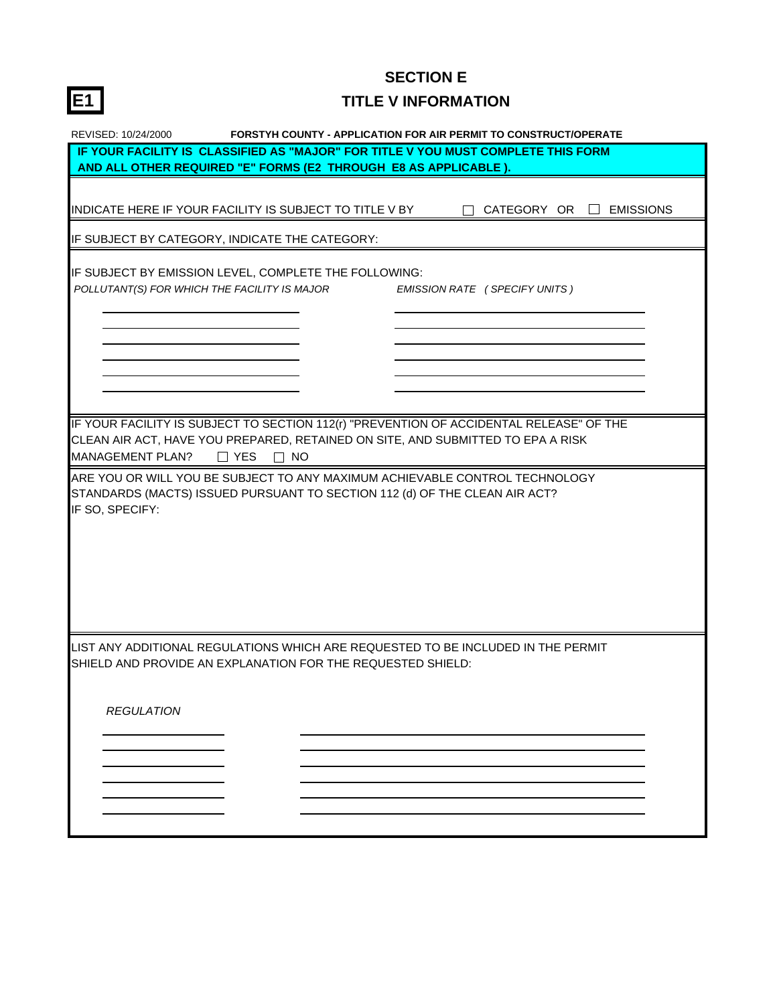# **E1 TITLE V INFORMATION**

| REVISED: 10/24/2000<br><b>FORSTYH COUNTY - APPLICATION FOR AIR PERMIT TO CONSTRUCT/OPERATE</b>    |  |  |  |  |  |
|---------------------------------------------------------------------------------------------------|--|--|--|--|--|
| IF YOUR FACILITY IS CLASSIFIED AS "MAJOR" FOR TITLE V YOU MUST COMPLETE THIS FORM                 |  |  |  |  |  |
| AND ALL OTHER REQUIRED "E" FORMS (E2 THROUGH E8 AS APPLICABLE ).                                  |  |  |  |  |  |
|                                                                                                   |  |  |  |  |  |
| INDICATE HERE IF YOUR FACILITY IS SUBJECT TO TITLE V BY<br>CATEGORY OR $\Box$<br><b>EMISSIONS</b> |  |  |  |  |  |
|                                                                                                   |  |  |  |  |  |
| IF SUBJECT BY CATEGORY, INDICATE THE CATEGORY:                                                    |  |  |  |  |  |
|                                                                                                   |  |  |  |  |  |
| IF SUBJECT BY EMISSION LEVEL, COMPLETE THE FOLLOWING:                                             |  |  |  |  |  |
| POLLUTANT(S) FOR WHICH THE FACILITY IS MAJOR<br><b>EMISSION RATE (SPECIFY UNITS)</b>              |  |  |  |  |  |
|                                                                                                   |  |  |  |  |  |
|                                                                                                   |  |  |  |  |  |
|                                                                                                   |  |  |  |  |  |
|                                                                                                   |  |  |  |  |  |
|                                                                                                   |  |  |  |  |  |
|                                                                                                   |  |  |  |  |  |
|                                                                                                   |  |  |  |  |  |
| IF YOUR FACILITY IS SUBJECT TO SECTION 112(r) "PREVENTION OF ACCIDENTAL RELEASE" OF THE           |  |  |  |  |  |
| CLEAN AIR ACT, HAVE YOU PREPARED, RETAINED ON SITE, AND SUBMITTED TO EPA A RISK                   |  |  |  |  |  |
| <b>MANAGEMENT PLAN?</b><br>$\Box$ YES<br>$\Box$ NO                                                |  |  |  |  |  |
| ARE YOU OR WILL YOU BE SUBJECT TO ANY MAXIMUM ACHIEVABLE CONTROL TECHNOLOGY                       |  |  |  |  |  |
| STANDARDS (MACTS) ISSUED PURSUANT TO SECTION 112 (d) OF THE CLEAN AIR ACT?                        |  |  |  |  |  |
| IF SO, SPECIFY:                                                                                   |  |  |  |  |  |
|                                                                                                   |  |  |  |  |  |
|                                                                                                   |  |  |  |  |  |
|                                                                                                   |  |  |  |  |  |
|                                                                                                   |  |  |  |  |  |
|                                                                                                   |  |  |  |  |  |
|                                                                                                   |  |  |  |  |  |
|                                                                                                   |  |  |  |  |  |
|                                                                                                   |  |  |  |  |  |
| LIST ANY ADDITIONAL REGULATIONS WHICH ARE REQUESTED TO BE INCLUDED IN THE PERMIT                  |  |  |  |  |  |
| SHIELD AND PROVIDE AN EXPLANATION FOR THE REQUESTED SHIELD:                                       |  |  |  |  |  |
|                                                                                                   |  |  |  |  |  |
|                                                                                                   |  |  |  |  |  |
| <b>REGULATION</b>                                                                                 |  |  |  |  |  |
|                                                                                                   |  |  |  |  |  |
|                                                                                                   |  |  |  |  |  |
|                                                                                                   |  |  |  |  |  |
|                                                                                                   |  |  |  |  |  |
|                                                                                                   |  |  |  |  |  |
|                                                                                                   |  |  |  |  |  |
|                                                                                                   |  |  |  |  |  |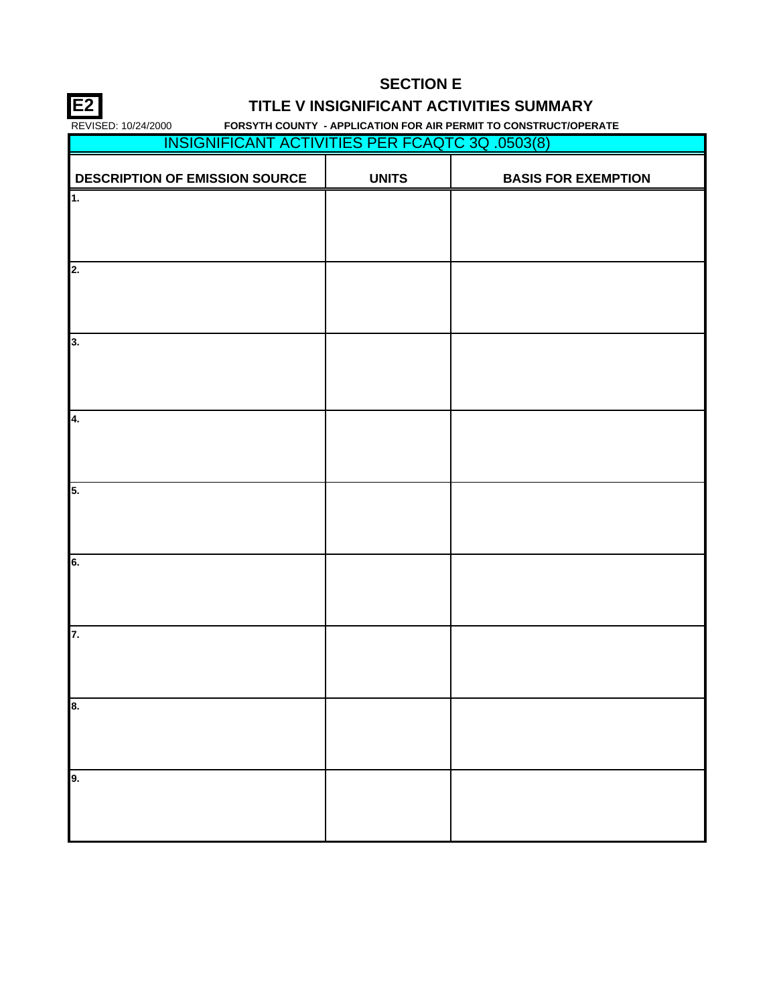## **E2 TITLE V INSIGNIFICANT ACTIVITIES SUMMARY**

| <b>INSIGNIFICANT ACTIVITIES PER FCAQTC 3Q .0503(8)</b> |              |                            |
|--------------------------------------------------------|--------------|----------------------------|
| <b>DESCRIPTION OF EMISSION SOURCE</b>                  | <b>UNITS</b> | <b>BASIS FOR EXEMPTION</b> |
| $\overline{\mathbf{1}}$ .                              |              |                            |
|                                                        |              |                            |
| 2.                                                     |              |                            |
|                                                        |              |                            |
| 3.                                                     |              |                            |
|                                                        |              |                            |
| 4.                                                     |              |                            |
|                                                        |              |                            |
| 5.                                                     |              |                            |
|                                                        |              |                            |
| 6.                                                     |              |                            |
|                                                        |              |                            |
| 7.                                                     |              |                            |
|                                                        |              |                            |
| 8.                                                     |              |                            |
|                                                        |              |                            |
| 9.                                                     |              |                            |
|                                                        |              |                            |
|                                                        |              |                            |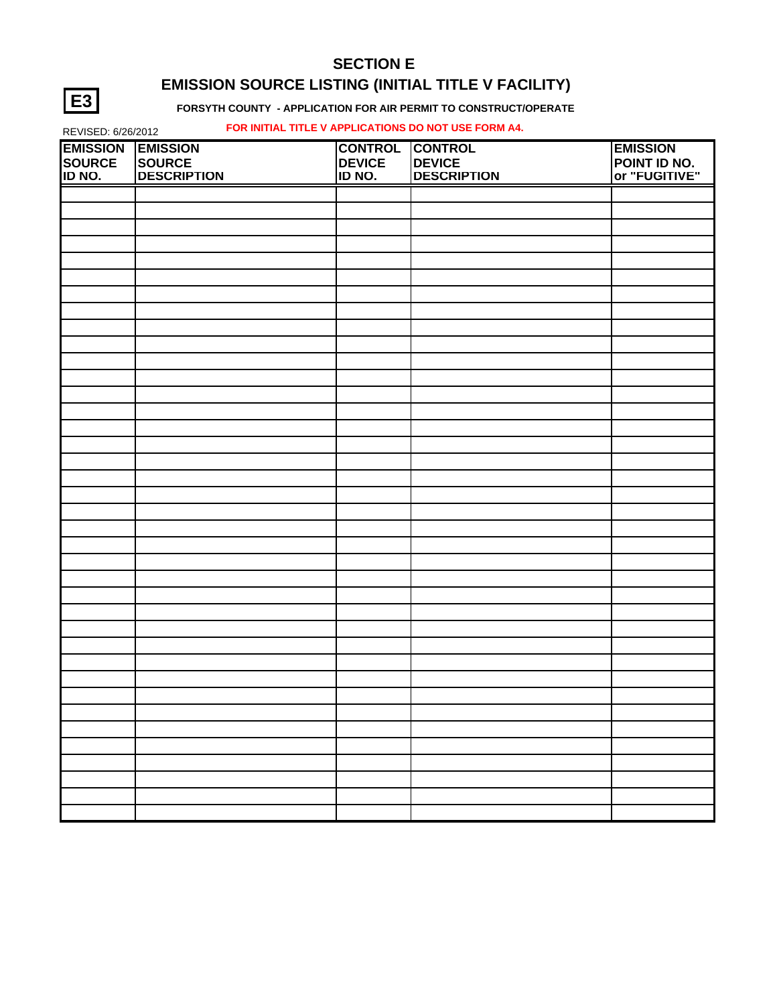## **SECTION E EMISSION SOURCE LISTING (INITIAL TITLE V FACILITY)**

#### **FORSYTH COUNTY - APPLICATION FOR AIR PERMIT TO CONSTRUCT/OPERATE**

#### REVISED: 6/26/2012 **FOR INITIAL TITLE V APPLICATIONS DO NOT USE FORM A4.**

| <b>EMISSION</b> | <b>EMISSION</b>    | <b>CONTROL</b> | <b>CONTROL</b>     | <b>EMISSION</b>                      |
|-----------------|--------------------|----------------|--------------------|--------------------------------------|
| <b>SOURCE</b>   | SOURCE             | <b>DEVICE</b>  | <b>DEVICE</b>      | <b>POINT ID NO.</b><br>or "FUGITIVE" |
| ID NO.          | <b>DESCRIPTION</b> | ID NO.         | <b>DESCRIPTION</b> |                                      |
|                 |                    |                |                    |                                      |
|                 |                    |                |                    |                                      |
|                 |                    |                |                    |                                      |
|                 |                    |                |                    |                                      |
|                 |                    |                |                    |                                      |
|                 |                    |                |                    |                                      |
|                 |                    |                |                    |                                      |
|                 |                    |                |                    |                                      |
|                 |                    |                |                    |                                      |
|                 |                    |                |                    |                                      |
|                 |                    |                |                    |                                      |
|                 |                    |                |                    |                                      |
|                 |                    |                |                    |                                      |
|                 |                    |                |                    |                                      |
|                 |                    |                |                    |                                      |
|                 |                    |                |                    |                                      |
|                 |                    |                |                    |                                      |
|                 |                    |                |                    |                                      |
|                 |                    |                |                    |                                      |
|                 |                    |                |                    |                                      |
|                 |                    |                |                    |                                      |
|                 |                    |                |                    |                                      |
|                 |                    |                |                    |                                      |
|                 |                    |                |                    |                                      |
|                 |                    |                |                    |                                      |
|                 |                    |                |                    |                                      |
|                 |                    |                |                    |                                      |
|                 |                    |                |                    |                                      |
|                 |                    |                |                    |                                      |
|                 |                    |                |                    |                                      |
|                 |                    |                |                    |                                      |
|                 |                    |                |                    |                                      |
|                 |                    |                |                    |                                      |
|                 |                    |                |                    |                                      |
|                 |                    |                |                    |                                      |
|                 |                    |                |                    |                                      |
|                 |                    |                |                    |                                      |
|                 |                    |                |                    |                                      |

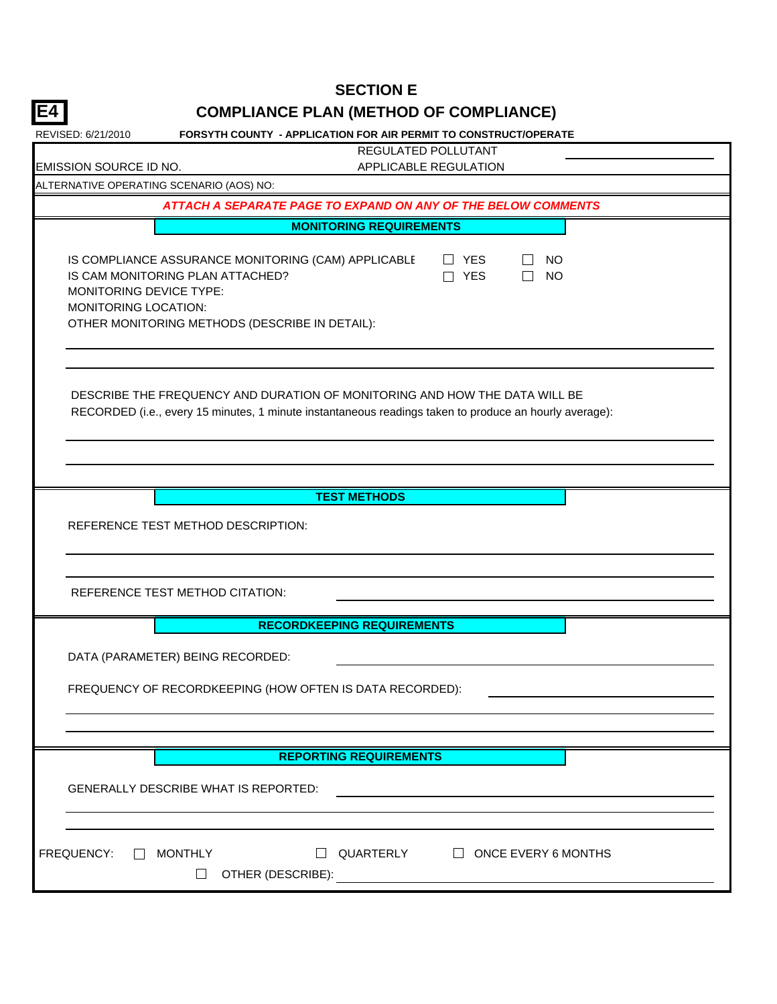| E4<br><b>COMPLIANCE PLAN (METHOD OF COMPLIANCE)</b>                                                                                                                                                                                                                    |
|------------------------------------------------------------------------------------------------------------------------------------------------------------------------------------------------------------------------------------------------------------------------|
| FORSYTH COUNTY - APPLICATION FOR AIR PERMIT TO CONSTRUCT/OPERATE<br>REVISED: 6/21/2010                                                                                                                                                                                 |
| <b>REGULATED POLLUTANT</b>                                                                                                                                                                                                                                             |
| <b>EMISSION SOURCE ID NO.</b><br>APPLICABLE REGULATION                                                                                                                                                                                                                 |
| ALTERNATIVE OPERATING SCENARIO (AOS) NO:                                                                                                                                                                                                                               |
| ATTACH A SEPARATE PAGE TO EXPAND ON ANY OF THE BELOW COMMENTS                                                                                                                                                                                                          |
| <b>MONITORING REQUIREMENTS</b>                                                                                                                                                                                                                                         |
| IS COMPLIANCE ASSURANCE MONITORING (CAM) APPLICABLE<br>$\Box$ YES<br><b>NO</b><br>$\Box$<br>IS CAM MONITORING PLAN ATTACHED?<br>$\Box$ YES<br><b>NO</b><br>$\Box$<br>MONITORING DEVICE TYPE:<br>MONITORING LOCATION:<br>OTHER MONITORING METHODS (DESCRIBE IN DETAIL): |
| DESCRIBE THE FREQUENCY AND DURATION OF MONITORING AND HOW THE DATA WILL BE<br>RECORDED (i.e., every 15 minutes, 1 minute instantaneous readings taken to produce an hourly average):                                                                                   |
| <b>TEST METHODS</b><br>REFERENCE TEST METHOD DESCRIPTION:                                                                                                                                                                                                              |
| REFERENCE TEST METHOD CITATION:                                                                                                                                                                                                                                        |
| <b>RECORDKEEPING REQUIREMENTS</b>                                                                                                                                                                                                                                      |
| DATA (PARAMETER) BEING RECORDED:<br>FREQUENCY OF RECORDKEEPING (HOW OFTEN IS DATA RECORDED):                                                                                                                                                                           |
|                                                                                                                                                                                                                                                                        |
| <b>REPORTING REQUIREMENTS</b>                                                                                                                                                                                                                                          |
| <b>GENERALLY DESCRIBE WHAT IS REPORTED:</b>                                                                                                                                                                                                                            |
| FREQUENCY:<br>$\Box$ MONTHLY<br>$\Box$ QUARTERLY $\Box$ ONCE EVERY 6 MONTHS<br>$\Box$                                                                                                                                                                                  |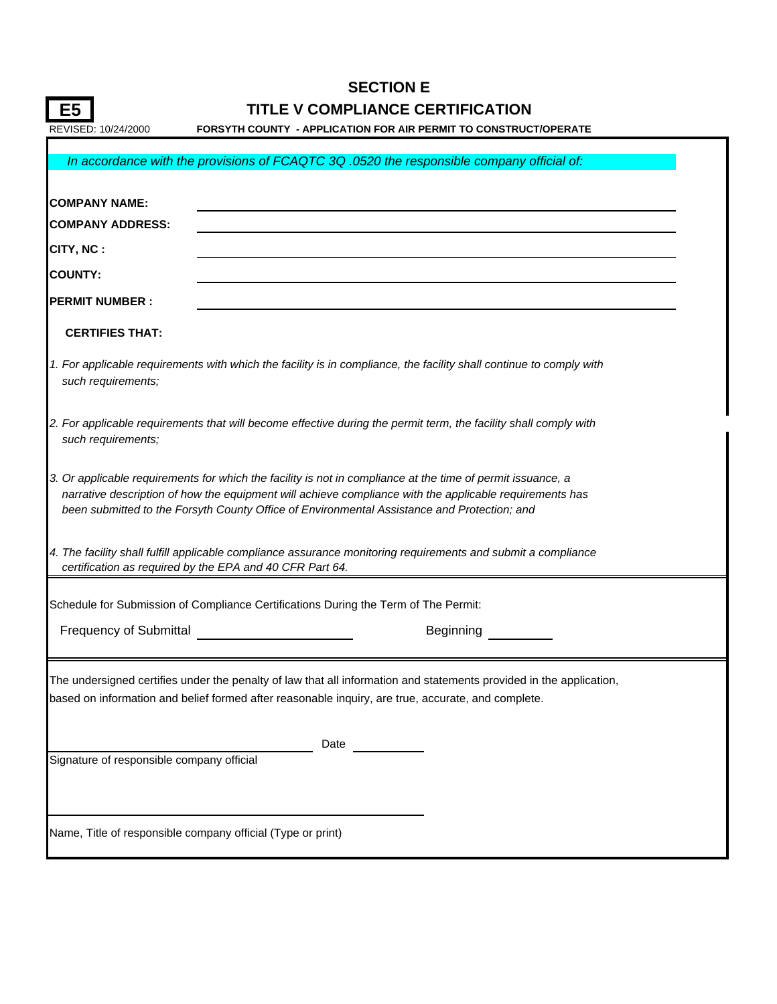|                                           |                                                                                                            | <b>SECTION E</b>                                                                                                                                                                                                       |  |
|-------------------------------------------|------------------------------------------------------------------------------------------------------------|------------------------------------------------------------------------------------------------------------------------------------------------------------------------------------------------------------------------|--|
| E5                                        |                                                                                                            | TITLE V COMPLIANCE CERTIFICATION                                                                                                                                                                                       |  |
| REVISED: 10/24/2000                       |                                                                                                            | <b>FORSYTH COUNTY - APPLICATION FOR AIR PERMIT TO CONSTRUCT/OPERATE</b>                                                                                                                                                |  |
|                                           |                                                                                                            | In accordance with the provisions of FCAQTC 3Q .0520 the responsible company official of:                                                                                                                              |  |
| <b>COMPANY NAME:</b>                      |                                                                                                            |                                                                                                                                                                                                                        |  |
| <b>COMPANY ADDRESS:</b>                   |                                                                                                            |                                                                                                                                                                                                                        |  |
| CITY, NC:                                 |                                                                                                            |                                                                                                                                                                                                                        |  |
| <b>COUNTY:</b>                            |                                                                                                            |                                                                                                                                                                                                                        |  |
| <b>PERMIT NUMBER:</b>                     |                                                                                                            |                                                                                                                                                                                                                        |  |
| <b>CERTIFIES THAT:</b>                    |                                                                                                            |                                                                                                                                                                                                                        |  |
| such requirements;                        |                                                                                                            | 1. For applicable requirements with which the facility is in compliance, the facility shall continue to comply with                                                                                                    |  |
| such requirements;                        |                                                                                                            | 2. For applicable requirements that will become effective during the permit term, the facility shall comply with                                                                                                       |  |
|                                           | been submitted to the Forsyth County Office of Environmental Assistance and Protection; and                | 3. Or applicable requirements for which the facility is not in compliance at the time of permit issuance, a<br>narrative description of how the equipment will achieve compliance with the applicable requirements has |  |
|                                           | certification as required by the EPA and 40 CFR Part 64.                                                   | 4. The facility shall fulfill applicable compliance assurance monitoring requirements and submit a compliance                                                                                                          |  |
|                                           | Schedule for Submission of Compliance Certifications During the Term of The Permit:                        |                                                                                                                                                                                                                        |  |
| <b>Frequency of Submittal</b>             |                                                                                                            | Beginning                                                                                                                                                                                                              |  |
| Signature of responsible company official | based on information and belief formed after reasonable inquiry, are true, accurate, and complete.<br>Date | The undersigned certifies under the penalty of law that all information and statements provided in the application,                                                                                                    |  |
|                                           | Name, Title of responsible company official (Type or print)                                                |                                                                                                                                                                                                                        |  |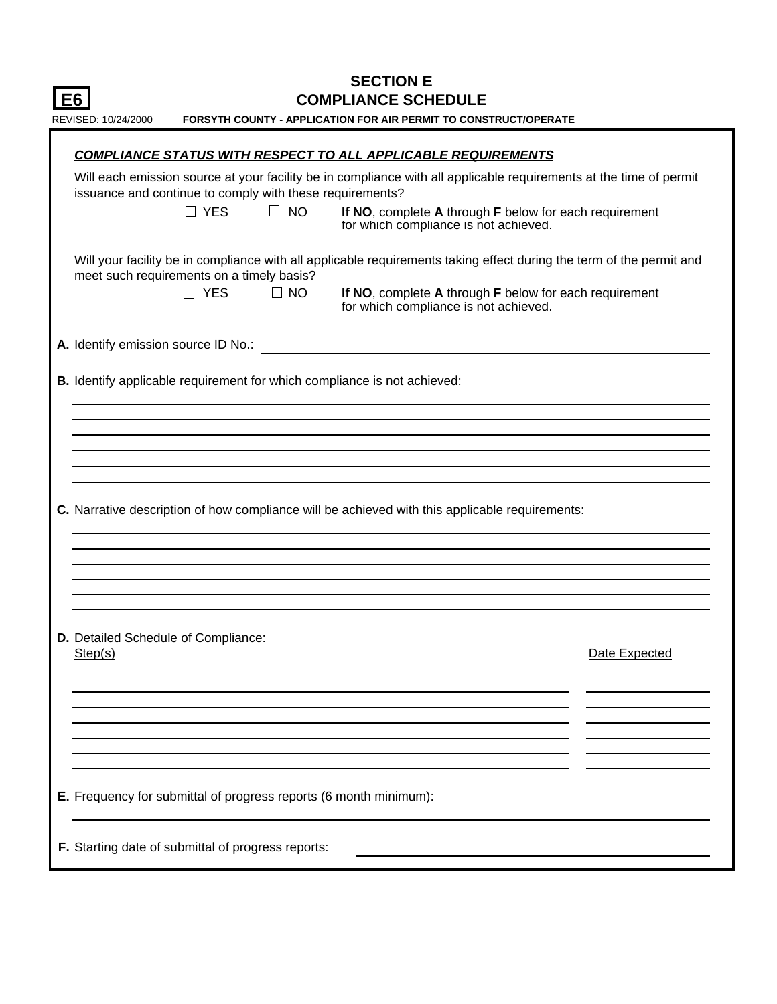| <b>SECTION E</b><br><b>COMPLIANCE SCHEDULE</b><br>E6                                                                                                                                                                                                                                                         |               |  |  |  |  |  |
|--------------------------------------------------------------------------------------------------------------------------------------------------------------------------------------------------------------------------------------------------------------------------------------------------------------|---------------|--|--|--|--|--|
| <b>FORSYTH COUNTY - APPLICATION FOR AIR PERMIT TO CONSTRUCT/OPERATE</b><br>REVISED: 10/24/2000                                                                                                                                                                                                               |               |  |  |  |  |  |
| <b>COMPLIANCE STATUS WITH RESPECT TO ALL APPLICABLE REQUIREMENTS</b>                                                                                                                                                                                                                                         |               |  |  |  |  |  |
| Will each emission source at your facility be in compliance with all applicable requirements at the time of permit<br>issuance and continue to comply with these requirements?<br>$\Box$ NO<br>$\Box$ YES<br>If NO, complete A through F below for each requirement<br>tor which compliance is not achieved. |               |  |  |  |  |  |
| Will your facility be in compliance with all applicable requirements taking effect during the term of the permit and<br>meet such requirements on a timely basis?<br>$\Box$ YES<br>$\Box$ NO<br>If NO, complete A through F below for each requirement<br>for which compliance is not achieved.              |               |  |  |  |  |  |
| <b>A.</b> Identify emission source ID No.:                                                                                                                                                                                                                                                                   |               |  |  |  |  |  |
| B. Identify applicable requirement for which compliance is not achieved:                                                                                                                                                                                                                                     |               |  |  |  |  |  |
|                                                                                                                                                                                                                                                                                                              |               |  |  |  |  |  |
| C. Narrative description of how compliance will be achieved with this applicable requirements:                                                                                                                                                                                                               |               |  |  |  |  |  |
| <b>D.</b> Detailed Schedule of Compliance:<br>Step(s)                                                                                                                                                                                                                                                        | Date Expected |  |  |  |  |  |
|                                                                                                                                                                                                                                                                                                              |               |  |  |  |  |  |
| E. Frequency for submittal of progress reports (6 month minimum):                                                                                                                                                                                                                                            |               |  |  |  |  |  |
| F. Starting date of submittal of progress reports:                                                                                                                                                                                                                                                           |               |  |  |  |  |  |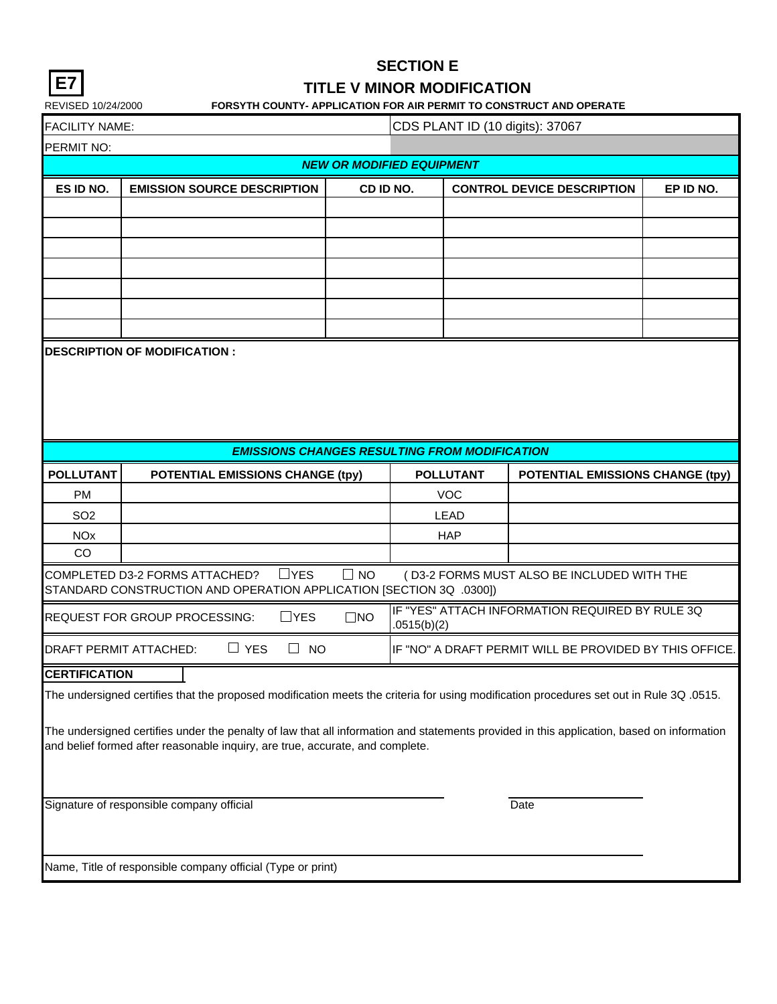|--|

## **TITLE V MINOR MODIFICATION**

REVISED 10/24/2000 **FORSYTH COUNTY- APPLICATION FOR AIR PERMIT TO CONSTRUCT AND OPERATE**

| <b>FACILITY NAME</b> |  |
|----------------------|--|
|----------------------|--|

 $\overline{C}$ FACILITY NAME:  $\overline{C}$ CDS PLANT ID (10 digits): 37067

| <b>NVILLET LIVNIVIL.</b>         |                                                                                                                                           |              |             |                  | $0.001$ LATT TD (TO digita). 07 007                     |           |  |
|----------------------------------|-------------------------------------------------------------------------------------------------------------------------------------------|--------------|-------------|------------------|---------------------------------------------------------|-----------|--|
| PERMIT NO:                       |                                                                                                                                           |              |             |                  |                                                         |           |  |
| <b>NEW OR MODIFIED EQUIPMENT</b> |                                                                                                                                           |              |             |                  |                                                         |           |  |
| ES ID NO.                        | <b>EMISSION SOURCE DESCRIPTION</b>                                                                                                        | CD ID NO.    |             |                  | <b>CONTROL DEVICE DESCRIPTION</b>                       | EP ID NO. |  |
|                                  |                                                                                                                                           |              |             |                  |                                                         |           |  |
|                                  |                                                                                                                                           |              |             |                  |                                                         |           |  |
|                                  |                                                                                                                                           |              |             |                  |                                                         |           |  |
|                                  |                                                                                                                                           |              |             |                  |                                                         |           |  |
|                                  |                                                                                                                                           |              |             |                  |                                                         |           |  |
|                                  |                                                                                                                                           |              |             |                  |                                                         |           |  |
|                                  |                                                                                                                                           |              |             |                  |                                                         |           |  |
|                                  | <b>DESCRIPTION OF MODIFICATION:</b>                                                                                                       |              |             |                  |                                                         |           |  |
|                                  |                                                                                                                                           |              |             |                  |                                                         |           |  |
|                                  |                                                                                                                                           |              |             |                  |                                                         |           |  |
|                                  |                                                                                                                                           |              |             |                  |                                                         |           |  |
|                                  |                                                                                                                                           |              |             |                  |                                                         |           |  |
|                                  | <b>EMISSIONS CHANGES RESULTING FROM MODIFICATION</b>                                                                                      |              |             |                  |                                                         |           |  |
| <b>POLLUTANT</b>                 | <b>POTENTIAL EMISSIONS CHANGE (tpy)</b>                                                                                                   |              |             | <b>POLLUTANT</b> | POTENTIAL EMISSIONS CHANGE (tpy)                        |           |  |
| <b>PM</b>                        |                                                                                                                                           |              |             | <b>VOC</b>       |                                                         |           |  |
| SO <sub>2</sub>                  |                                                                                                                                           |              |             | <b>LEAD</b>      |                                                         |           |  |
| <b>NO<sub>x</sub></b>            |                                                                                                                                           |              |             | <b>HAP</b>       |                                                         |           |  |
| CO                               |                                                                                                                                           |              |             |                  |                                                         |           |  |
|                                  | $\Box$ YES<br>COMPLETED D3-2 FORMS ATTACHED?<br>STANDARD CONSTRUCTION AND OPERATION APPLICATION [SECTION 3Q .0300])                       | $\Box$ NO    |             |                  | (D3-2 FORMS MUST ALSO BE INCLUDED WITH THE              |           |  |
|                                  | $\Box$ YES<br>REQUEST FOR GROUP PROCESSING:                                                                                               | $\square$ NO | .0515(b)(2) |                  | IF "YES" ATTACH INFORMATION REQUIRED BY RULE 3Q         |           |  |
|                                  | $\Box$ YES<br><b>DRAFT PERMIT ATTACHED:</b><br>$\Box$ NO                                                                                  |              |             |                  | IF "NO" A DRAFT PERMIT WILL BE PROVIDED BY THIS OFFICE. |           |  |
| <b>CERTIFICATION</b>             |                                                                                                                                           |              |             |                  |                                                         |           |  |
|                                  | The undersigned certifies that the proposed modification meets the criteria for using modification procedures set out in Rule 3Q .0515.   |              |             |                  |                                                         |           |  |
|                                  |                                                                                                                                           |              |             |                  |                                                         |           |  |
|                                  | The undersigned certifies under the penalty of law that all information and statements provided in this application, based on information |              |             |                  |                                                         |           |  |
|                                  | and belief formed after reasonable inquiry, are true, accurate, and complete.                                                             |              |             |                  |                                                         |           |  |
|                                  |                                                                                                                                           |              |             |                  |                                                         |           |  |
|                                  | Signature of responsible company official                                                                                                 |              |             |                  |                                                         |           |  |
|                                  |                                                                                                                                           |              |             |                  | Date                                                    |           |  |
|                                  |                                                                                                                                           |              |             |                  |                                                         |           |  |
|                                  |                                                                                                                                           |              |             |                  |                                                         |           |  |
|                                  | Name, Title of responsible company official (Type or print)                                                                               |              |             |                  |                                                         |           |  |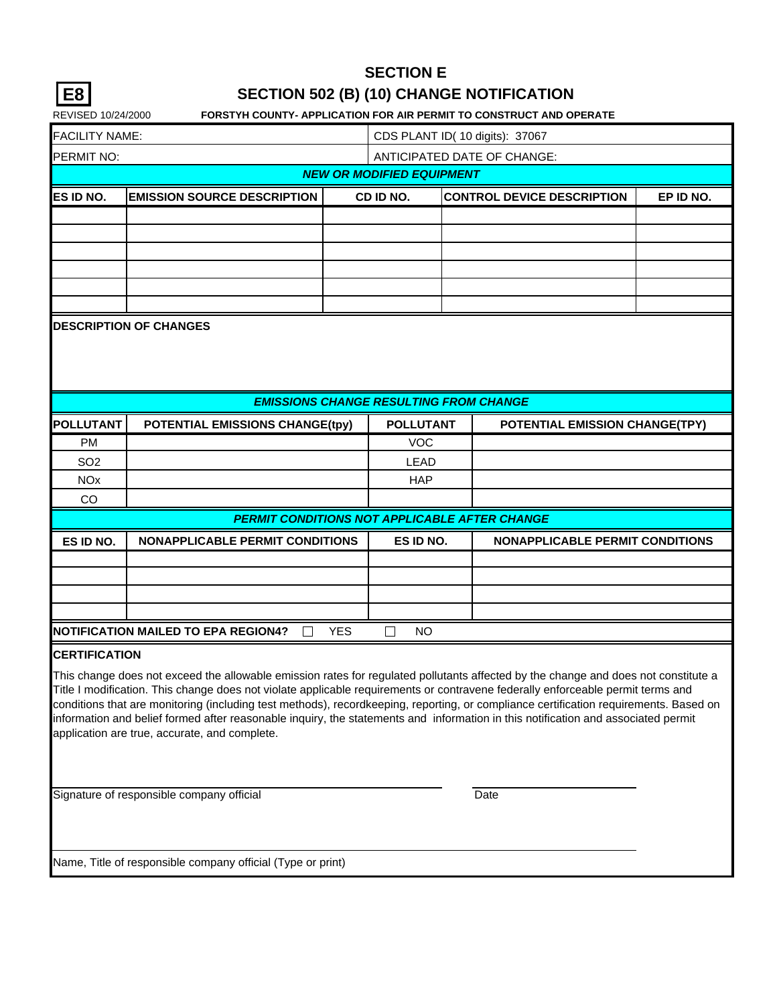| × |
|---|
|---|

# **SECTION 502 (B) (10) CHANGE NOTIFICATION**

| REVISED 10/24/2000                                                                                                                                                                                                                                                    |                                                                                                                                       |            |                                               |  | <b>FORSTYH COUNTY- APPLICATION FOR AIR PERMIT TO CONSTRUCT AND OPERATE</b> |           |  |  |
|-----------------------------------------------------------------------------------------------------------------------------------------------------------------------------------------------------------------------------------------------------------------------|---------------------------------------------------------------------------------------------------------------------------------------|------------|-----------------------------------------------|--|----------------------------------------------------------------------------|-----------|--|--|
| <b>FACILITY NAME:</b><br>CDS PLANT ID( 10 digits): 37067                                                                                                                                                                                                              |                                                                                                                                       |            |                                               |  |                                                                            |           |  |  |
| PERMIT NO:                                                                                                                                                                                                                                                            |                                                                                                                                       |            |                                               |  | ANTICIPATED DATE OF CHANGE:                                                |           |  |  |
|                                                                                                                                                                                                                                                                       |                                                                                                                                       |            | <b>NEW OR MODIFIED EQUIPMENT</b>              |  |                                                                            |           |  |  |
| ES ID NO.                                                                                                                                                                                                                                                             | <b>EMISSION SOURCE DESCRIPTION</b>                                                                                                    |            | CD ID NO.                                     |  | <b>CONTROL DEVICE DESCRIPTION</b>                                          | EP ID NO. |  |  |
|                                                                                                                                                                                                                                                                       |                                                                                                                                       |            |                                               |  |                                                                            |           |  |  |
|                                                                                                                                                                                                                                                                       |                                                                                                                                       |            |                                               |  |                                                                            |           |  |  |
|                                                                                                                                                                                                                                                                       |                                                                                                                                       |            |                                               |  |                                                                            |           |  |  |
|                                                                                                                                                                                                                                                                       |                                                                                                                                       |            |                                               |  |                                                                            |           |  |  |
|                                                                                                                                                                                                                                                                       |                                                                                                                                       |            |                                               |  |                                                                            |           |  |  |
|                                                                                                                                                                                                                                                                       | <b>DESCRIPTION OF CHANGES</b>                                                                                                         |            |                                               |  |                                                                            |           |  |  |
|                                                                                                                                                                                                                                                                       |                                                                                                                                       |            |                                               |  |                                                                            |           |  |  |
|                                                                                                                                                                                                                                                                       |                                                                                                                                       |            |                                               |  |                                                                            |           |  |  |
|                                                                                                                                                                                                                                                                       |                                                                                                                                       |            |                                               |  |                                                                            |           |  |  |
|                                                                                                                                                                                                                                                                       |                                                                                                                                       |            | <b>EMISSIONS CHANGE RESULTING FROM CHANGE</b> |  |                                                                            |           |  |  |
| <b>POLLUTANT</b>                                                                                                                                                                                                                                                      | <b>POTENTIAL EMISSIONS CHANGE(tpy)</b>                                                                                                |            | <b>POLLUTANT</b>                              |  | <b>POTENTIAL EMISSION CHANGE(TPY)</b>                                      |           |  |  |
| <b>PM</b>                                                                                                                                                                                                                                                             |                                                                                                                                       |            | <b>VOC</b>                                    |  |                                                                            |           |  |  |
| SO <sub>2</sub>                                                                                                                                                                                                                                                       |                                                                                                                                       |            | <b>LEAD</b>                                   |  |                                                                            |           |  |  |
| <b>NO<sub>x</sub></b>                                                                                                                                                                                                                                                 |                                                                                                                                       |            | <b>HAP</b>                                    |  |                                                                            |           |  |  |
| CO                                                                                                                                                                                                                                                                    |                                                                                                                                       |            |                                               |  |                                                                            |           |  |  |
|                                                                                                                                                                                                                                                                       | <b>PERMIT CONDITIONS NOT APPLICABLE AFTER CHANGE</b>                                                                                  |            |                                               |  |                                                                            |           |  |  |
| ES ID NO.                                                                                                                                                                                                                                                             | <b>NONAPPLICABLE PERMIT CONDITIONS</b>                                                                                                |            | ES ID NO.                                     |  | <b>NONAPPLICABLE PERMIT CONDITIONS</b>                                     |           |  |  |
|                                                                                                                                                                                                                                                                       |                                                                                                                                       |            |                                               |  |                                                                            |           |  |  |
|                                                                                                                                                                                                                                                                       |                                                                                                                                       |            |                                               |  |                                                                            |           |  |  |
|                                                                                                                                                                                                                                                                       |                                                                                                                                       |            |                                               |  |                                                                            |           |  |  |
|                                                                                                                                                                                                                                                                       | <b>NOTIFICATION MAILED TO EPA REGION4?</b>                                                                                            | <b>YES</b> | <b>NO</b>                                     |  |                                                                            |           |  |  |
| <b>CERTIFICATION</b>                                                                                                                                                                                                                                                  |                                                                                                                                       |            |                                               |  |                                                                            |           |  |  |
|                                                                                                                                                                                                                                                                       |                                                                                                                                       |            |                                               |  |                                                                            |           |  |  |
| This change does not exceed the allowable emission rates for regulated pollutants affected by the change and does not constitute a<br>Title I modification. This change does not violate applicable requirements or contravene federally enforceable permit terms and |                                                                                                                                       |            |                                               |  |                                                                            |           |  |  |
|                                                                                                                                                                                                                                                                       | conditions that are monitoring (including test methods), recordkeeping, reporting, or compliance certification requirements. Based on |            |                                               |  |                                                                            |           |  |  |
| information and belief formed after reasonable inquiry, the statements and information in this notification and associated permit                                                                                                                                     |                                                                                                                                       |            |                                               |  |                                                                            |           |  |  |
|                                                                                                                                                                                                                                                                       | application are true, accurate, and complete.                                                                                         |            |                                               |  |                                                                            |           |  |  |
|                                                                                                                                                                                                                                                                       |                                                                                                                                       |            |                                               |  |                                                                            |           |  |  |
|                                                                                                                                                                                                                                                                       |                                                                                                                                       |            |                                               |  |                                                                            |           |  |  |
| Signature of responsible company official                                                                                                                                                                                                                             |                                                                                                                                       |            |                                               |  | Date                                                                       |           |  |  |
|                                                                                                                                                                                                                                                                       |                                                                                                                                       |            |                                               |  |                                                                            |           |  |  |
|                                                                                                                                                                                                                                                                       |                                                                                                                                       |            |                                               |  |                                                                            |           |  |  |
|                                                                                                                                                                                                                                                                       | Name, Title of responsible company official (Type or print)                                                                           |            |                                               |  |                                                                            |           |  |  |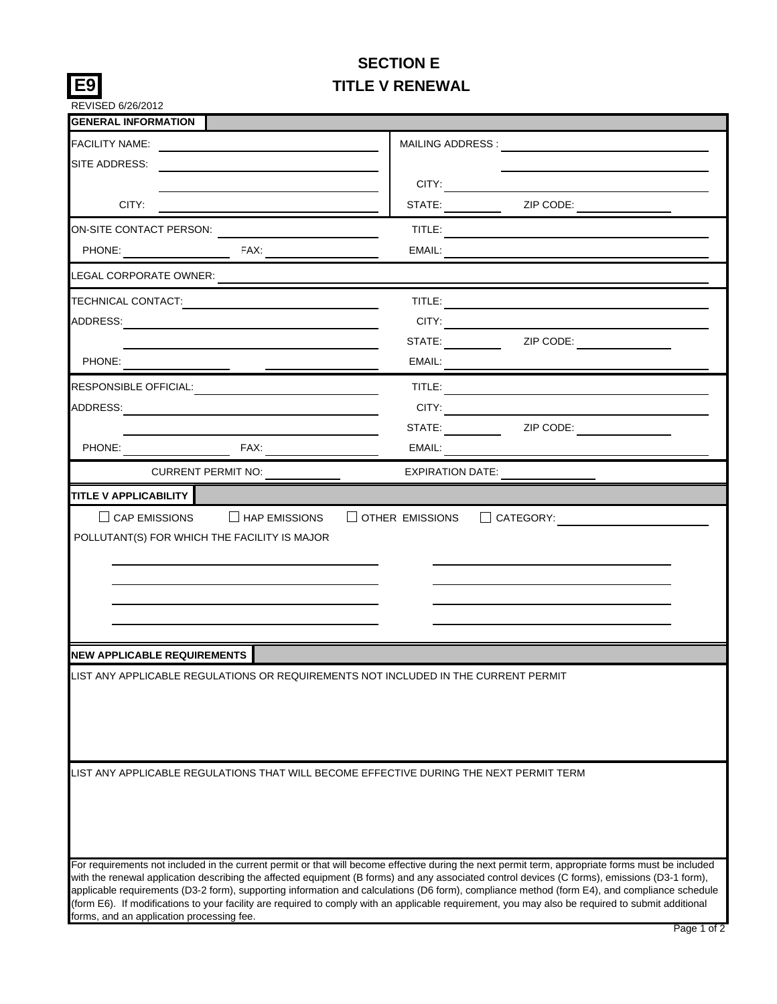## **SECTION E TITLE V RENEWAL**

**E9**

| REVISED 6/26/2012                         |                                                                                                                                                                                                                                                                                                                                                                                                                                                    |                         |                  |  |  |
|-------------------------------------------|----------------------------------------------------------------------------------------------------------------------------------------------------------------------------------------------------------------------------------------------------------------------------------------------------------------------------------------------------------------------------------------------------------------------------------------------------|-------------------------|------------------|--|--|
| <b>GENERAL INFORMATION</b>                |                                                                                                                                                                                                                                                                                                                                                                                                                                                    |                         |                  |  |  |
| FACILITY NAME:                            |                                                                                                                                                                                                                                                                                                                                                                                                                                                    |                         |                  |  |  |
| SITE ADDRESS:                             |                                                                                                                                                                                                                                                                                                                                                                                                                                                    |                         |                  |  |  |
|                                           |                                                                                                                                                                                                                                                                                                                                                                                                                                                    | CITY:                   |                  |  |  |
| CITY:                                     |                                                                                                                                                                                                                                                                                                                                                                                                                                                    |                         |                  |  |  |
|                                           | ON-SITE CONTACT PERSON:                                                                                                                                                                                                                                                                                                                                                                                                                            |                         |                  |  |  |
|                                           |                                                                                                                                                                                                                                                                                                                                                                                                                                                    |                         |                  |  |  |
| LEGAL CORPORATE OWNER:                    |                                                                                                                                                                                                                                                                                                                                                                                                                                                    |                         |                  |  |  |
| TECHNICAL CONTACT:                        |                                                                                                                                                                                                                                                                                                                                                                                                                                                    |                         |                  |  |  |
|                                           |                                                                                                                                                                                                                                                                                                                                                                                                                                                    |                         | CITY:            |  |  |
|                                           |                                                                                                                                                                                                                                                                                                                                                                                                                                                    |                         | STATE: ZIP CODE: |  |  |
| PHONE:                                    |                                                                                                                                                                                                                                                                                                                                                                                                                                                    | EMAIL:                  |                  |  |  |
| RESPONSIBLE OFFICIAL:                     |                                                                                                                                                                                                                                                                                                                                                                                                                                                    |                         |                  |  |  |
| ADDRESS:                                  |                                                                                                                                                                                                                                                                                                                                                                                                                                                    | CITY: A CITY:           |                  |  |  |
|                                           |                                                                                                                                                                                                                                                                                                                                                                                                                                                    |                         | STATE: ZIP CODE: |  |  |
|                                           |                                                                                                                                                                                                                                                                                                                                                                                                                                                    |                         |                  |  |  |
|                                           | <b>CURRENT PERMIT NO:</b>                                                                                                                                                                                                                                                                                                                                                                                                                          | <b>EXPIRATION DATE:</b> |                  |  |  |
|                                           | POLLUTANT(S) FOR WHICH THE FACILITY IS MAJOR                                                                                                                                                                                                                                                                                                                                                                                                       |                         |                  |  |  |
| <b>NEW APPLICABLE REQUIREMENTS</b>        |                                                                                                                                                                                                                                                                                                                                                                                                                                                    |                         |                  |  |  |
|                                           | LIST ANY APPLICABLE REGULATIONS OR REQUIREMENTS NOT INCLUDED IN THE CURRENT PERMIT                                                                                                                                                                                                                                                                                                                                                                 |                         |                  |  |  |
|                                           | LIST ANY APPLICABLE REGULATIONS THAT WILL BECOME EFFECTIVE DURING THE NEXT PERMIT TERM<br>For requirements not included in the current permit or that will become effective during the next permit term, appropriate forms must be included                                                                                                                                                                                                        |                         |                  |  |  |
| forms, and an application processing fee. | with the renewal application describing the affected equipment (B forms) and any associated control devices (C forms), emissions (D3-1 form),<br>applicable requirements (D3-2 form), supporting information and calculations (D6 form), compliance method (form E4), and compliance schedule<br>(form E6). If modifications to your facility are required to comply with an applicable requirement, you may also be required to submit additional |                         |                  |  |  |